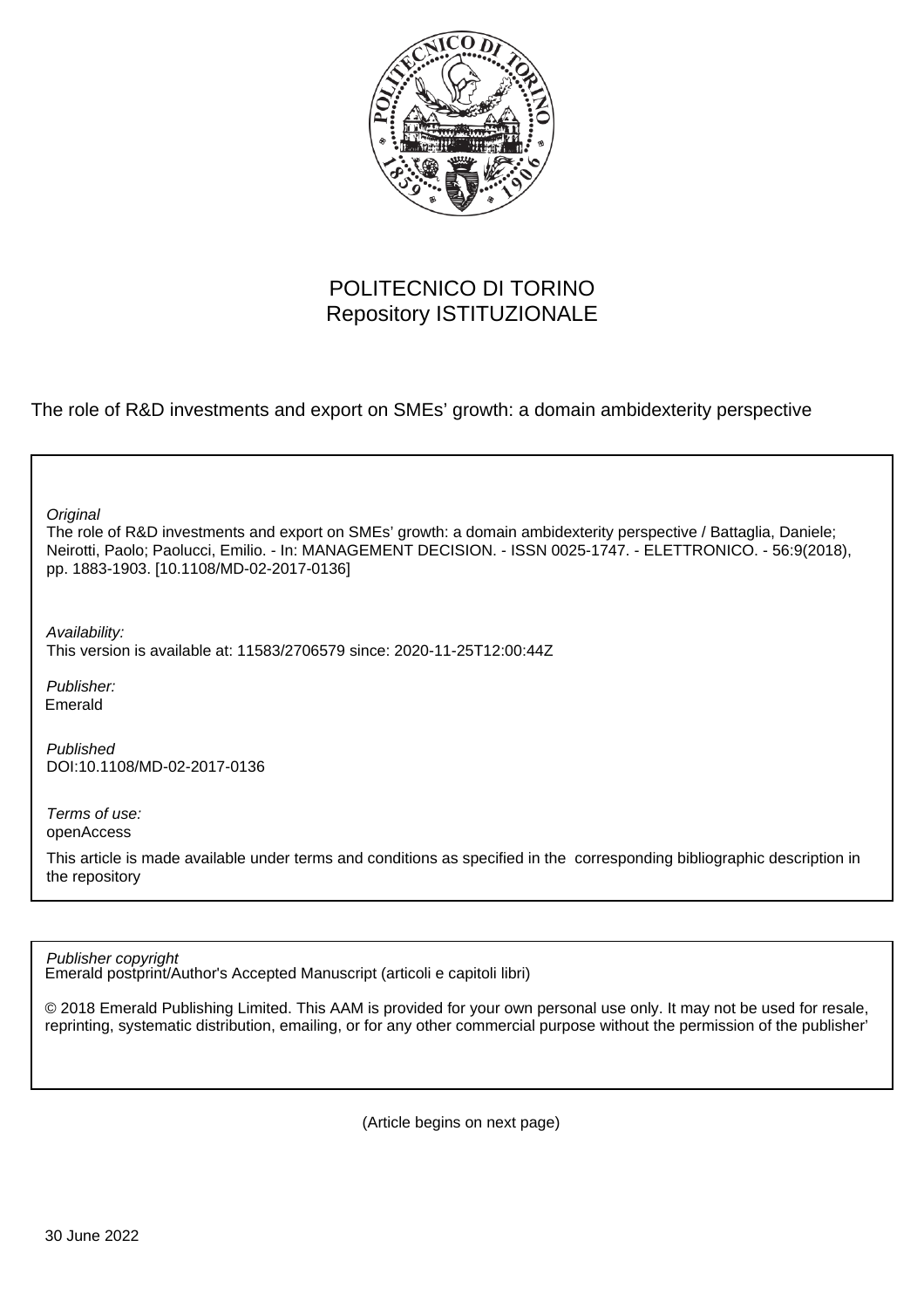

## POLITECNICO DI TORINO Repository ISTITUZIONALE

The role of R&D investments and export on SMEs' growth: a domain ambidexterity perspective

The role of R&D investments and export on SMEs' growth: a domain ambidexterity perspective / Battaglia, Daniele; Neirotti, Paolo; Paolucci, Emilio. - In: MANAGEMENT DECISION. - ISSN 0025-1747. - ELETTRONICO. - 56:9(2018), pp. 1883-1903. [10.1108/MD-02-2017-0136] **Original** Publisher: Published DOI:10.1108/MD-02-2017-0136 Terms of use: openAccess This article is made available under terms and conditions as specified in the corresponding bibliographic description in the repository Availability: This version is available at: 11583/2706579 since: 2020-11-25T12:00:44Z Emerald

Emerald postprint/Author's Accepted Manuscript (articoli e capitoli libri) Publisher copyright

© 2018 Emerald Publishing Limited. This AAM is provided for your own personal use only. It may not be used for resale, reprinting, systematic distribution, emailing, or for any other commercial purpose without the permission of the publisher'

(Article begins on next page)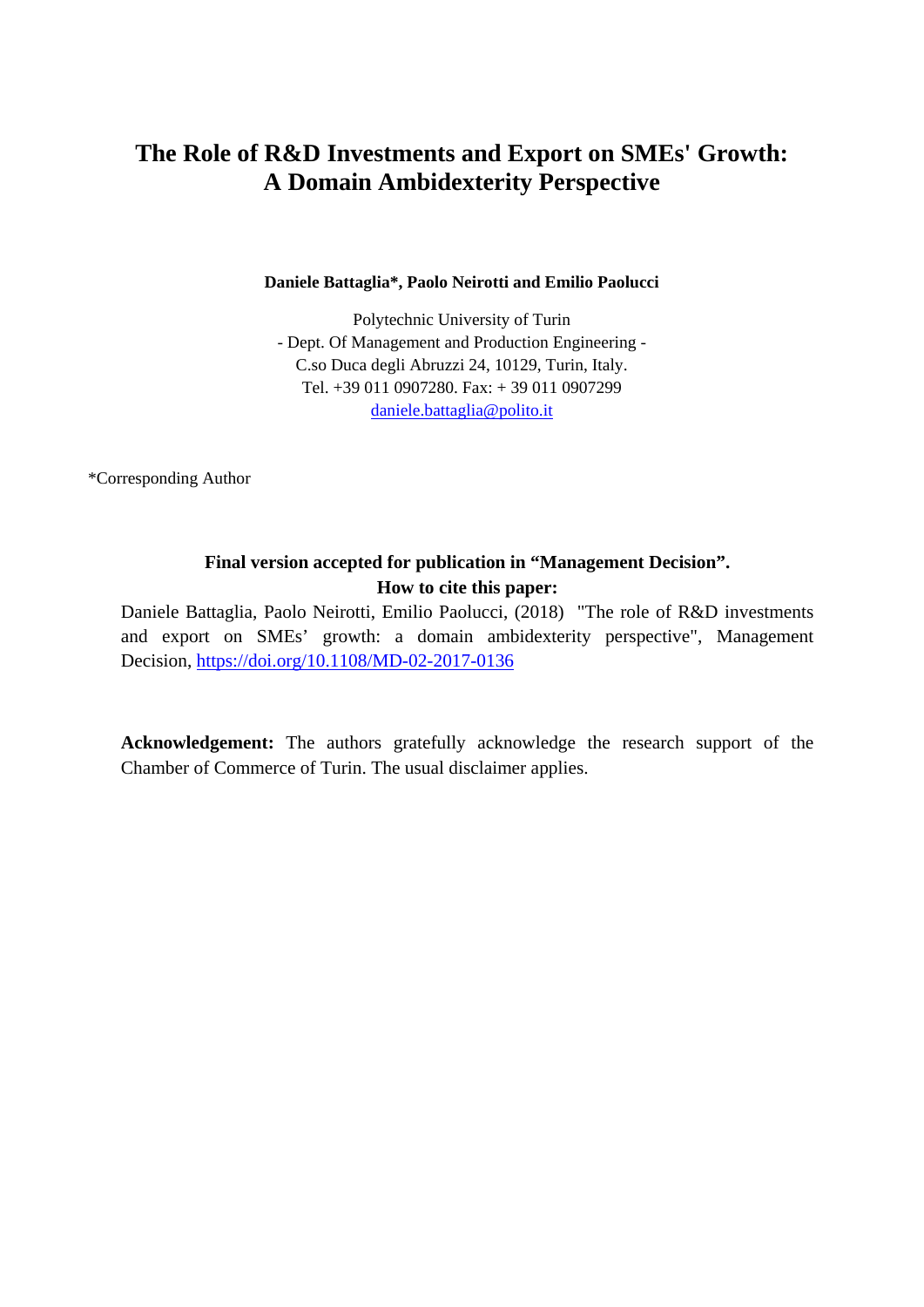## **The Role of R&D Investments and Export on SMEs' Growth: A Domain Ambidexterity Perspective**

### **Daniele Battaglia\*, Paolo Neirotti and Emilio Paolucci**

Polytechnic University of Turin - Dept. Of Management and Production Engineering - C.so Duca degli Abruzzi 24, 10129, Turin, Italy. Tel. +39 011 0907280. Fax: + 39 011 0907299 [daniele.battaglia@polito.it](mailto:daniele.battaglia@polito.it)

\*Corresponding Author

## **Final version accepted for publication in "Management Decision". How to cite this paper:**

Daniele Battaglia, Paolo Neirotti, Emilio Paolucci, (2018) "The role of R&D investments and export on SMEs' growth: a domain ambidexterity perspective", Management Decision,<https://doi.org/10.1108/MD-02-2017-0136>

**Acknowledgement:** The authors gratefully acknowledge the research support of the Chamber of Commerce of Turin. The usual disclaimer applies.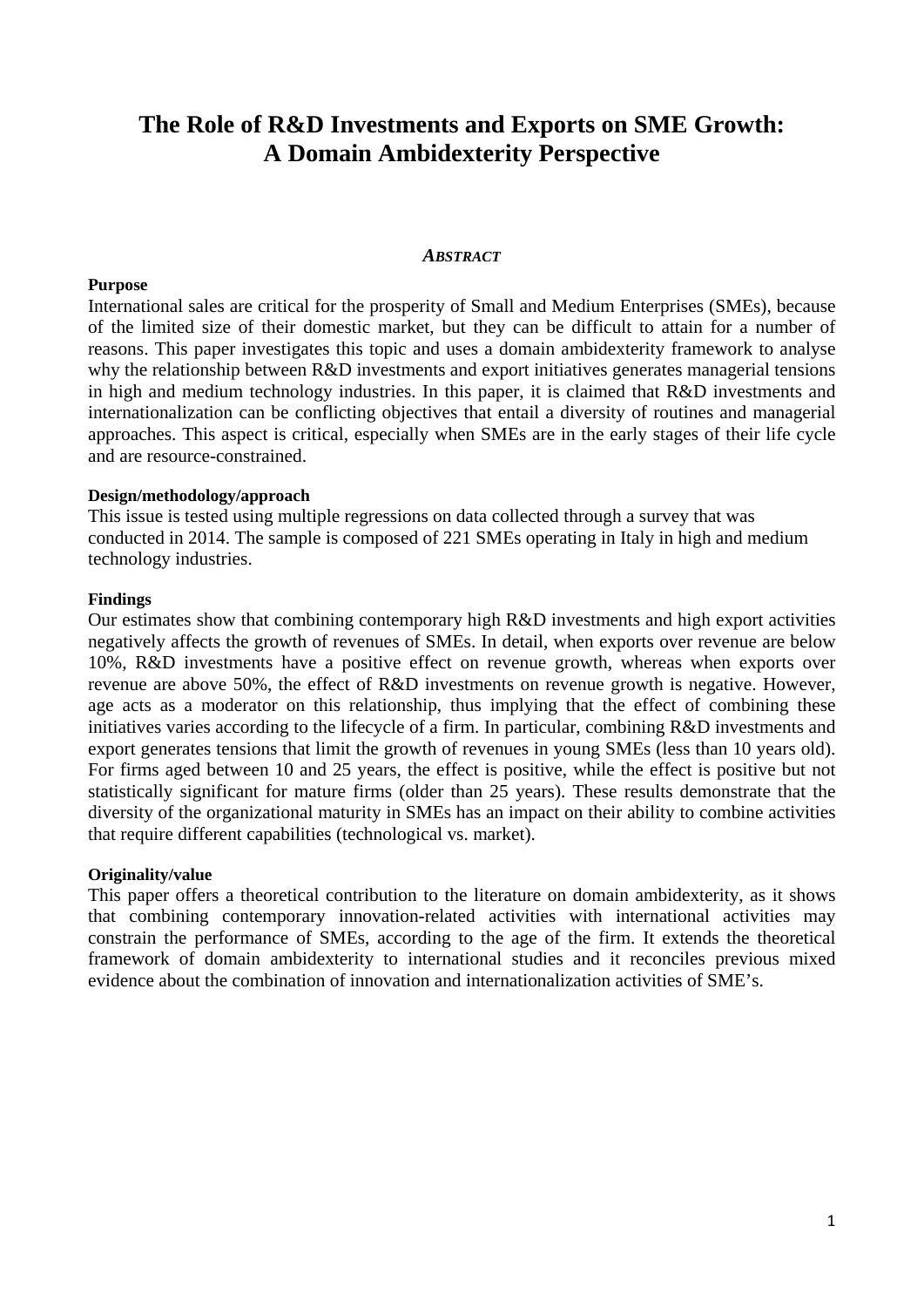# **The Role of R&D Investments and Exports on SME Growth: A Domain Ambidexterity Perspective**

## *ABSTRACT*

#### **Purpose**

International sales are critical for the prosperity of Small and Medium Enterprises (SMEs), because of the limited size of their domestic market, but they can be difficult to attain for a number of reasons. This paper investigates this topic and uses a domain ambidexterity framework to analyse why the relationship between R&D investments and export initiatives generates managerial tensions in high and medium technology industries. In this paper, it is claimed that R&D investments and internationalization can be conflicting objectives that entail a diversity of routines and managerial approaches. This aspect is critical, especially when SMEs are in the early stages of their life cycle and are resource-constrained.

#### **Design/methodology/approach**

This issue is tested using multiple regressions on data collected through a survey that was conducted in 2014. The sample is composed of 221 SMEs operating in Italy in high and medium technology industries.

#### **Findings**

Our estimates show that combining contemporary high R&D investments and high export activities negatively affects the growth of revenues of SMEs. In detail, when exports over revenue are below 10%, R&D investments have a positive effect on revenue growth, whereas when exports over revenue are above 50%, the effect of R&D investments on revenue growth is negative. However, age acts as a moderator on this relationship, thus implying that the effect of combining these initiatives varies according to the lifecycle of a firm. In particular, combining R&D investments and export generates tensions that limit the growth of revenues in young SMEs (less than 10 years old). For firms aged between 10 and 25 years, the effect is positive, while the effect is positive but not statistically significant for mature firms (older than 25 years). These results demonstrate that the diversity of the organizational maturity in SMEs has an impact on their ability to combine activities that require different capabilities (technological vs. market).

#### **Originality/value**

This paper offers a theoretical contribution to the literature on domain ambidexterity, as it shows that combining contemporary innovation-related activities with international activities may constrain the performance of SMEs, according to the age of the firm. It extends the theoretical framework of domain ambidexterity to international studies and it reconciles previous mixed evidence about the combination of innovation and internationalization activities of SME's.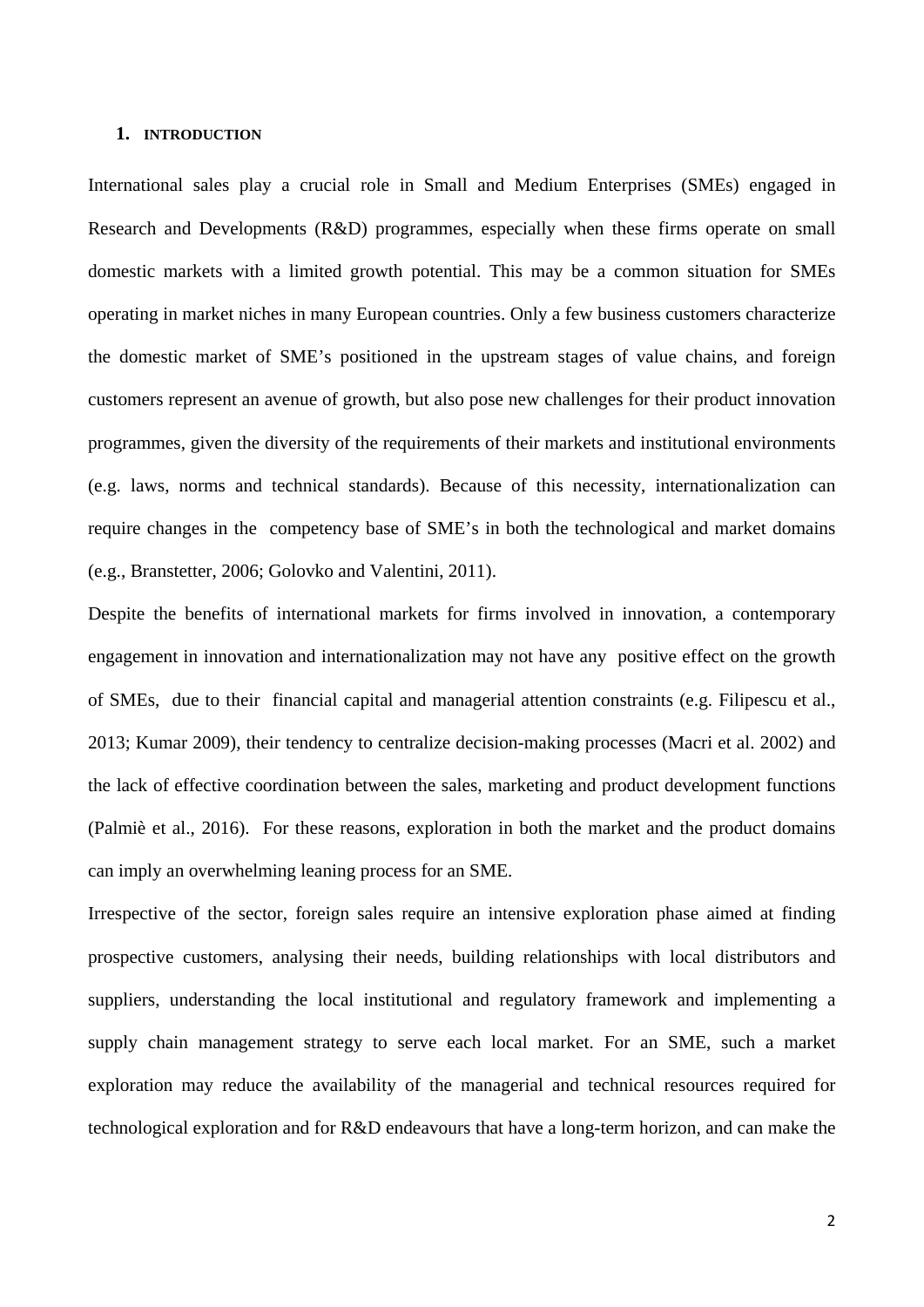## **1. INTRODUCTION**

International sales play a crucial role in Small and Medium Enterprises (SMEs) engaged in Research and Developments (R&D) programmes, especially when these firms operate on small domestic markets with a limited growth potential. This may be a common situation for SMEs operating in market niches in many European countries. Only a few business customers characterize the domestic market of SME's positioned in the upstream stages of value chains, and foreign customers represent an avenue of growth, but also pose new challenges for their product innovation programmes, given the diversity of the requirements of their markets and institutional environments (e.g. laws, norms and technical standards). Because of this necessity, internationalization can require changes in the competency base of SME's in both the technological and market domains (e.g., Branstetter, 2006; Golovko and Valentini, 2011).

Despite the benefits of international markets for firms involved in innovation, a contemporary engagement in innovation and internationalization may not have any positive effect on the growth of SMEs, due to their financial capital and managerial attention constraints (e.g. Filipescu et al., 2013; Kumar 2009), their tendency to centralize decision-making processes (Macri et al. 2002) and the lack of effective coordination between the sales, marketing and product development functions (Palmiè et al., 2016). For these reasons, exploration in both the market and the product domains can imply an overwhelming leaning process for an SME.

Irrespective of the sector, foreign sales require an intensive exploration phase aimed at finding prospective customers, analysing their needs, building relationships with local distributors and suppliers, understanding the local institutional and regulatory framework and implementing a supply chain management strategy to serve each local market. For an SME, such a market exploration may reduce the availability of the managerial and technical resources required for technological exploration and for R&D endeavours that have a long-term horizon, and can make the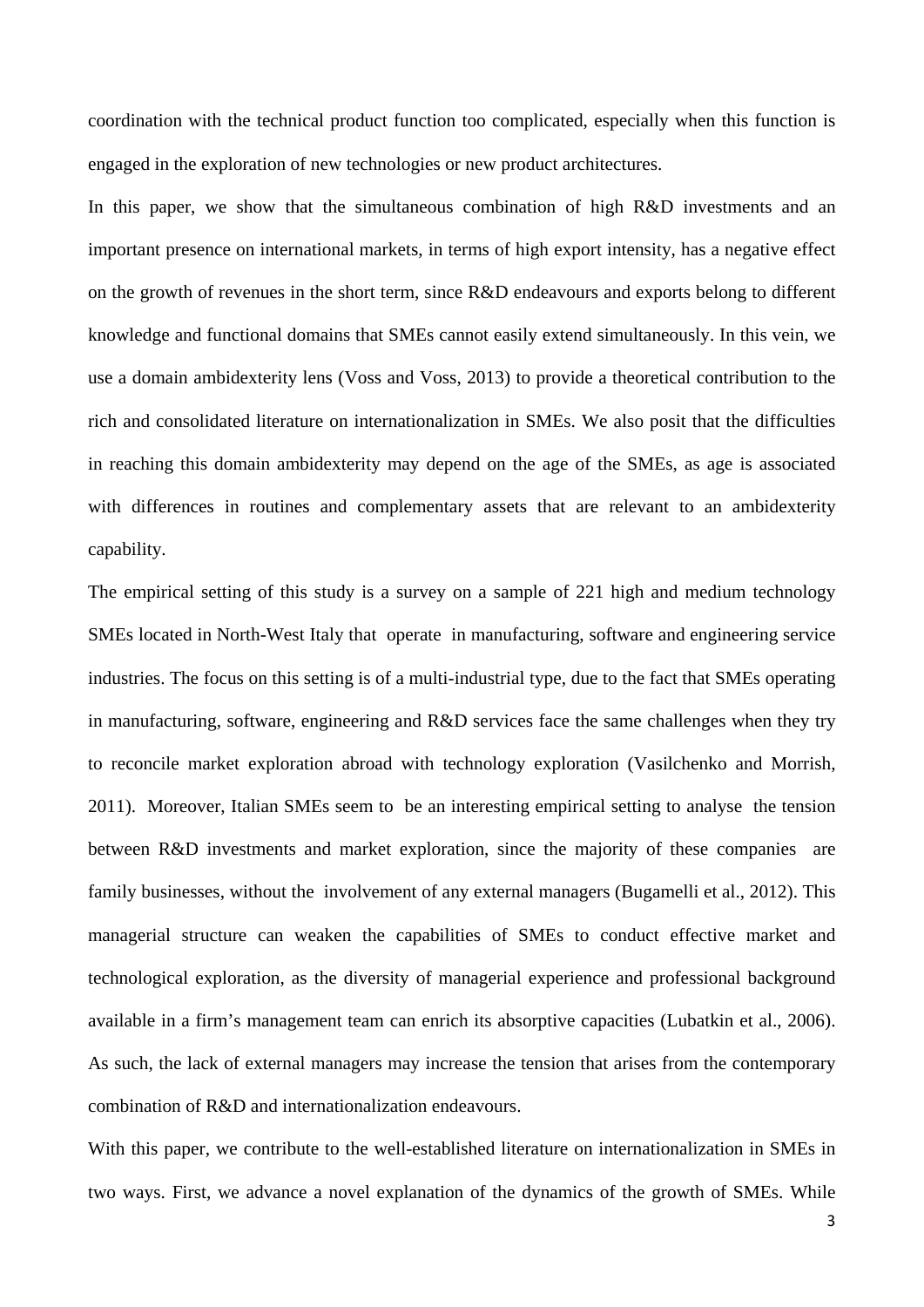coordination with the technical product function too complicated, especially when this function is engaged in the exploration of new technologies or new product architectures.

In this paper, we show that the simultaneous combination of high R&D investments and an important presence on international markets, in terms of high export intensity, has a negative effect on the growth of revenues in the short term, since R&D endeavours and exports belong to different knowledge and functional domains that SMEs cannot easily extend simultaneously. In this vein, we use a domain ambidexterity lens (Voss and Voss, 2013) to provide a theoretical contribution to the rich and consolidated literature on internationalization in SMEs. We also posit that the difficulties in reaching this domain ambidexterity may depend on the age of the SMEs, as age is associated with differences in routines and complementary assets that are relevant to an ambidexterity capability.

The empirical setting of this study is a survey on a sample of 221 high and medium technology SMEs located in North-West Italy that operate in manufacturing, software and engineering service industries. The focus on this setting is of a multi-industrial type, due to the fact that SMEs operating in manufacturing, software, engineering and R&D services face the same challenges when they try to reconcile market exploration abroad with technology exploration (Vasilchenko and Morrish, 2011). Moreover, Italian SMEs seem to be an interesting empirical setting to analyse the tension between R&D investments and market exploration, since the majority of these companies are family businesses, without the involvement of any external managers (Bugamelli et al., 2012). This managerial structure can weaken the capabilities of SMEs to conduct effective market and technological exploration, as the diversity of managerial experience and professional background available in a firm's management team can enrich its absorptive capacities (Lubatkin et al., 2006). As such, the lack of external managers may increase the tension that arises from the contemporary combination of R&D and internationalization endeavours.

With this paper, we contribute to the well-established literature on internationalization in SMEs in two ways. First, we advance a novel explanation of the dynamics of the growth of SMEs. While

3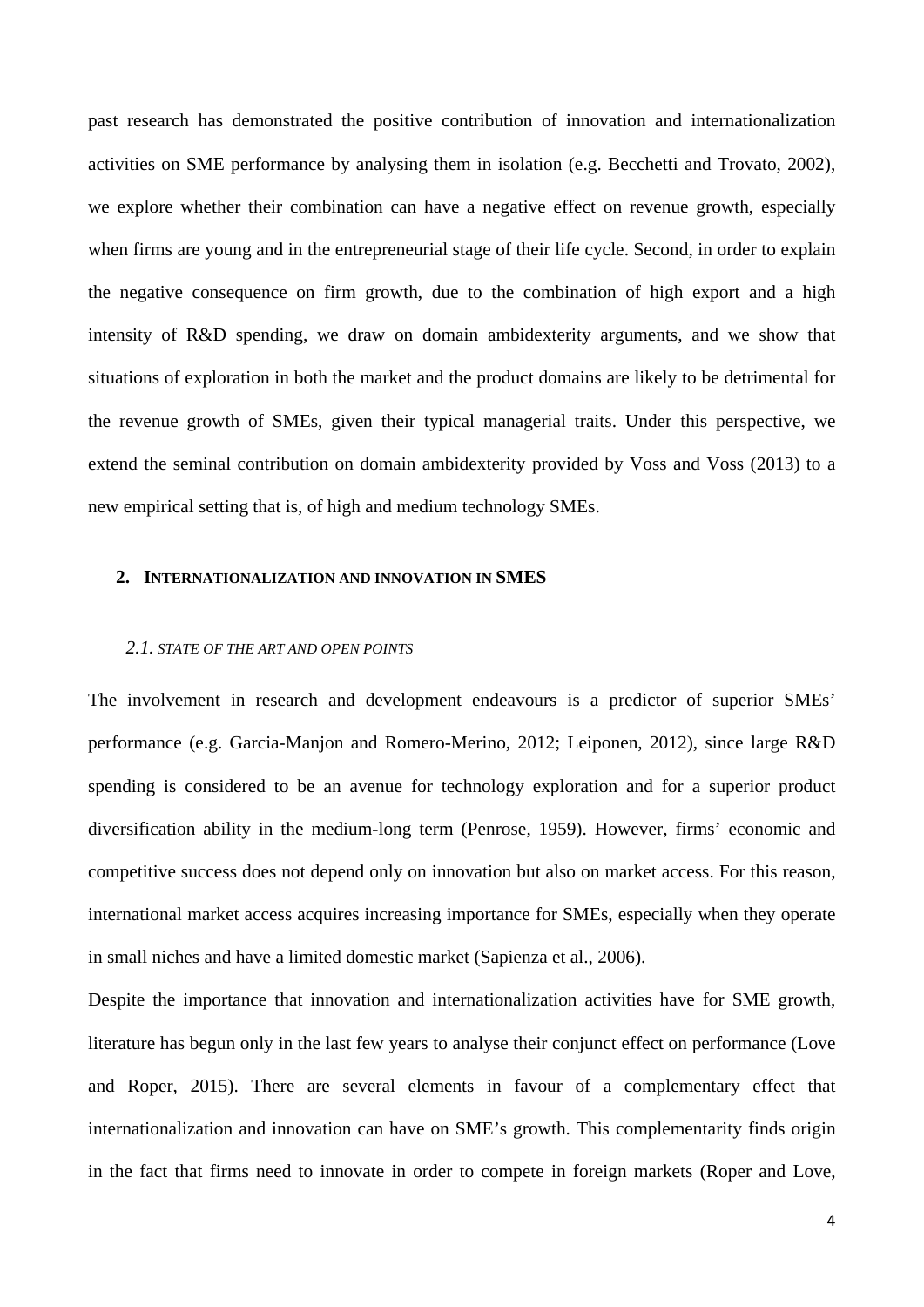past research has demonstrated the positive contribution of innovation and internationalization activities on SME performance by analysing them in isolation (e.g. Becchetti and Trovato, 2002), we explore whether their combination can have a negative effect on revenue growth, especially when firms are young and in the entrepreneurial stage of their life cycle. Second, in order to explain the negative consequence on firm growth, due to the combination of high export and a high intensity of R&D spending, we draw on domain ambidexterity arguments, and we show that situations of exploration in both the market and the product domains are likely to be detrimental for the revenue growth of SMEs, given their typical managerial traits. Under this perspective, we extend the seminal contribution on domain ambidexterity provided by Voss and Voss (2013) to a new empirical setting that is, of high and medium technology SMEs.

## **2. INTERNATIONALIZATION AND INNOVATION IN SMES**

#### *2.1. STATE OF THE ART AND OPEN POINTS*

The involvement in research and development endeavours is a predictor of superior SMEs' performance (e.g. Garcia-Manjon and Romero-Merino, 2012; Leiponen, 2012), since large R&D spending is considered to be an avenue for technology exploration and for a superior product diversification ability in the medium-long term (Penrose, 1959). However, firms' economic and competitive success does not depend only on innovation but also on market access. For this reason, international market access acquires increasing importance for SMEs, especially when they operate in small niches and have a limited domestic market (Sapienza et al., 2006).

Despite the importance that innovation and internationalization activities have for SME growth, literature has begun only in the last few years to analyse their conjunct effect on performance (Love and Roper, 2015). There are several elements in favour of a complementary effect that internationalization and innovation can have on SME's growth. This complementarity finds origin in the fact that firms need to innovate in order to compete in foreign markets (Roper and Love,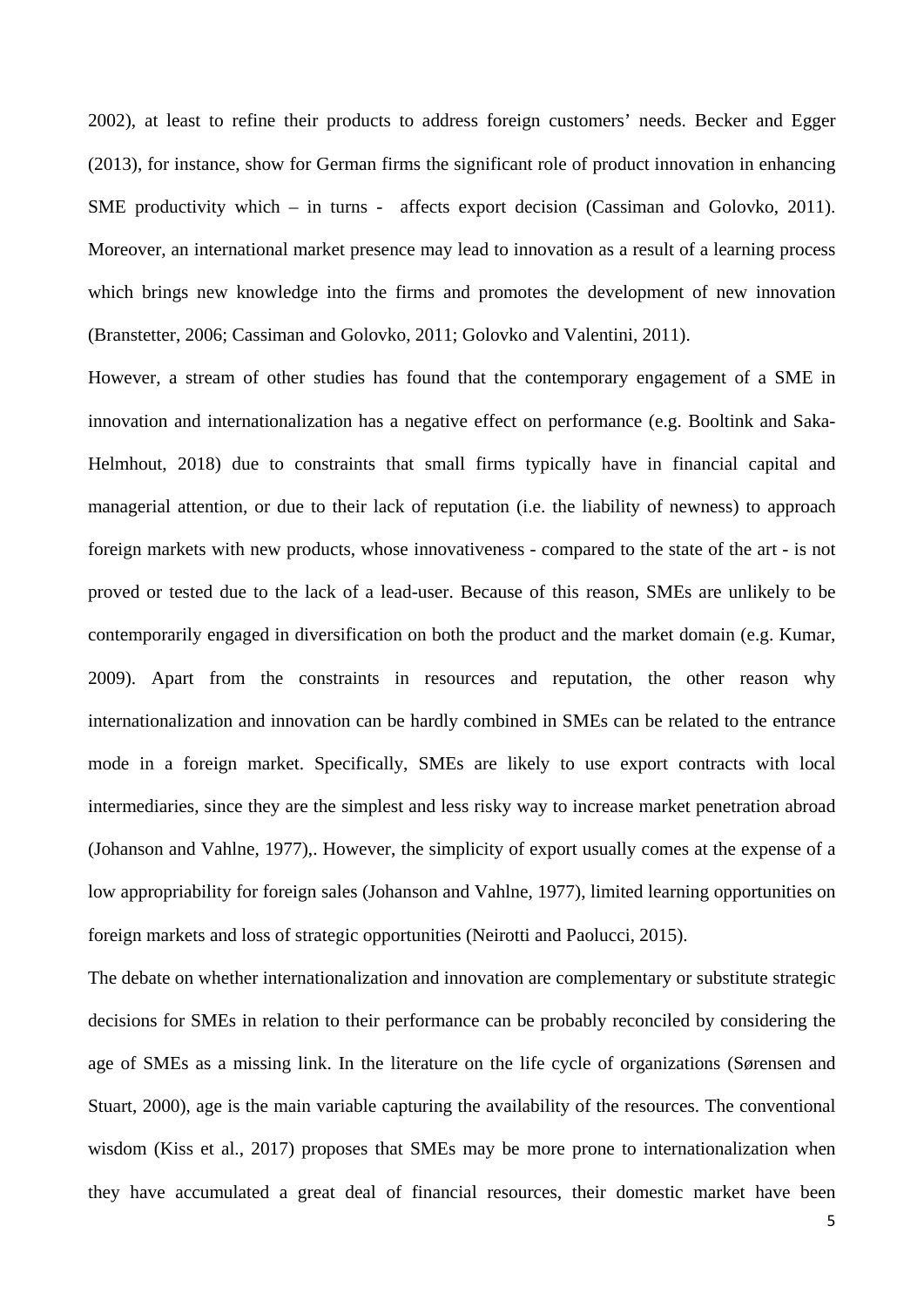2002), at least to refine their products to address foreign customers' needs. Becker and Egger (2013), for instance, show for German firms the significant role of product innovation in enhancing SME productivity which – in turns - affects export decision (Cassiman and Golovko, 2011). Moreover, an international market presence may lead to innovation as a result of a learning process which brings new knowledge into the firms and promotes the development of new innovation (Branstetter, 2006; Cassiman and Golovko, 2011; Golovko and Valentini, 2011).

However, a stream of other studies has found that the contemporary engagement of a SME in innovation and internationalization has a negative effect on performance (e.g. Booltink and Saka-Helmhout, 2018) due to constraints that small firms typically have in financial capital and managerial attention, or due to their lack of reputation (i.e. the liability of newness) to approach foreign markets with new products, whose innovativeness - compared to the state of the art - is not proved or tested due to the lack of a lead-user. Because of this reason, SMEs are unlikely to be contemporarily engaged in diversification on both the product and the market domain (e.g. Kumar, 2009). Apart from the constraints in resources and reputation, the other reason why internationalization and innovation can be hardly combined in SMEs can be related to the entrance mode in a foreign market. Specifically, SMEs are likely to use export contracts with local intermediaries, since they are the simplest and less risky way to increase market penetration abroad (Johanson and Vahlne, 1977),. However, the simplicity of export usually comes at the expense of a low appropriability for foreign sales (Johanson and Vahlne, 1977), limited learning opportunities on foreign markets and loss of strategic opportunities (Neirotti and Paolucci, 2015).

The debate on whether internationalization and innovation are complementary or substitute strategic decisions for SMEs in relation to their performance can be probably reconciled by considering the age of SMEs as a missing link. In the literature on the life cycle of organizations (Sørensen and Stuart, 2000), age is the main variable capturing the availability of the resources. The conventional wisdom (Kiss et al., 2017) proposes that SMEs may be more prone to internationalization when they have accumulated a great deal of financial resources, their domestic market have been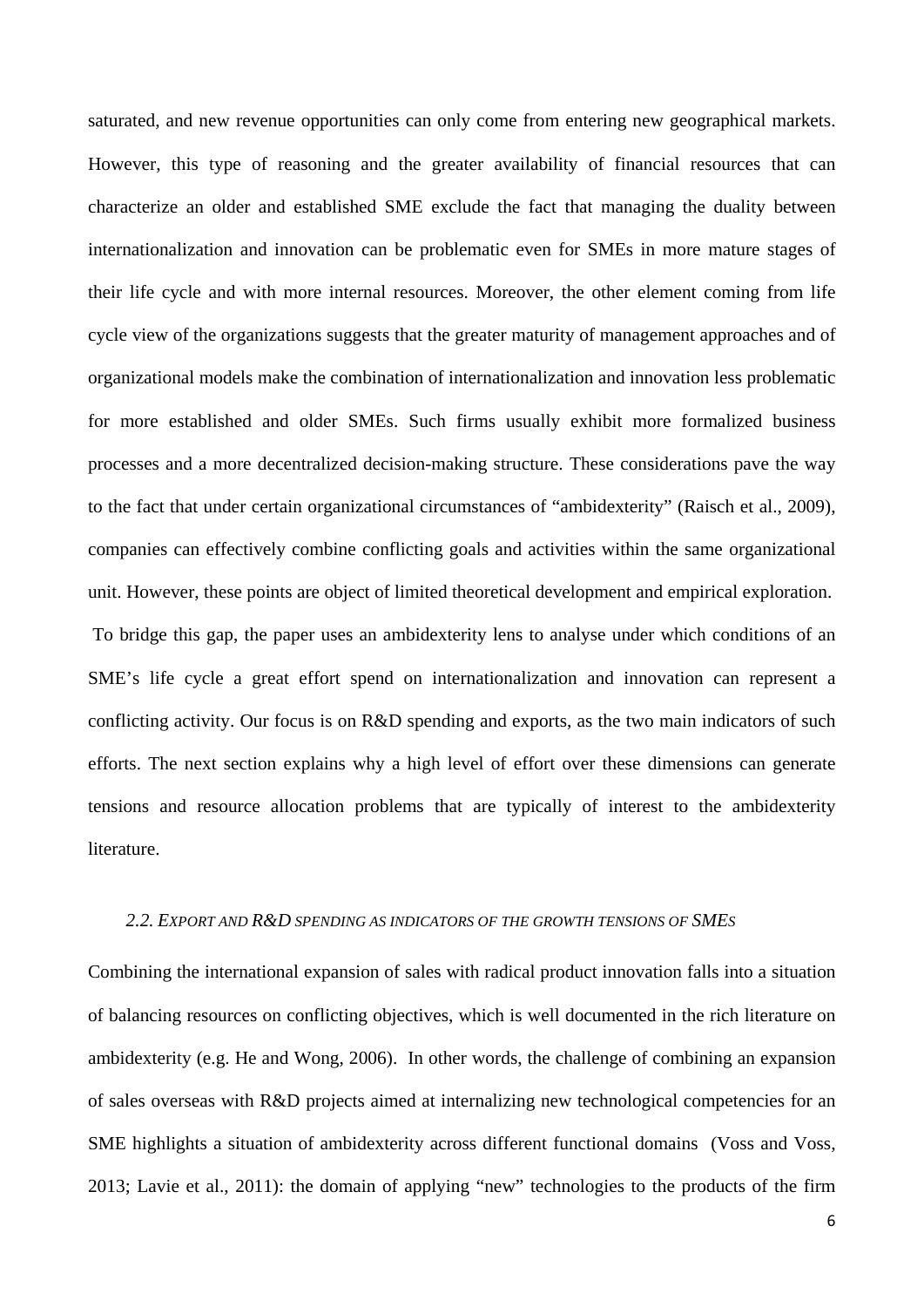saturated, and new revenue opportunities can only come from entering new geographical markets. However, this type of reasoning and the greater availability of financial resources that can characterize an older and established SME exclude the fact that managing the duality between internationalization and innovation can be problematic even for SMEs in more mature stages of their life cycle and with more internal resources. Moreover, the other element coming from life cycle view of the organizations suggests that the greater maturity of management approaches and of organizational models make the combination of internationalization and innovation less problematic for more established and older SMEs. Such firms usually exhibit more formalized business processes and a more decentralized decision-making structure. These considerations pave the way to the fact that under certain organizational circumstances of "ambidexterity" (Raisch et al., 2009), companies can effectively combine conflicting goals and activities within the same organizational unit. However, these points are object of limited theoretical development and empirical exploration. To bridge this gap, the paper uses an ambidexterity lens to analyse under which conditions of an SME's life cycle a great effort spend on internationalization and innovation can represent a conflicting activity. Our focus is on R&D spending and exports, as the two main indicators of such efforts. The next section explains why a high level of effort over these dimensions can generate tensions and resource allocation problems that are typically of interest to the ambidexterity literature.

#### *2.2. EXPORT AND R&D SPENDING AS INDICATORS OF THE GROWTH TENSIONS OF SMES*

Combining the international expansion of sales with radical product innovation falls into a situation of balancing resources on conflicting objectives, which is well documented in the rich literature on ambidexterity (e.g. He and Wong, 2006). In other words, the challenge of combining an expansion of sales overseas with R&D projects aimed at internalizing new technological competencies for an SME highlights a situation of ambidexterity across different functional domains (Voss and Voss, 2013; Lavie et al., 2011): the domain of applying "new" technologies to the products of the firm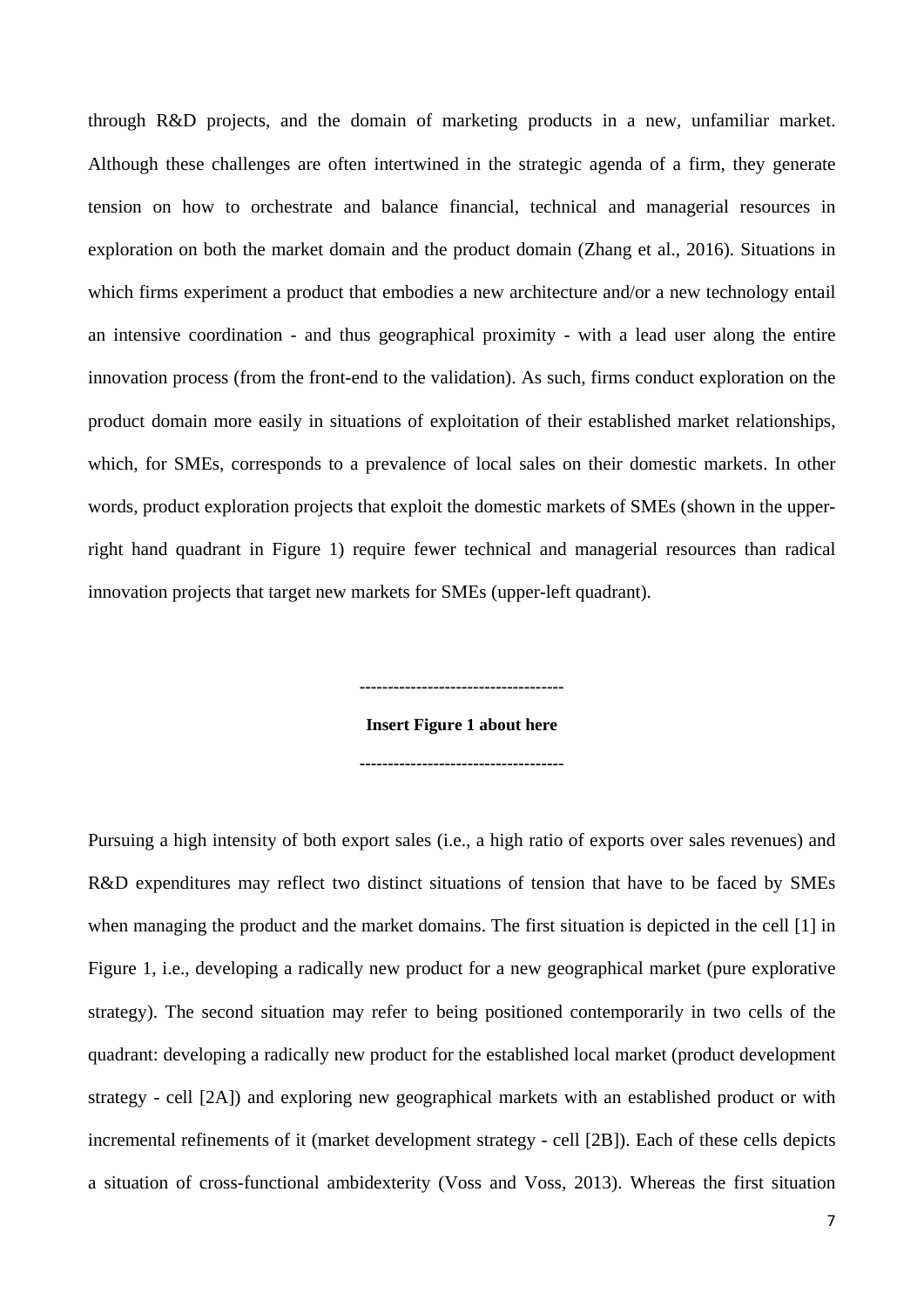through R&D projects, and the domain of marketing products in a new, unfamiliar market. Although these challenges are often intertwined in the strategic agenda of a firm, they generate tension on how to orchestrate and balance financial, technical and managerial resources in exploration on both the market domain and the product domain (Zhang et al., 2016). Situations in which firms experiment a product that embodies a new architecture and/or a new technology entail an intensive coordination - and thus geographical proximity - with a lead user along the entire innovation process (from the front-end to the validation). As such, firms conduct exploration on the product domain more easily in situations of exploitation of their established market relationships, which, for SMEs, corresponds to a prevalence of local sales on their domestic markets. In other words, product exploration projects that exploit the domestic markets of SMEs (shown in the upperright hand quadrant in Figure 1) require fewer technical and managerial resources than radical innovation projects that target new markets for SMEs (upper-left quadrant).

> **Insert Figure 1 about here ------------------------------------**

**------------------------------------**

Pursuing a high intensity of both export sales (i.e., a high ratio of exports over sales revenues) and R&D expenditures may reflect two distinct situations of tension that have to be faced by SMEs when managing the product and the market domains. The first situation is depicted in the cell [1] in Figure 1, i.e., developing a radically new product for a new geographical market (pure explorative strategy). The second situation may refer to being positioned contemporarily in two cells of the quadrant: developing a radically new product for the established local market (product development strategy - cell [2A]) and exploring new geographical markets with an established product or with incremental refinements of it (market development strategy - cell [2B]). Each of these cells depicts a situation of cross-functional ambidexterity (Voss and Voss, 2013). Whereas the first situation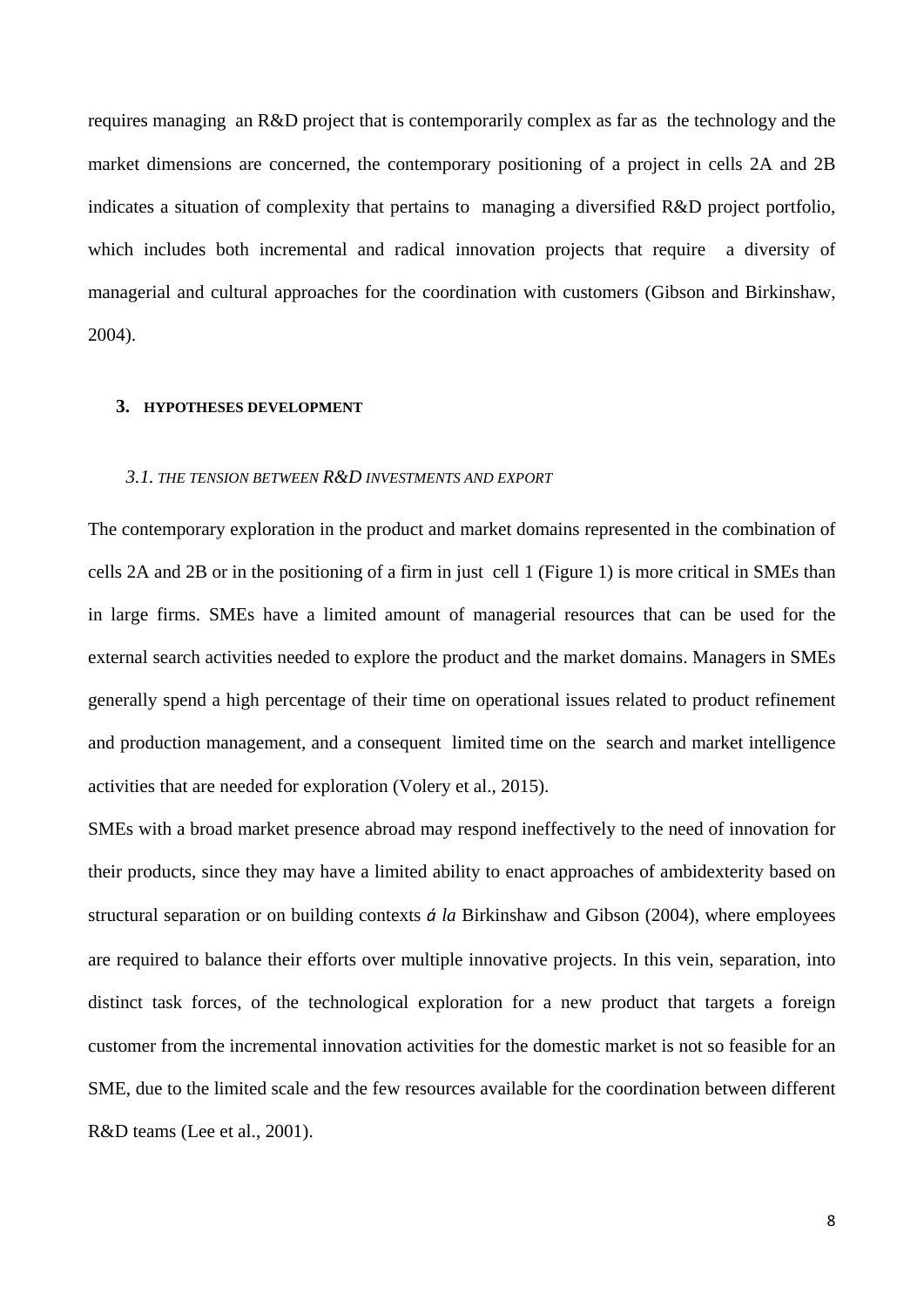requires managing an R&D project that is contemporarily complex as far as the technology and the market dimensions are concerned, the contemporary positioning of a project in cells 2A and 2B indicates a situation of complexity that pertains to managing a diversified R&D project portfolio, which includes both incremental and radical innovation projects that require a diversity of managerial and cultural approaches for the coordination with customers (Gibson and Birkinshaw, 2004).

#### **3. HYPOTHESES DEVELOPMENT**

#### *3.1. THE TENSION BETWEEN R&D INVESTMENTS AND EXPORT*

The contemporary exploration in the product and market domains represented in the combination of cells 2A and 2B or in the positioning of a firm in just cell 1 (Figure 1) is more critical in SMEs than in large firms. SMEs have a limited amount of managerial resources that can be used for the external search activities needed to explore the product and the market domains. Managers in SMEs generally spend a high percentage of their time on operational issues related to product refinement and production management, and a consequent limited time on the search and market intelligence activities that are needed for exploration (Volery et al., 2015).

SMEs with a broad market presence abroad may respond ineffectively to the need of innovation for their products, since they may have a limited ability to enact approaches of ambidexterity based on structural separation or on building contexts *á la* Birkinshaw and Gibson (2004), where employees are required to balance their efforts over multiple innovative projects. In this vein, separation, into distinct task forces, of the technological exploration for a new product that targets a foreign customer from the incremental innovation activities for the domestic market is not so feasible for an SME, due to the limited scale and the few resources available for the coordination between different R&D teams (Lee et al., 2001).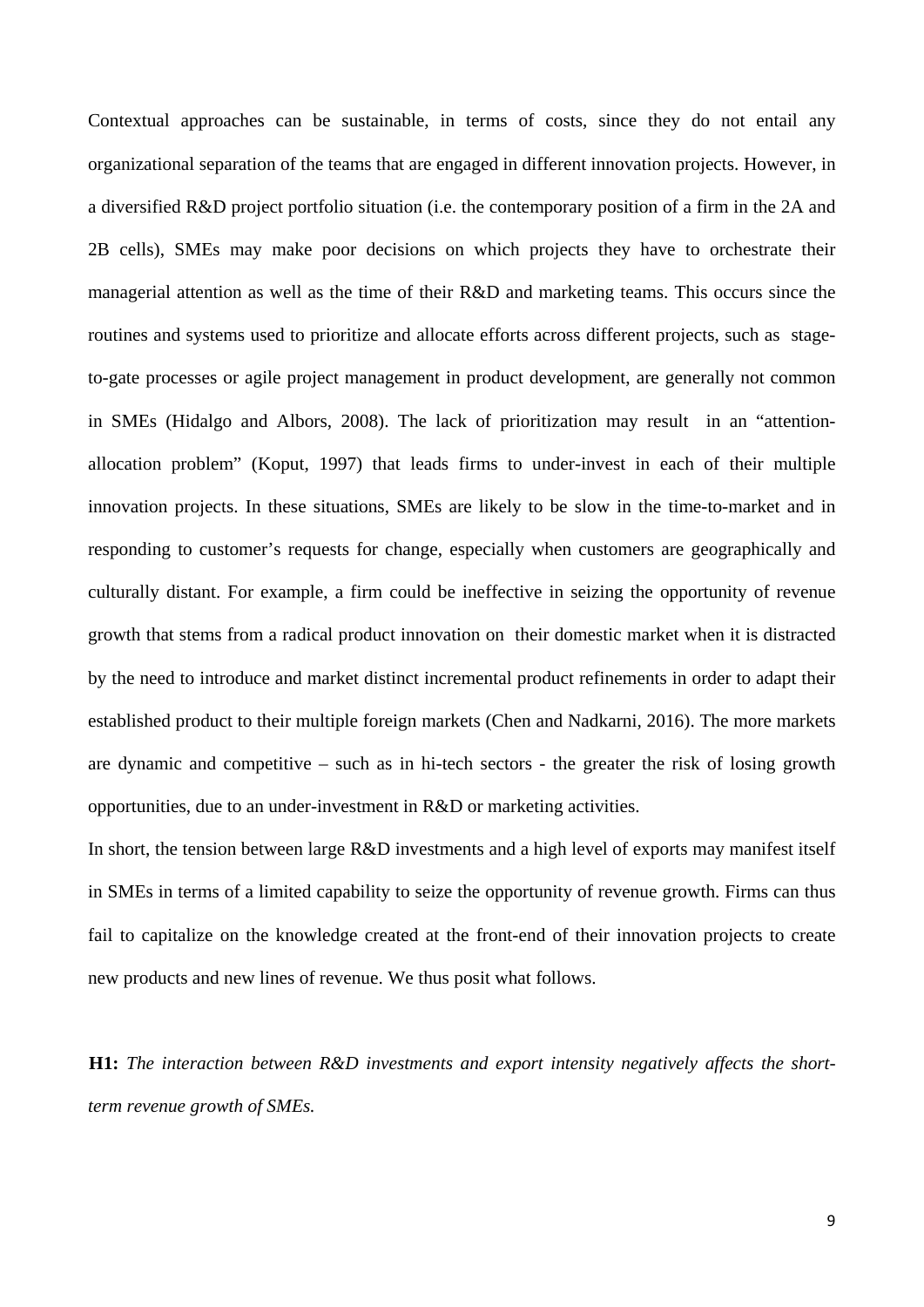Contextual approaches can be sustainable, in terms of costs, since they do not entail any organizational separation of the teams that are engaged in different innovation projects. However, in a diversified R&D project portfolio situation (i.e. the contemporary position of a firm in the 2A and 2B cells), SMEs may make poor decisions on which projects they have to orchestrate their managerial attention as well as the time of their R&D and marketing teams. This occurs since the routines and systems used to prioritize and allocate efforts across different projects, such as stageto-gate processes or agile project management in product development, are generally not common in SMEs (Hidalgo and Albors, 2008). The lack of prioritization may result in an "attentionallocation problem" (Koput, 1997) that leads firms to under-invest in each of their multiple innovation projects. In these situations, SMEs are likely to be slow in the time-to-market and in responding to customer's requests for change, especially when customers are geographically and culturally distant. For example, a firm could be ineffective in seizing the opportunity of revenue growth that stems from a radical product innovation on their domestic market when it is distracted by the need to introduce and market distinct incremental product refinements in order to adapt their established product to their multiple foreign markets (Chen and Nadkarni, 2016). The more markets are dynamic and competitive – such as in hi-tech sectors - the greater the risk of losing growth opportunities, due to an under-investment in R&D or marketing activities.

In short, the tension between large R&D investments and a high level of exports may manifest itself in SMEs in terms of a limited capability to seize the opportunity of revenue growth. Firms can thus fail to capitalize on the knowledge created at the front-end of their innovation projects to create new products and new lines of revenue. We thus posit what follows.

**H1:** *The interaction between R&D investments and export intensity negatively affects the shortterm revenue growth of SMEs.*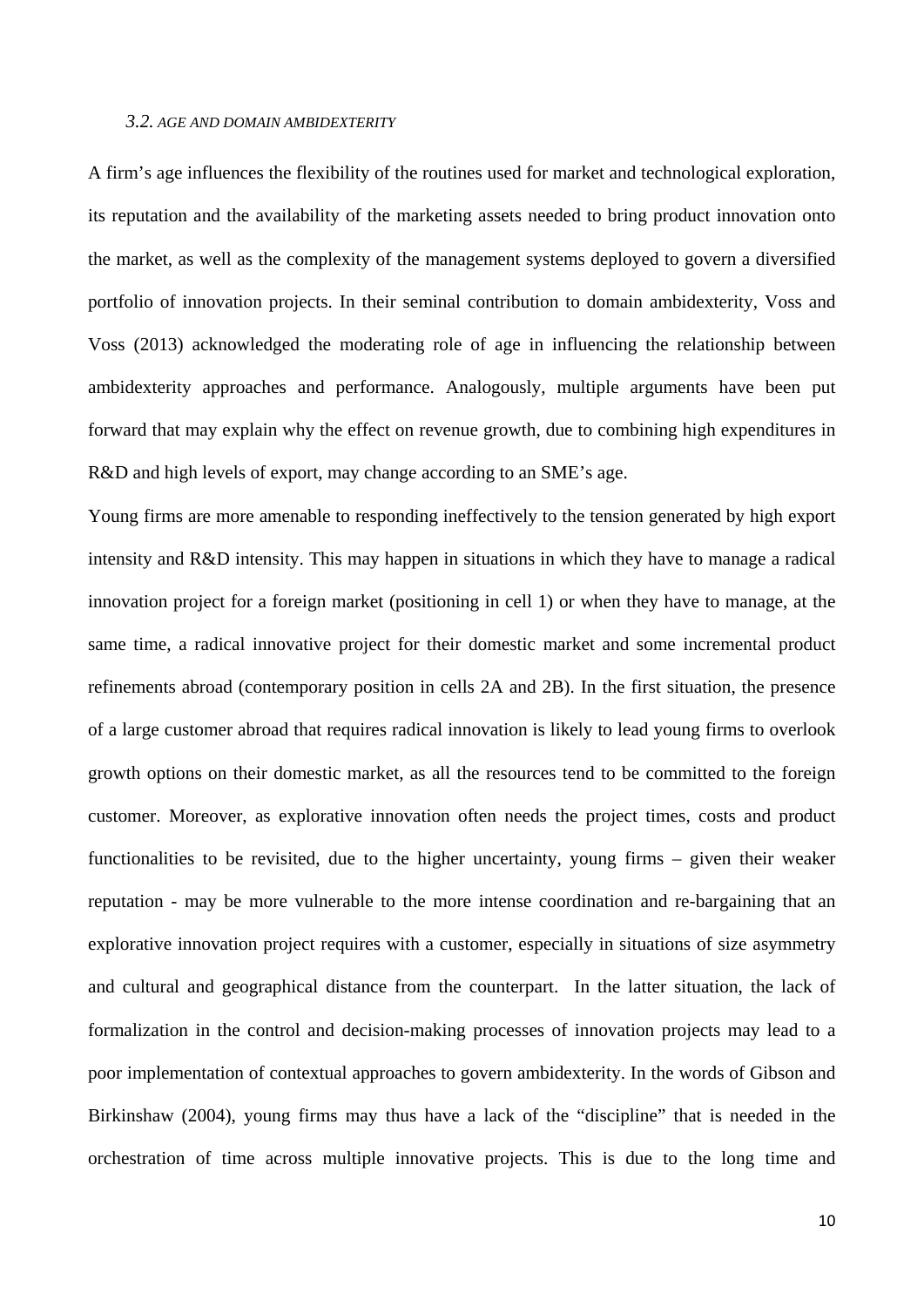#### *3.2. AGE AND DOMAIN AMBIDEXTERITY*

A firm's age influences the flexibility of the routines used for market and technological exploration, its reputation and the availability of the marketing assets needed to bring product innovation onto the market, as well as the complexity of the management systems deployed to govern a diversified portfolio of innovation projects. In their seminal contribution to domain ambidexterity, Voss and Voss (2013) acknowledged the moderating role of age in influencing the relationship between ambidexterity approaches and performance. Analogously, multiple arguments have been put forward that may explain why the effect on revenue growth, due to combining high expenditures in R&D and high levels of export, may change according to an SME's age.

Young firms are more amenable to responding ineffectively to the tension generated by high export intensity and R&D intensity. This may happen in situations in which they have to manage a radical innovation project for a foreign market (positioning in cell 1) or when they have to manage, at the same time, a radical innovative project for their domestic market and some incremental product refinements abroad (contemporary position in cells 2A and 2B). In the first situation, the presence of a large customer abroad that requires radical innovation is likely to lead young firms to overlook growth options on their domestic market, as all the resources tend to be committed to the foreign customer. Moreover, as explorative innovation often needs the project times, costs and product functionalities to be revisited, due to the higher uncertainty, young firms – given their weaker reputation - may be more vulnerable to the more intense coordination and re-bargaining that an explorative innovation project requires with a customer, especially in situations of size asymmetry and cultural and geographical distance from the counterpart. In the latter situation, the lack of formalization in the control and decision-making processes of innovation projects may lead to a poor implementation of contextual approaches to govern ambidexterity. In the words of Gibson and Birkinshaw (2004), young firms may thus have a lack of the "discipline" that is needed in the orchestration of time across multiple innovative projects. This is due to the long time and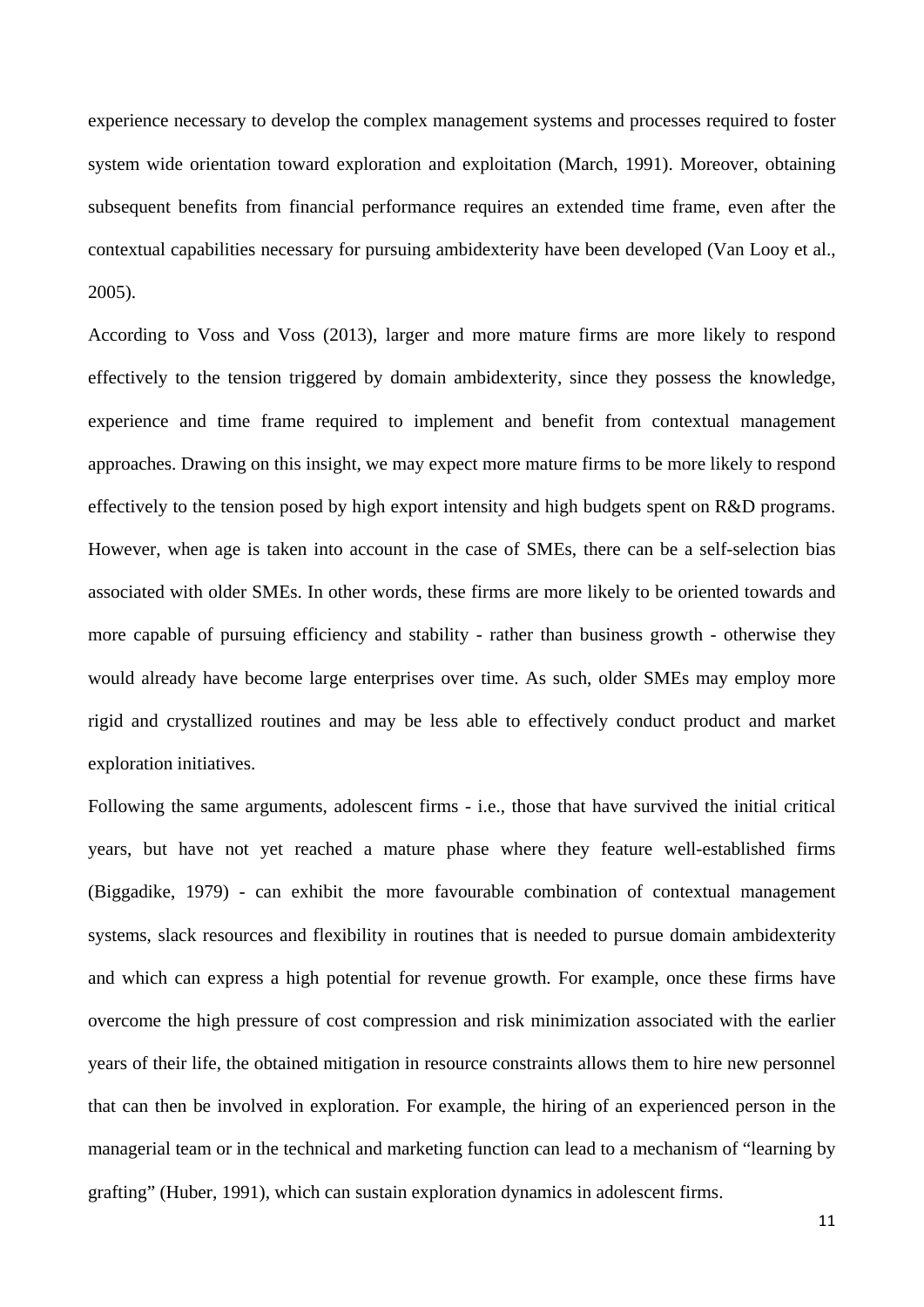experience necessary to develop the complex management systems and processes required to foster system wide orientation toward exploration and exploitation (March, 1991). Moreover, obtaining subsequent benefits from financial performance requires an extended time frame, even after the contextual capabilities necessary for pursuing ambidexterity have been developed (Van Looy et al., 2005).

According to Voss and Voss (2013), larger and more mature firms are more likely to respond effectively to the tension triggered by domain ambidexterity, since they possess the knowledge, experience and time frame required to implement and benefit from contextual management approaches. Drawing on this insight, we may expect more mature firms to be more likely to respond effectively to the tension posed by high export intensity and high budgets spent on R&D programs. However, when age is taken into account in the case of SMEs, there can be a self-selection bias associated with older SMEs. In other words, these firms are more likely to be oriented towards and more capable of pursuing efficiency and stability - rather than business growth - otherwise they would already have become large enterprises over time. As such, older SMEs may employ more rigid and crystallized routines and may be less able to effectively conduct product and market exploration initiatives.

Following the same arguments, adolescent firms - i.e., those that have survived the initial critical years, but have not yet reached a mature phase where they feature well-established firms [\(Biggadike, 1979\)](http://www.sciencedirect.com/science/article/pii/S0883902697000335#BIB9) - can exhibit the more favourable combination of contextual management systems, slack resources and flexibility in routines that is needed to pursue domain ambidexterity and which can express a high potential for revenue growth. For example, once these firms have overcome the high pressure of cost compression and risk minimization associated with the earlier years of their life, the obtained mitigation in resource constraints allows them to hire new personnel that can then be involved in exploration. For example, the hiring of an experienced person in the managerial team or in the technical and marketing function can lead to a mechanism of "learning by grafting" (Huber, 1991), which can sustain exploration dynamics in adolescent firms.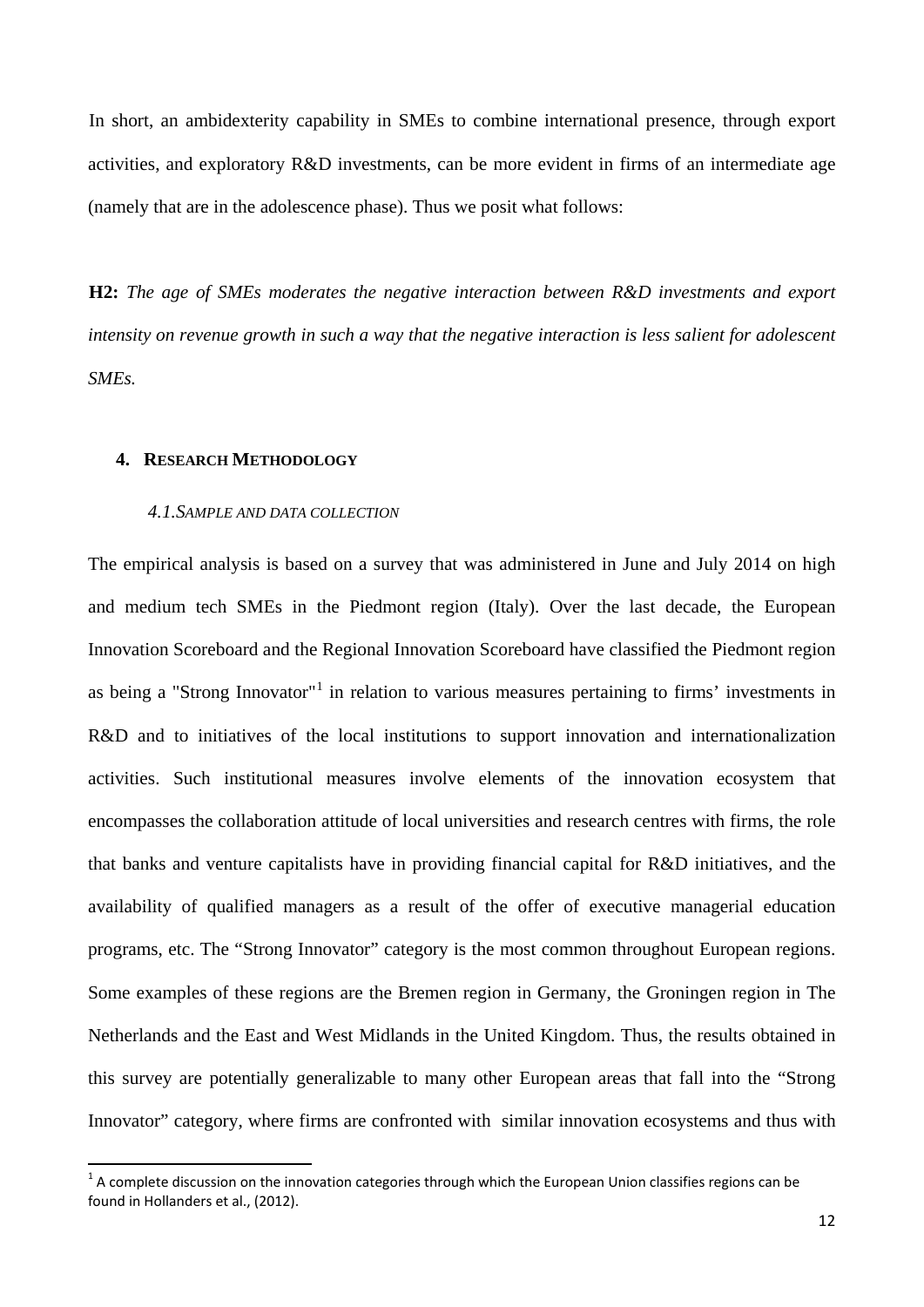In short, an ambidexterity capability in SMEs to combine international presence, through export activities, and exploratory R&D investments, can be more evident in firms of an intermediate age (namely that are in the adolescence phase). Thus we posit what follows:

**H2:** *The age of SMEs moderates the negative interaction between R&D investments and export intensity on revenue growth in such a way that the negative interaction is less salient for adolescent SMEs.* 

## **4. RESEARCH METHODOLOGY**

#### *4.1.SAMPLE AND DATA COLLECTION*

The empirical analysis is based on a survey that was administered in June and July 2014 on high and medium tech SMEs in the Piedmont region (Italy). Over the last decade, the European Innovation Scoreboard and the Regional Innovation Scoreboard have classified the Piedmont region as being a "Strong Innovator"<sup>[1](#page-13-0)</sup> in relation to various measures pertaining to firms' investments in R&D and to initiatives of the local institutions to support innovation and internationalization activities. Such institutional measures involve elements of the innovation ecosystem that encompasses the collaboration attitude of local universities and research centres with firms, the role that banks and venture capitalists have in providing financial capital for R&D initiatives, and the availability of qualified managers as a result of the offer of executive managerial education programs, etc. The "Strong Innovator" category is the most common throughout European regions. Some examples of these regions are the Bremen region in Germany, the Groningen region in The Netherlands and the East and West Midlands in the United Kingdom. Thus, the results obtained in this survey are potentially generalizable to many other European areas that fall into the "Strong Innovator" category, where firms are confronted with similar innovation ecosystems and thus with

<span id="page-13-0"></span> $1$  A complete discussion on the innovation categories through which the European Union classifies regions can be found in Hollanders et al., (2012).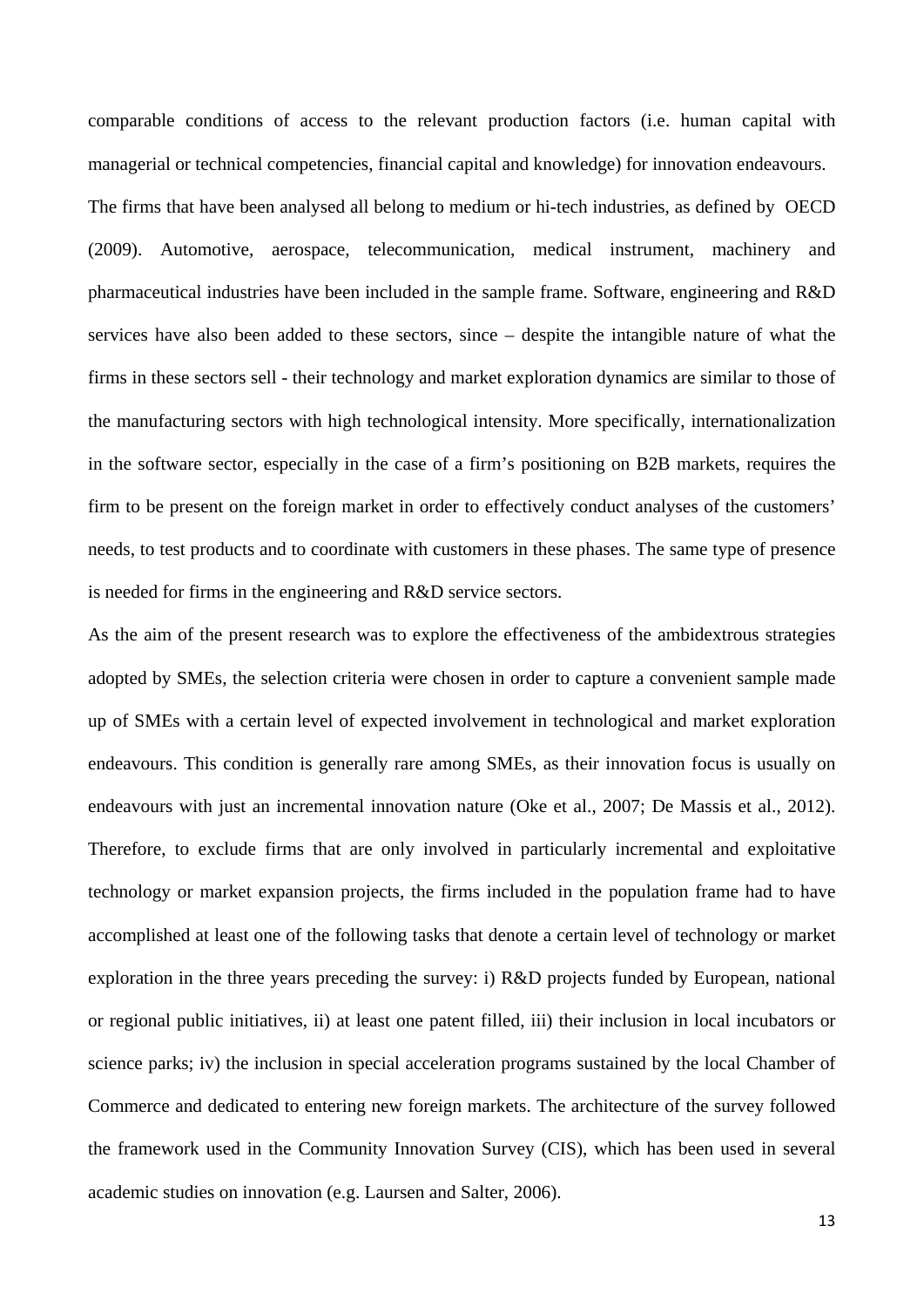comparable conditions of access to the relevant production factors (i.e. human capital with managerial or technical competencies, financial capital and knowledge) for innovation endeavours. The firms that have been analysed all belong to medium or hi-tech industries, as defined by OECD (2009). Automotive, aerospace, telecommunication, medical instrument, machinery and pharmaceutical industries have been included in the sample frame. Software, engineering and R&D services have also been added to these sectors, since – despite the intangible nature of what the firms in these sectors sell - their technology and market exploration dynamics are similar to those of the manufacturing sectors with high technological intensity. More specifically, internationalization in the software sector, especially in the case of a firm's positioning on B2B markets, requires the firm to be present on the foreign market in order to effectively conduct analyses of the customers' needs, to test products and to coordinate with customers in these phases. The same type of presence is needed for firms in the engineering and R&D service sectors.

As the aim of the present research was to explore the effectiveness of the ambidextrous strategies adopted by SMEs, the selection criteria were chosen in order to capture a convenient sample made up of SMEs with a certain level of expected involvement in technological and market exploration endeavours. This condition is generally rare among SMEs, as their innovation focus is usually on endeavours with just an incremental innovation nature (Oke et al., 2007; De Massis et al., 2012). Therefore, to exclude firms that are only involved in particularly incremental and exploitative technology or market expansion projects, the firms included in the population frame had to have accomplished at least one of the following tasks that denote a certain level of technology or market exploration in the three years preceding the survey: i) R&D projects funded by European, national or regional public initiatives, ii) at least one patent filled, iii) their inclusion in local incubators or science parks; iv) the inclusion in special acceleration programs sustained by the local Chamber of Commerce and dedicated to entering new foreign markets. The architecture of the survey followed the framework used in the Community Innovation Survey (CIS), which has been used in several academic studies on innovation (e.g. Laursen and Salter, 2006).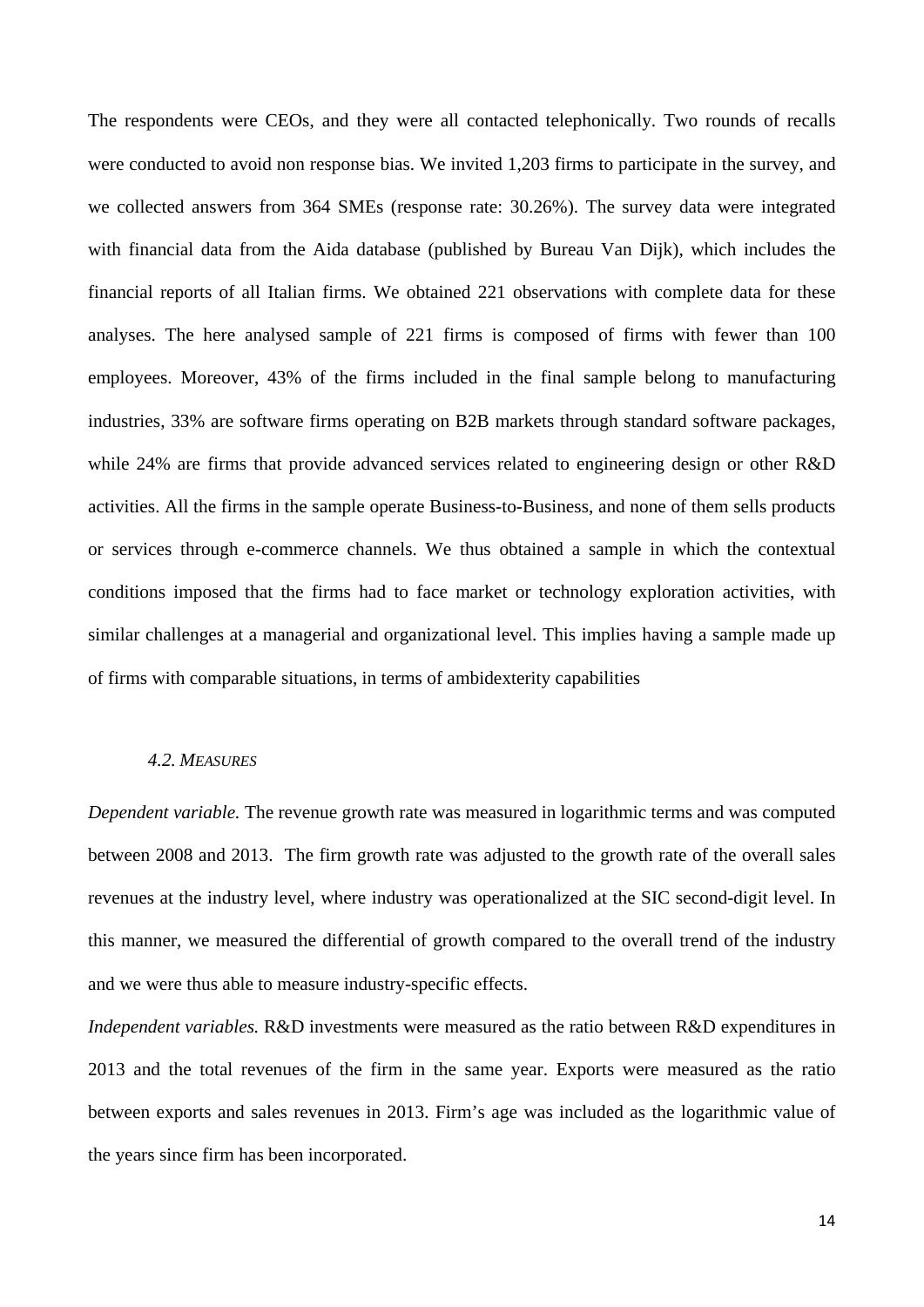The respondents were CEOs, and they were all contacted telephonically. Two rounds of recalls were conducted to avoid non response bias. We invited 1,203 firms to participate in the survey, and we collected answers from 364 SMEs (response rate: 30.26%). The survey data were integrated with financial data from the Aida database (published by Bureau Van Dijk), which includes the financial reports of all Italian firms. We obtained 221 observations with complete data for these analyses. The here analysed sample of 221 firms is composed of firms with fewer than 100 employees. Moreover, 43% of the firms included in the final sample belong to manufacturing industries, 33% are software firms operating on B2B markets through standard software packages, while 24% are firms that provide advanced services related to engineering design or other R&D activities. All the firms in the sample operate Business-to-Business, and none of them sells products or services through e-commerce channels. We thus obtained a sample in which the contextual conditions imposed that the firms had to face market or technology exploration activities, with similar challenges at a managerial and organizational level. This implies having a sample made up of firms with comparable situations, in terms of ambidexterity capabilities

### *4.2. MEASURES*

*Dependent variable.* The revenue growth rate was measured in logarithmic terms and was computed between 2008 and 2013. The firm growth rate was adjusted to the growth rate of the overall sales revenues at the industry level, where industry was operationalized at the SIC second-digit level. In this manner, we measured the differential of growth compared to the overall trend of the industry and we were thus able to measure industry-specific effects.

*Independent variables.* R&D investments were measured as the ratio between R&D expenditures in 2013 and the total revenues of the firm in the same year. Exports were measured as the ratio between exports and sales revenues in 2013. Firm's age was included as the logarithmic value of the years since firm has been incorporated.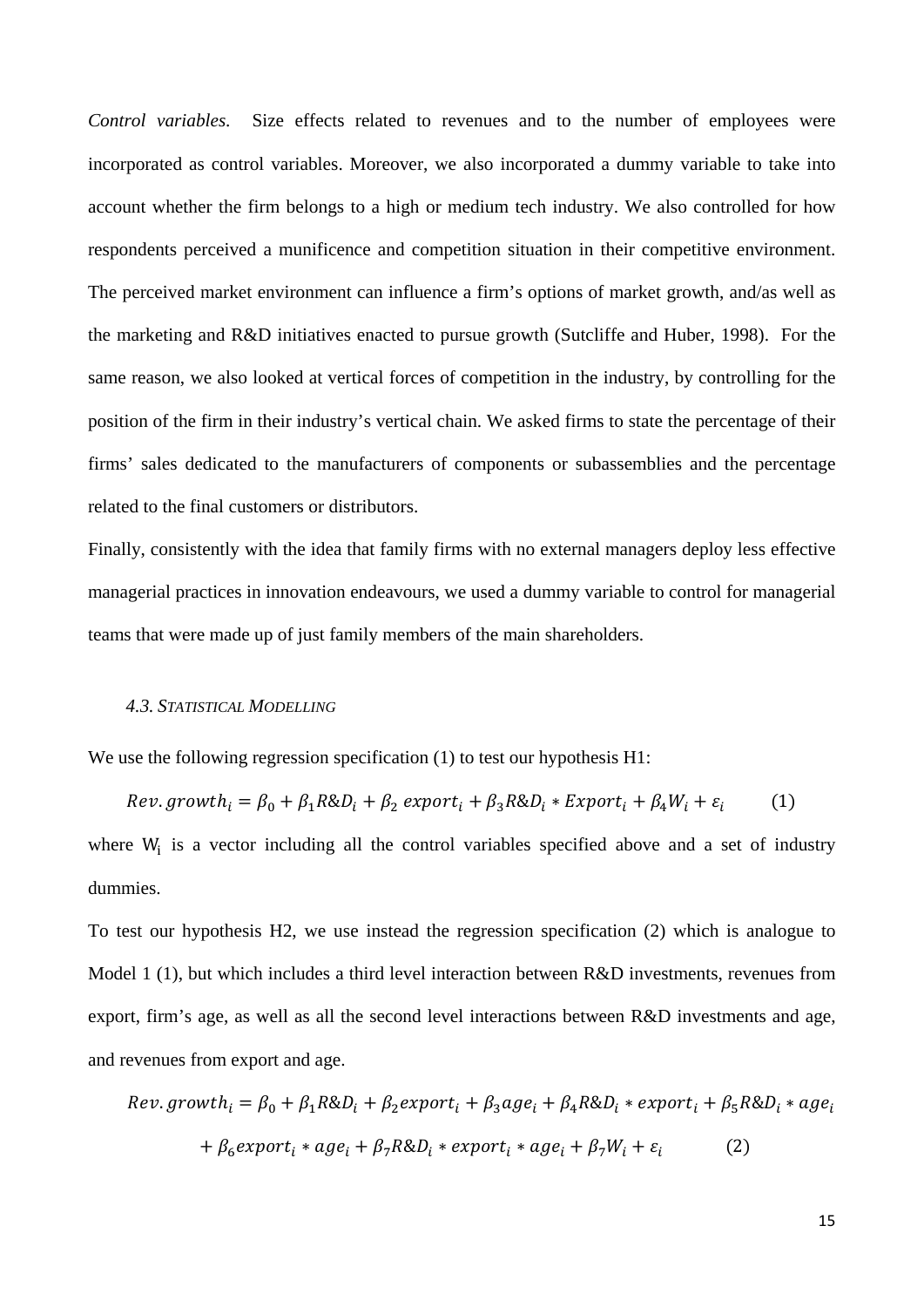*Control variables.* Size effects related to revenues and to the number of employees were incorporated as control variables. Moreover, we also incorporated a dummy variable to take into account whether the firm belongs to a high or medium tech industry. We also controlled for how respondents perceived a munificence and competition situation in their competitive environment. The perceived market environment can influence a firm's options of market growth, and/as well as the marketing and R&D initiatives enacted to pursue growth (Sutcliffe and Huber, 1998). For the same reason, we also looked at vertical forces of competition in the industry, by controlling for the position of the firm in their industry's vertical chain. We asked firms to state the percentage of their firms' sales dedicated to the manufacturers of components or subassemblies and the percentage related to the final customers or distributors.

Finally, consistently with the idea that family firms with no external managers deploy less effective managerial practices in innovation endeavours, we used a dummy variable to control for managerial teams that were made up of just family members of the main shareholders.

## *4.3. STATISTICAL MODELLING*

We use the following regression specification (1) to test our hypothesis H1:

$$
Rev. \, growth_i = \beta_0 + \beta_1 R \& D_i + \beta_2 \, export_i + \beta_3 R \& D_i * Export_i + \beta_4 W_i + \varepsilon_i \tag{1}
$$

where  $W_i$  is a vector including all the control variables specified above and a set of industry dummies.

To test our hypothesis H2, we use instead the regression specification (2) which is analogue to Model 1 (1), but which includes a third level interaction between R&D investments, revenues from export, firm's age, as well as all the second level interactions between R&D investments and age, and revenues from export and age.

$$
Rev.growth_{i} = \beta_{0} + \beta_{1} R \&D_{i} + \beta_{2} export_{i} + \beta_{3} age_{i} + \beta_{4} R \&D_{i} * export_{i} + \beta_{5} R \&D_{i} * age_{i}
$$

$$
+ \beta_{6} export_{i} * age_{i} + \beta_{7} R \&D_{i} * export_{i} * age_{i} + \beta_{7} W_{i} + \varepsilon_{i}
$$
(2)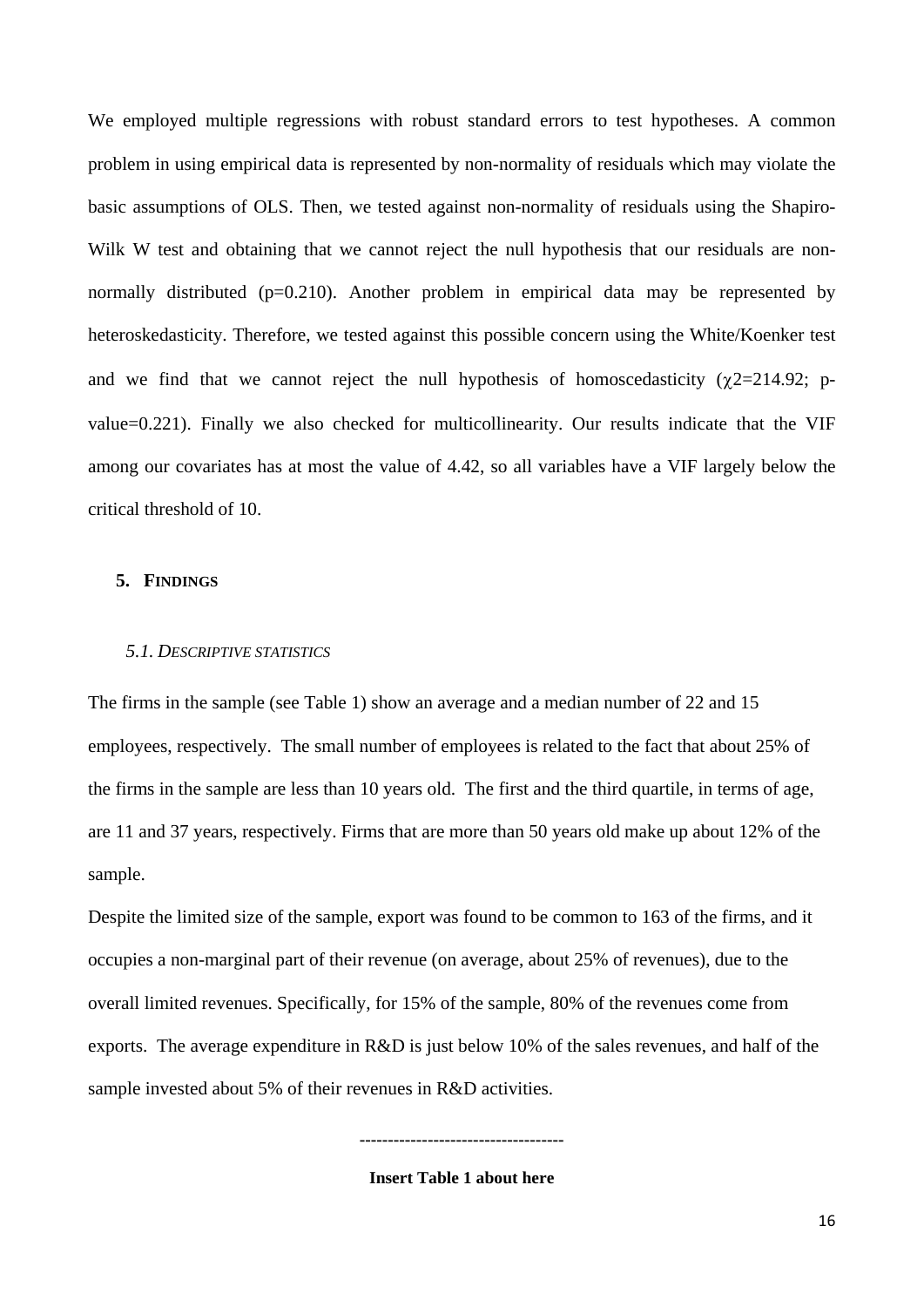We employed multiple regressions with robust standard errors to test hypotheses. A common problem in using empirical data is represented by non-normality of residuals which may violate the basic assumptions of OLS. Then, we tested against non-normality of residuals using the Shapiro-Wilk W test and obtaining that we cannot reject the null hypothesis that our residuals are nonnormally distributed (p=0.210). Another problem in empirical data may be represented by heteroskedasticity. Therefore, we tested against this possible concern using the White/Koenker test and we find that we cannot reject the null hypothesis of homoscedasticity ( $\chi$ 2=214.92; pvalue=0.221). Finally we also checked for multicollinearity. Our results indicate that the VIF among our covariates has at most the value of 4.42, so all variables have a VIF largely below the critical threshold of 10.

### **5. FINDINGS**

#### *5.1. DESCRIPTIVE STATISTICS*

The firms in the sample (see Table 1) show an average and a median number of 22 and 15 employees, respectively. The small number of employees is related to the fact that about 25% of the firms in the sample are less than 10 years old. The first and the third quartile, in terms of age, are 11 and 37 years, respectively. Firms that are more than 50 years old make up about 12% of the sample.

Despite the limited size of the sample, export was found to be common to 163 of the firms, and it occupies a non-marginal part of their revenue (on average, about 25% of revenues), due to the overall limited revenues. Specifically, for 15% of the sample, 80% of the revenues come from exports. The average expenditure in R&D is just below 10% of the sales revenues, and half of the sample invested about 5% of their revenues in R&D activities.

#### **Insert Table 1 about here**

**------------------------------------**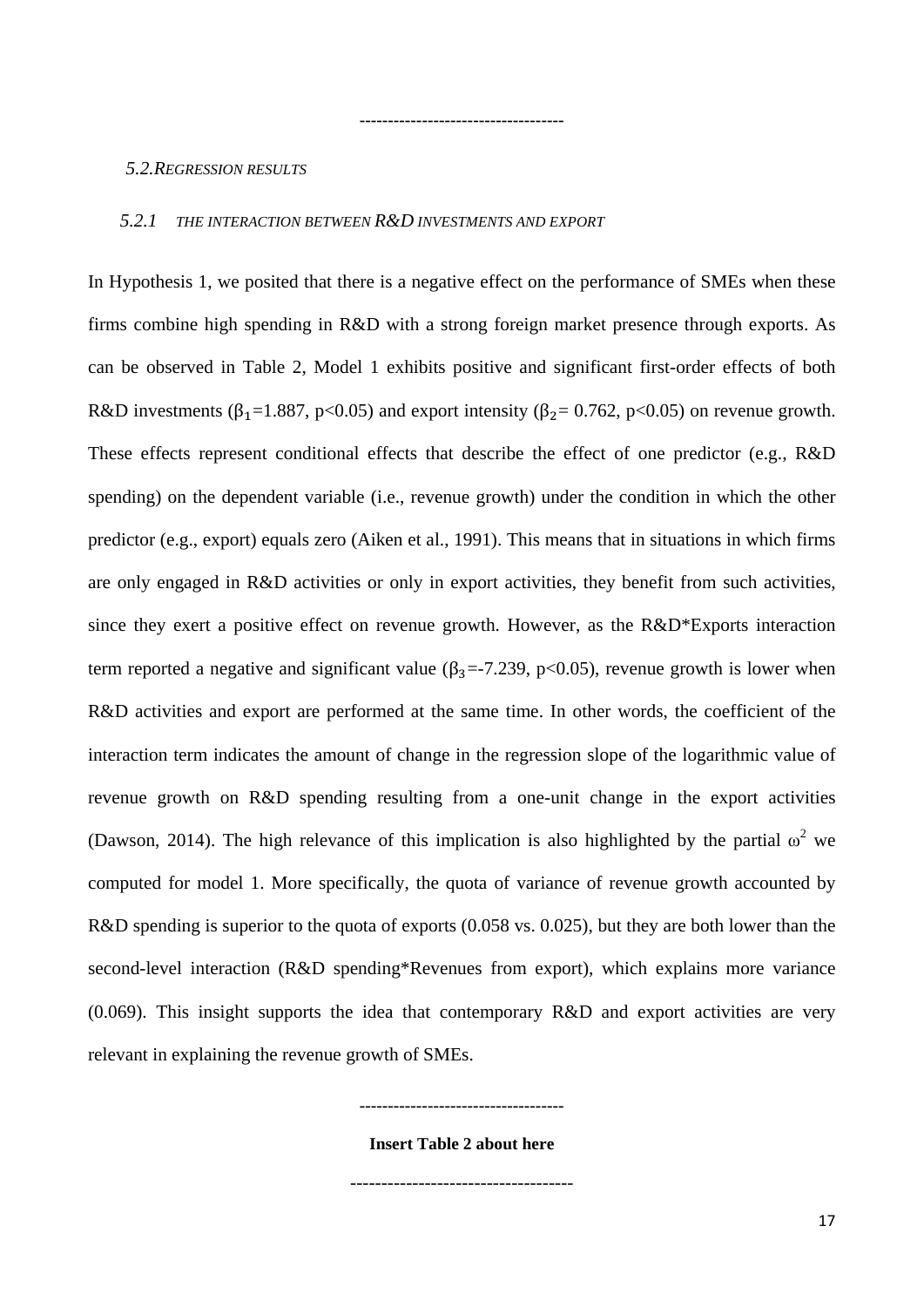#### *5.2.REGRESSION RESULTS*

## *5.2.1 THE INTERACTION BETWEEN R&D INVESTMENTS AND EXPORT*

In Hypothesis 1, we posited that there is a negative effect on the performance of SMEs when these firms combine high spending in R&D with a strong foreign market presence through exports. As can be observed in Table 2, Model 1 exhibits positive and significant first-order effects of both R&D investments ( $\beta_1$ =1.887, p<0.05) and export intensity ( $\beta_2$ = 0.762, p<0.05) on revenue growth. These effects represent conditional effects that describe the effect of one predictor (e.g., R&D spending) on the dependent variable (i.e., revenue growth) under the condition in which the other predictor (e.g., export) equals zero (Aiken et al., 1991). This means that in situations in which firms are only engaged in R&D activities or only in export activities, they benefit from such activities, since they exert a positive effect on revenue growth. However, as the R&D\*Exports interaction term reported a negative and significant value ( $\beta_3 = -7.239$ , p<0.05), revenue growth is lower when R&D activities and export are performed at the same time. In other words, the coefficient of the interaction term indicates the amount of change in the regression slope of the logarithmic value of revenue growth on R&D spending resulting from a one-unit change in the export activities (Dawson, 2014). The high relevance of this implication is also highlighted by the partial  $\omega^2$  we computed for model 1. More specifically, the quota of variance of revenue growth accounted by R&D spending is superior to the quota of exports (0.058 vs. 0.025), but they are both lower than the second-level interaction (R&D spending\*Revenues from export), which explains more variance (0.069). This insight supports the idea that contemporary R&D and export activities are very relevant in explaining the revenue growth of SMEs.

**------------------------------------**

**Insert Table 2 about here**

------------------------------------

**------------------------------------**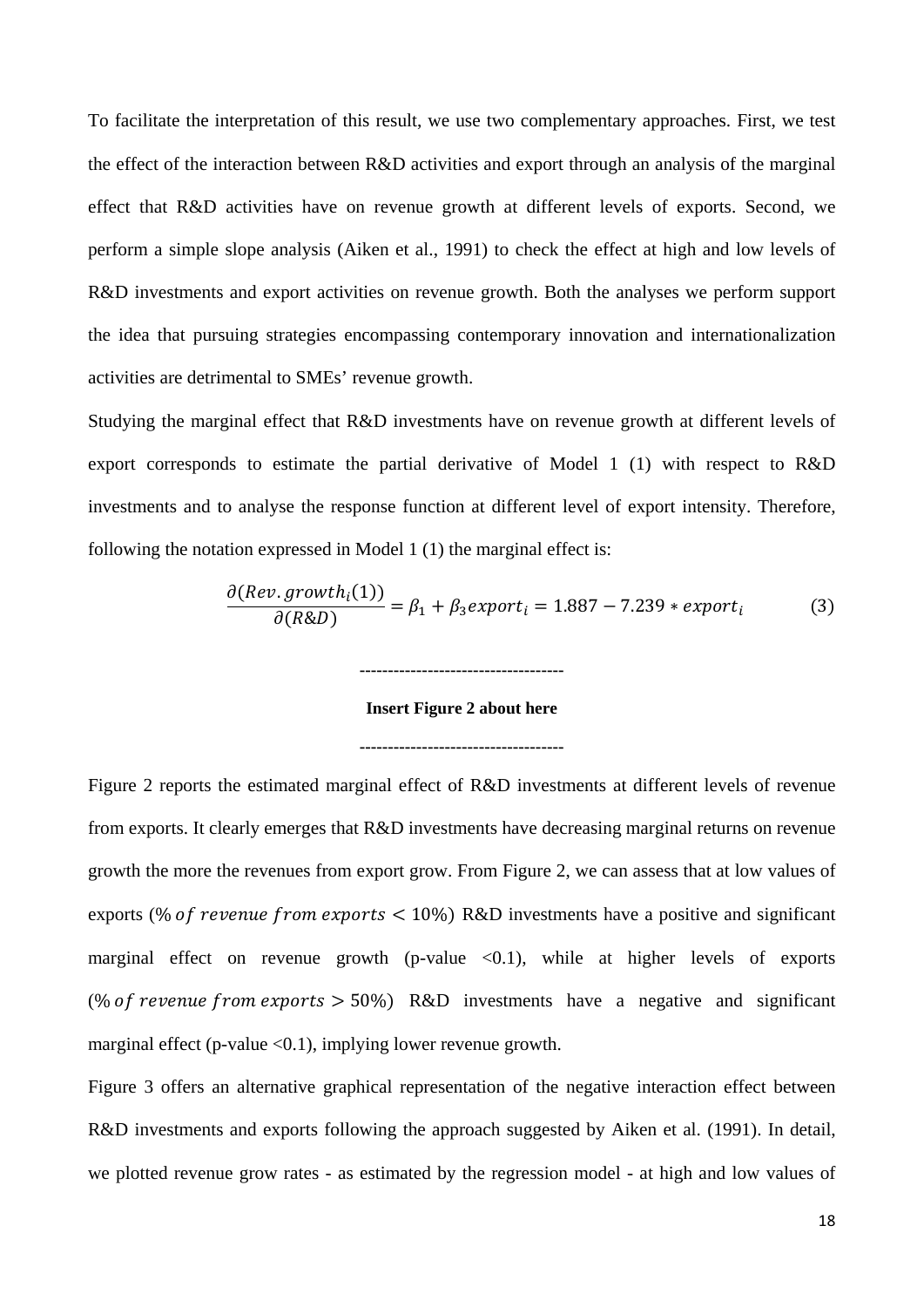To facilitate the interpretation of this result, we use two complementary approaches. First, we test the effect of the interaction between R&D activities and export through an analysis of the marginal effect that R&D activities have on revenue growth at different levels of exports. Second, we perform a simple slope analysis (Aiken et al., 1991) to check the effect at high and low levels of R&D investments and export activities on revenue growth. Both the analyses we perform support the idea that pursuing strategies encompassing contemporary innovation and internationalization activities are detrimental to SMEs' revenue growth.

Studying the marginal effect that R&D investments have on revenue growth at different levels of export corresponds to estimate the partial derivative of Model 1 (1) with respect to R&D investments and to analyse the response function at different level of export intensity. Therefore, following the notation expressed in Model 1 (1) the marginal effect is:

$$
\frac{\partial (Rev. \, growth_i(1))}{\partial (R\&D)} = \beta_1 + \beta_3 \, export_i = 1.887 - 7.239 * export_i \tag{3}
$$

**Insert Figure 2 about here**

**------------------------------------**

**------------------------------------**

Figure 2 reports the estimated marginal effect of R&D investments at different levels of revenue from exports. It clearly emerges that R&D investments have decreasing marginal returns on revenue growth the more the revenues from export grow. From Figure 2, we can assess that at low values of exports (% of revenue from exports  $\langle 10\% \rangle$  R&D investments have a positive and significant marginal effect on revenue growth (p-value  $\langle 0.1$ ), while at higher levels of exports (% of revenue from exports  $> 50\%$ ) R&D investments have a negative and significant marginal effect (p-value  $\langle 0.1 \rangle$ , implying lower revenue growth.

Figure 3 offers an alternative graphical representation of the negative interaction effect between R&D investments and exports following the approach suggested by Aiken et al. (1991). In detail, we plotted revenue grow rates - as estimated by the regression model - at high and low values of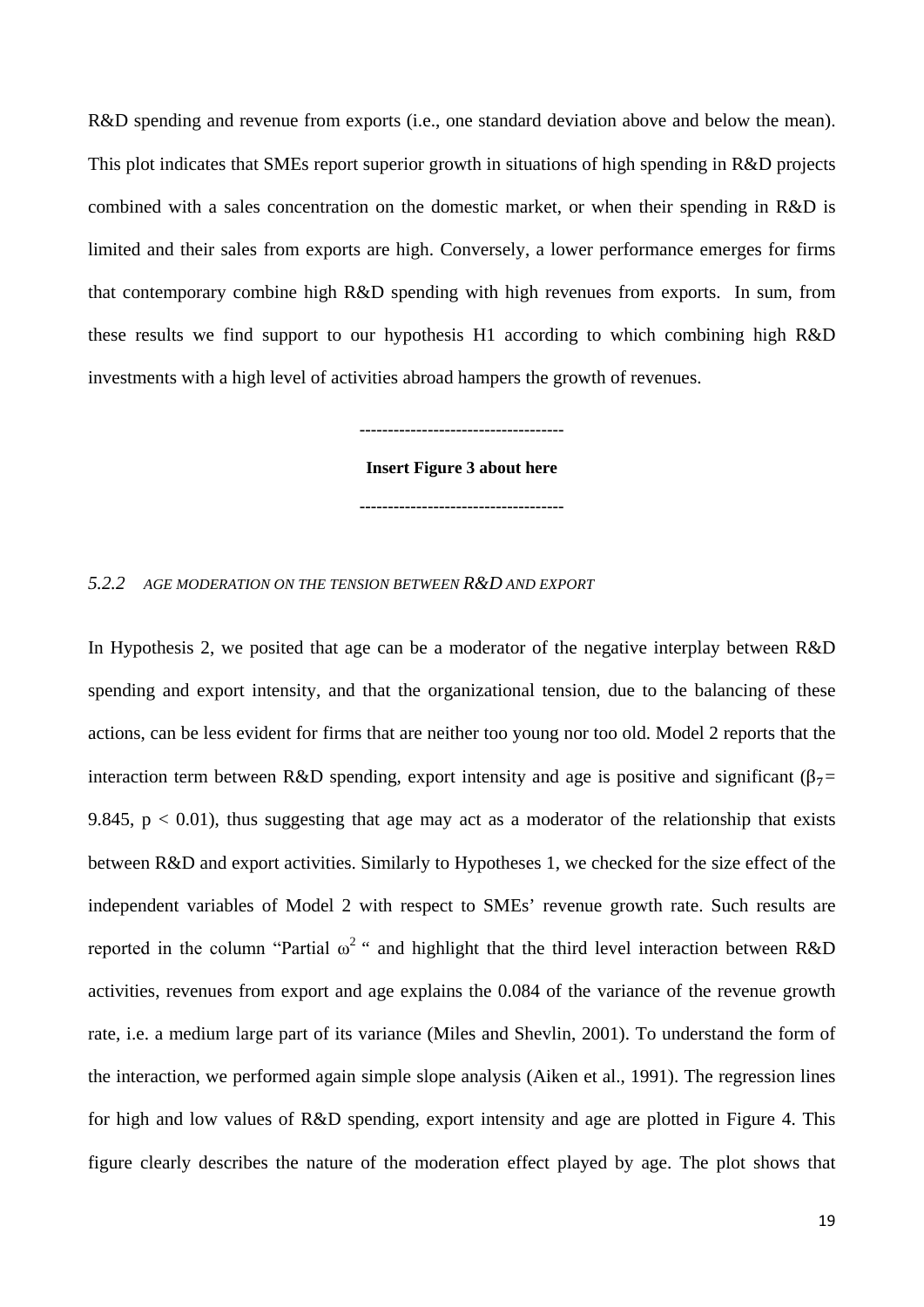R&D spending and revenue from exports (i.e., one standard deviation above and below the mean). This plot indicates that SMEs report superior growth in situations of high spending in R&D projects combined with a sales concentration on the domestic market, or when their spending in R&D is limited and their sales from exports are high. Conversely, a lower performance emerges for firms that contemporary combine high R&D spending with high revenues from exports. In sum, from these results we find support to our hypothesis H1 according to which combining high R&D investments with a high level of activities abroad hampers the growth of revenues.

**Insert Figure 3 about here**

**------------------------------------**

**------------------------------------**

*5.2.2 AGE MODERATION ON THE TENSION BETWEEN R&D AND EXPORT*

In Hypothesis 2, we posited that age can be a moderator of the negative interplay between R&D spending and export intensity, and that the organizational tension, due to the balancing of these actions, can be less evident for firms that are neither too young nor too old. Model 2 reports that the interaction term between R&D spending, export intensity and age is positive and significant ( $\beta$ <sub>7</sub>= 9.845,  $p < 0.01$ ), thus suggesting that age may act as a moderator of the relationship that exists between R&D and export activities. Similarly to Hypotheses 1, we checked for the size effect of the independent variables of Model 2 with respect to SMEs' revenue growth rate. Such results are reported in the column "Partial  $\omega^2$ " and highlight that the third level interaction between R&D activities, revenues from export and age explains the 0.084 of the variance of the revenue growth rate, i.e. a medium large part of its variance (Miles and Shevlin, 2001). To understand the form of the interaction, we performed again simple slope analysis (Aiken et al., 1991). The regression lines for high and low values of R&D spending, export intensity and age are plotted in Figure 4. This figure clearly describes the nature of the moderation effect played by age. The plot shows that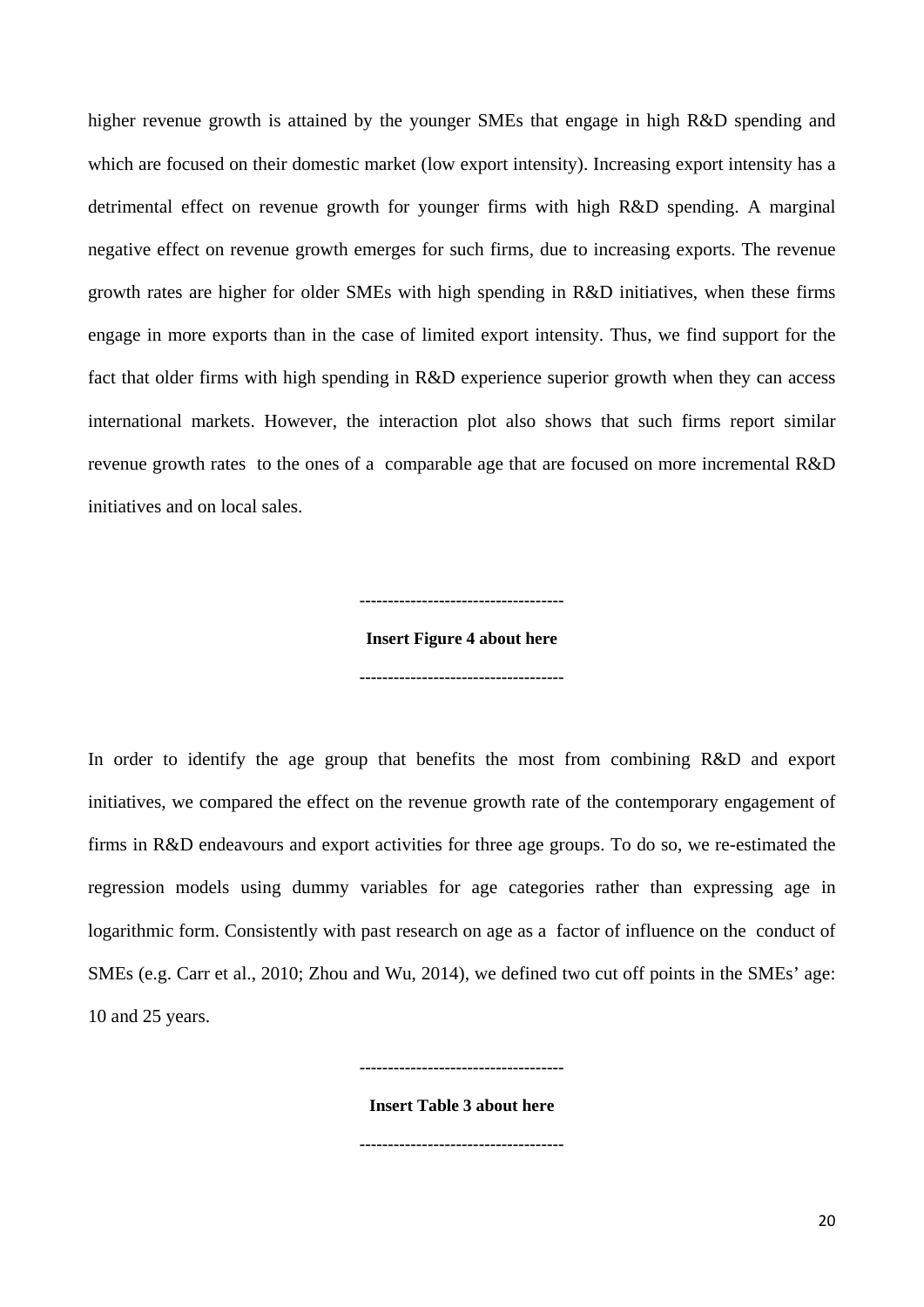higher revenue growth is attained by the younger SMEs that engage in high R&D spending and which are focused on their domestic market (low export intensity). Increasing export intensity has a detrimental effect on revenue growth for younger firms with high R&D spending. A marginal negative effect on revenue growth emerges for such firms, due to increasing exports. The revenue growth rates are higher for older SMEs with high spending in R&D initiatives, when these firms engage in more exports than in the case of limited export intensity. Thus, we find support for the fact that older firms with high spending in R&D experience superior growth when they can access international markets. However, the interaction plot also shows that such firms report similar revenue growth rates to the ones of a comparable age that are focused on more incremental R&D initiatives and on local sales.

> **Insert Figure 4 about here ------------------------------------**

**------------------------------------**

In order to identify the age group that benefits the most from combining R&D and export initiatives, we compared the effect on the revenue growth rate of the contemporary engagement of firms in R&D endeavours and export activities for three age groups. To do so, we re-estimated the regression models using dummy variables for age categories rather than expressing age in logarithmic form. Consistently with past research on age as a factor of influence on the conduct of SMEs (e.g. Carr et al., 2010; Zhou and Wu, 2014), we defined two cut off points in the SMEs' age: 10 and 25 years.

**Insert Table 3 about here**

**------------------------------------**

**------------------------------------**

20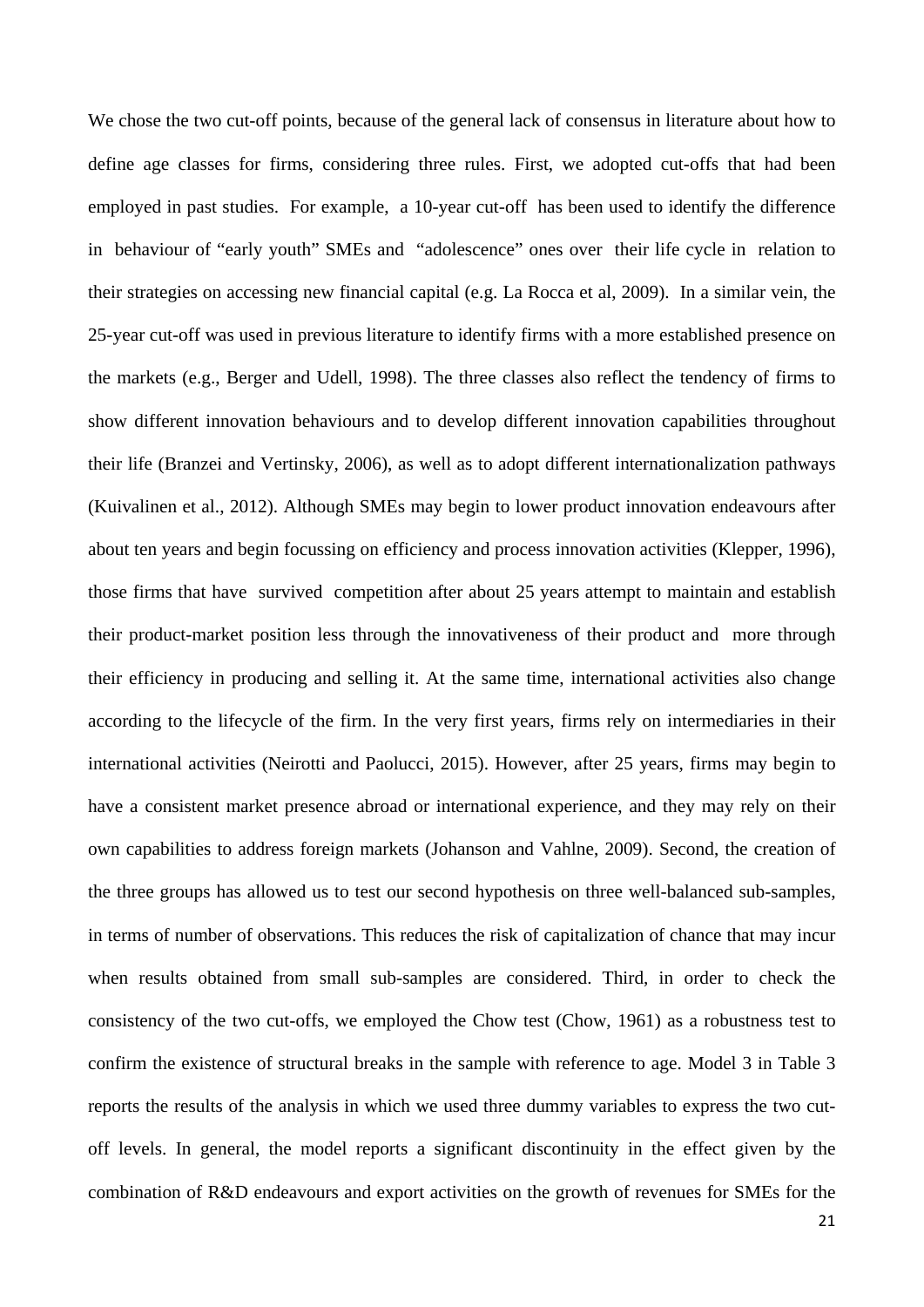We chose the two cut-off points, because of the general lack of consensus in literature about how to define age classes for firms, considering three rules. First, we adopted cut-offs that had been employed in past studies. For example, a 10-year cut-off has been used to identify the difference in behaviour of "early youth" SMEs and "adolescence" ones over their life cycle in relation to their strategies on accessing new financial capital (e.g. La Rocca et al, 2009). In a similar vein, the 25-year cut-off was used in previous literature to identify firms with a more established presence on the markets (e.g., Berger and Udell, 1998). The three classes also reflect the tendency of firms to show different innovation behaviours and to develop different innovation capabilities throughout their life (Branzei and Vertinsky, 2006), as well as to adopt different internationalization pathways (Kuivalinen et al., 2012). Although SMEs may begin to lower product innovation endeavours after about ten years and begin focussing on efficiency and process innovation activities (Klepper, 1996), those firms that have survived competition after about 25 years attempt to maintain and establish their product-market position less through the innovativeness of their product and more through their efficiency in producing and selling it. At the same time, international activities also change according to the lifecycle of the firm. In the very first years, firms rely on intermediaries in their international activities (Neirotti and Paolucci, 2015). However, after 25 years, firms may begin to have a consistent market presence abroad or international experience, and they may rely on their own capabilities to address foreign markets (Johanson and Vahlne, 2009). Second, the creation of the three groups has allowed us to test our second hypothesis on three well-balanced sub-samples, in terms of number of observations. This reduces the risk of capitalization of chance that may incur when results obtained from small sub-samples are considered. Third, in order to check the consistency of the two cut-offs, we employed the Chow test (Chow, 1961) as a robustness test to confirm the existence of structural breaks in the sample with reference to age. Model 3 in Table 3 reports the results of the analysis in which we used three dummy variables to express the two cutoff levels. In general, the model reports a significant discontinuity in the effect given by the combination of R&D endeavours and export activities on the growth of revenues for SMEs for the

21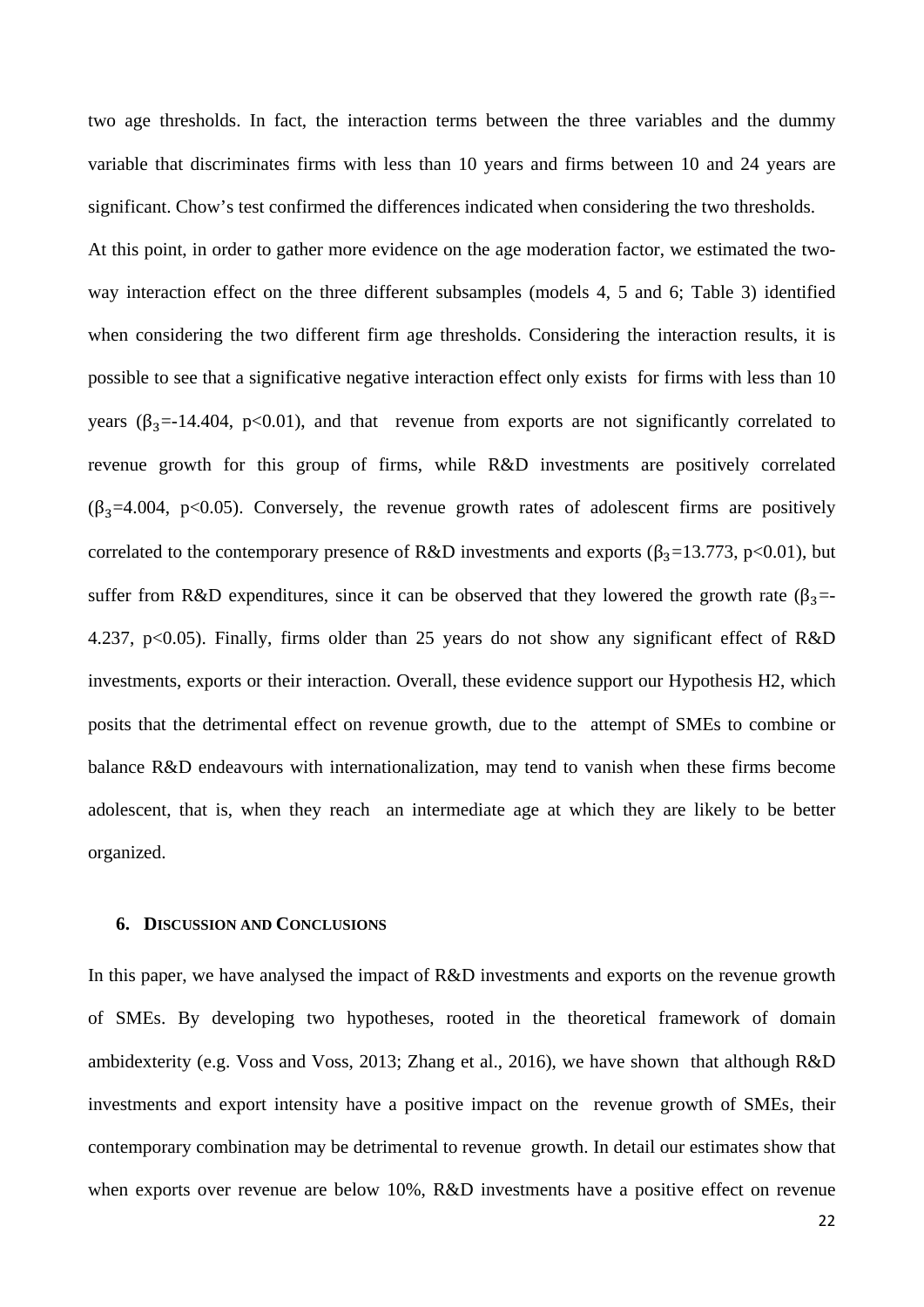two age thresholds. In fact, the interaction terms between the three variables and the dummy variable that discriminates firms with less than 10 years and firms between 10 and 24 years are significant. Chow's test confirmed the differences indicated when considering the two thresholds. At this point, in order to gather more evidence on the age moderation factor, we estimated the twoway interaction effect on the three different subsamples (models 4, 5 and 6; Table 3) identified when considering the two different firm age thresholds. Considering the interaction results, it is possible to see that a significative negative interaction effect only exists for firms with less than 10 years ( $\beta_3 = -14.404$ ,  $p < 0.01$ ), and that revenue from exports are not significantly correlated to revenue growth for this group of firms, while R&D investments are positively correlated  $(\beta_3=4.004, p<0.05)$ . Conversely, the revenue growth rates of adolescent firms are positively correlated to the contemporary presence of R&D investments and exports ( $\beta_3$ =13.773, p<0.01), but suffer from R&D expenditures, since it can be observed that they lowered the growth rate ( $\beta_3$ =-4.237, p<0.05). Finally, firms older than 25 years do not show any significant effect of R&D investments, exports or their interaction. Overall, these evidence support our Hypothesis H2, which posits that the detrimental effect on revenue growth, due to the attempt of SMEs to combine or balance R&D endeavours with internationalization, may tend to vanish when these firms become adolescent, that is, when they reach an intermediate age at which they are likely to be better organized.

#### **6. DISCUSSION AND CONCLUSIONS**

In this paper, we have analysed the impact of R&D investments and exports on the revenue growth of SMEs. By developing two hypotheses, rooted in the theoretical framework of domain ambidexterity (e.g. Voss and Voss, 2013; Zhang et al., 2016), we have shown that although R&D investments and export intensity have a positive impact on the revenue growth of SMEs, their contemporary combination may be detrimental to revenue growth. In detail our estimates show that when exports over revenue are below 10%, R&D investments have a positive effect on revenue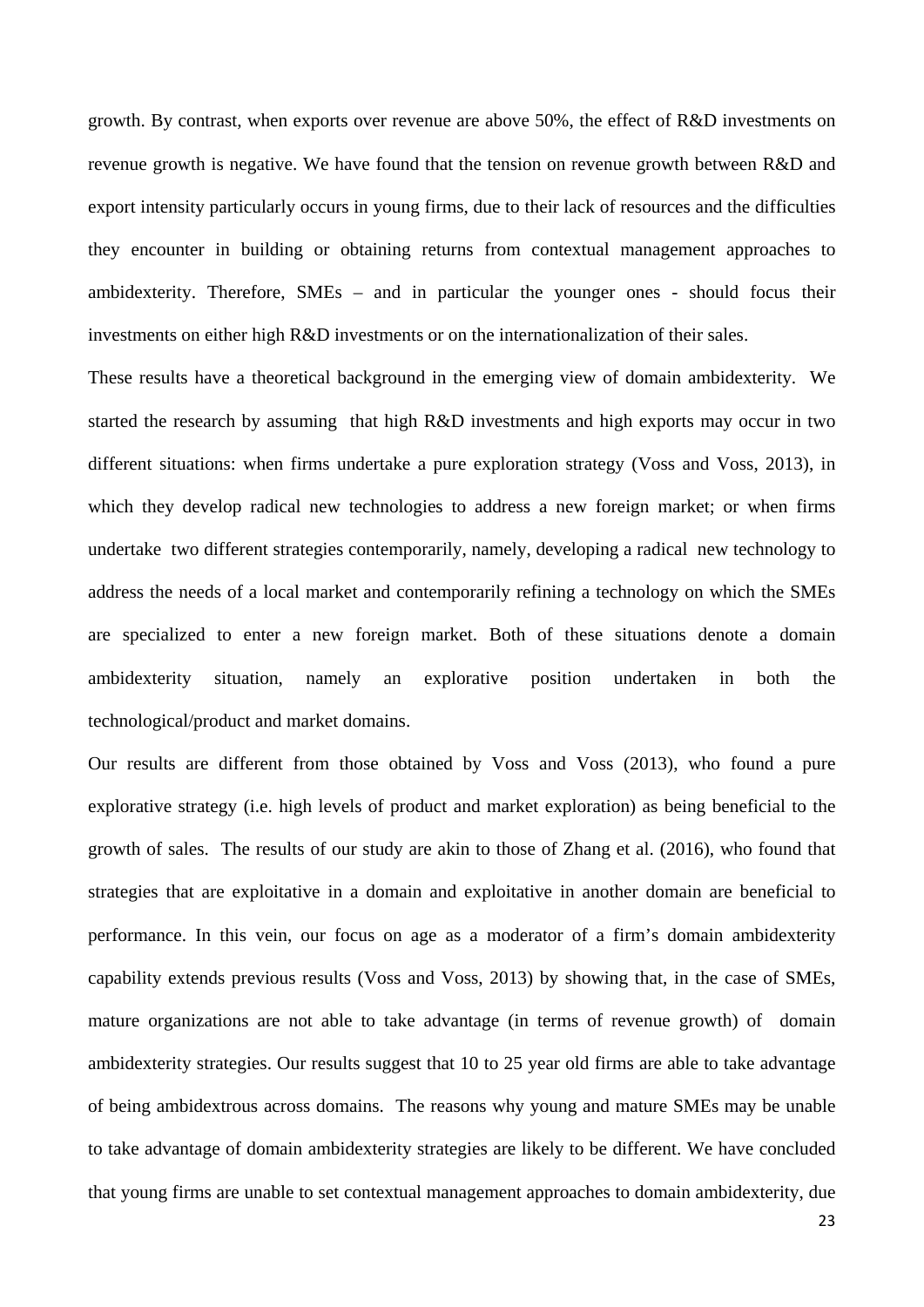growth. By contrast, when exports over revenue are above 50%, the effect of R&D investments on revenue growth is negative. We have found that the tension on revenue growth between R&D and export intensity particularly occurs in young firms, due to their lack of resources and the difficulties they encounter in building or obtaining returns from contextual management approaches to ambidexterity. Therefore, SMEs – and in particular the younger ones - should focus their investments on either high R&D investments or on the internationalization of their sales.

These results have a theoretical background in the emerging view of domain ambidexterity. We started the research by assuming that high R&D investments and high exports may occur in two different situations: when firms undertake a pure exploration strategy (Voss and Voss, 2013), in which they develop radical new technologies to address a new foreign market; or when firms undertake two different strategies contemporarily, namely, developing a radical new technology to address the needs of a local market and contemporarily refining a technology on which the SMEs are specialized to enter a new foreign market. Both of these situations denote a domain ambidexterity situation, namely an explorative position undertaken in both the technological/product and market domains.

Our results are different from those obtained by Voss and Voss (2013), who found a pure explorative strategy (i.e. high levels of product and market exploration) as being beneficial to the growth of sales. The results of our study are akin to those of Zhang et al. (2016), who found that strategies that are exploitative in a domain and exploitative in another domain are beneficial to performance. In this vein, our focus on age as a moderator of a firm's domain ambidexterity capability extends previous results (Voss and Voss, 2013) by showing that, in the case of SMEs, mature organizations are not able to take advantage (in terms of revenue growth) of domain ambidexterity strategies. Our results suggest that 10 to 25 year old firms are able to take advantage of being ambidextrous across domains. The reasons why young and mature SMEs may be unable to take advantage of domain ambidexterity strategies are likely to be different. We have concluded that young firms are unable to set contextual management approaches to domain ambidexterity, due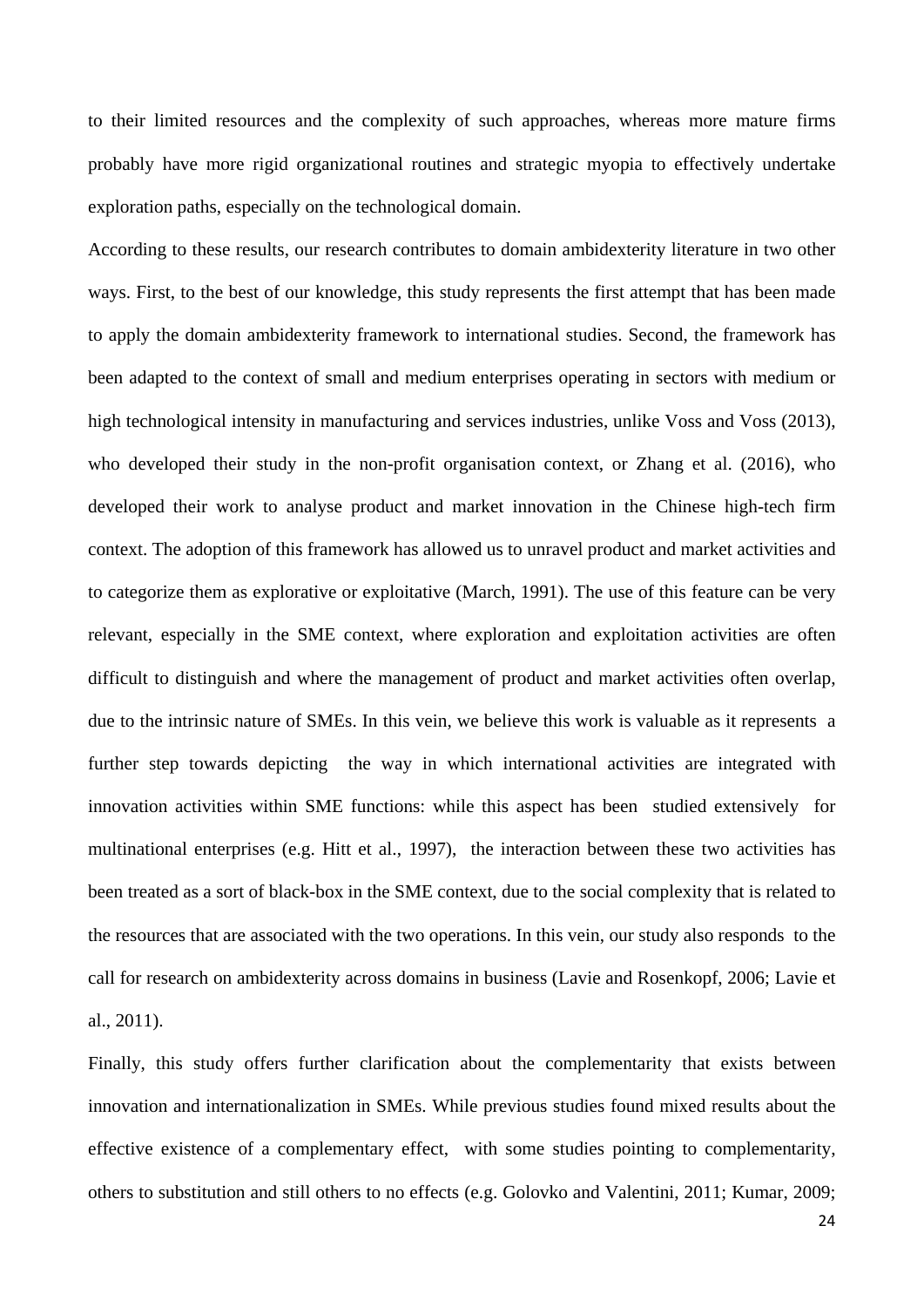to their limited resources and the complexity of such approaches, whereas more mature firms probably have more rigid organizational routines and strategic myopia to effectively undertake exploration paths, especially on the technological domain.

According to these results, our research contributes to domain ambidexterity literature in two other ways. First, to the best of our knowledge, this study represents the first attempt that has been made to apply the domain ambidexterity framework to international studies. Second, the framework has been adapted to the context of small and medium enterprises operating in sectors with medium or high technological intensity in manufacturing and services industries, unlike Voss and Voss (2013), who developed their study in the non-profit organisation context, or Zhang et al. (2016), who developed their work to analyse product and market innovation in the Chinese high-tech firm context. The adoption of this framework has allowed us to unravel product and market activities and to categorize them as explorative or exploitative (March, 1991). The use of this feature can be very relevant, especially in the SME context, where exploration and exploitation activities are often difficult to distinguish and where the management of product and market activities often overlap, due to the intrinsic nature of SMEs. In this vein, we believe this work is valuable as it represents a further step towards depicting the way in which international activities are integrated with innovation activities within SME functions: while this aspect has been studied extensively for multinational enterprises (e.g. Hitt et al., 1997), the interaction between these two activities has been treated as a sort of black-box in the SME context, due to the social complexity that is related to the resources that are associated with the two operations. In this vein, our study also responds to the call for research on ambidexterity across domains in business (Lavie and Rosenkopf, 2006; Lavie et al., 2011).

Finally, this study offers further clarification about the complementarity that exists between innovation and internationalization in SMEs. While previous studies found mixed results about the effective existence of a complementary effect, with some studies pointing to complementarity, others to substitution and still others to no effects (e.g. Golovko and Valentini, 2011; Kumar, 2009;

24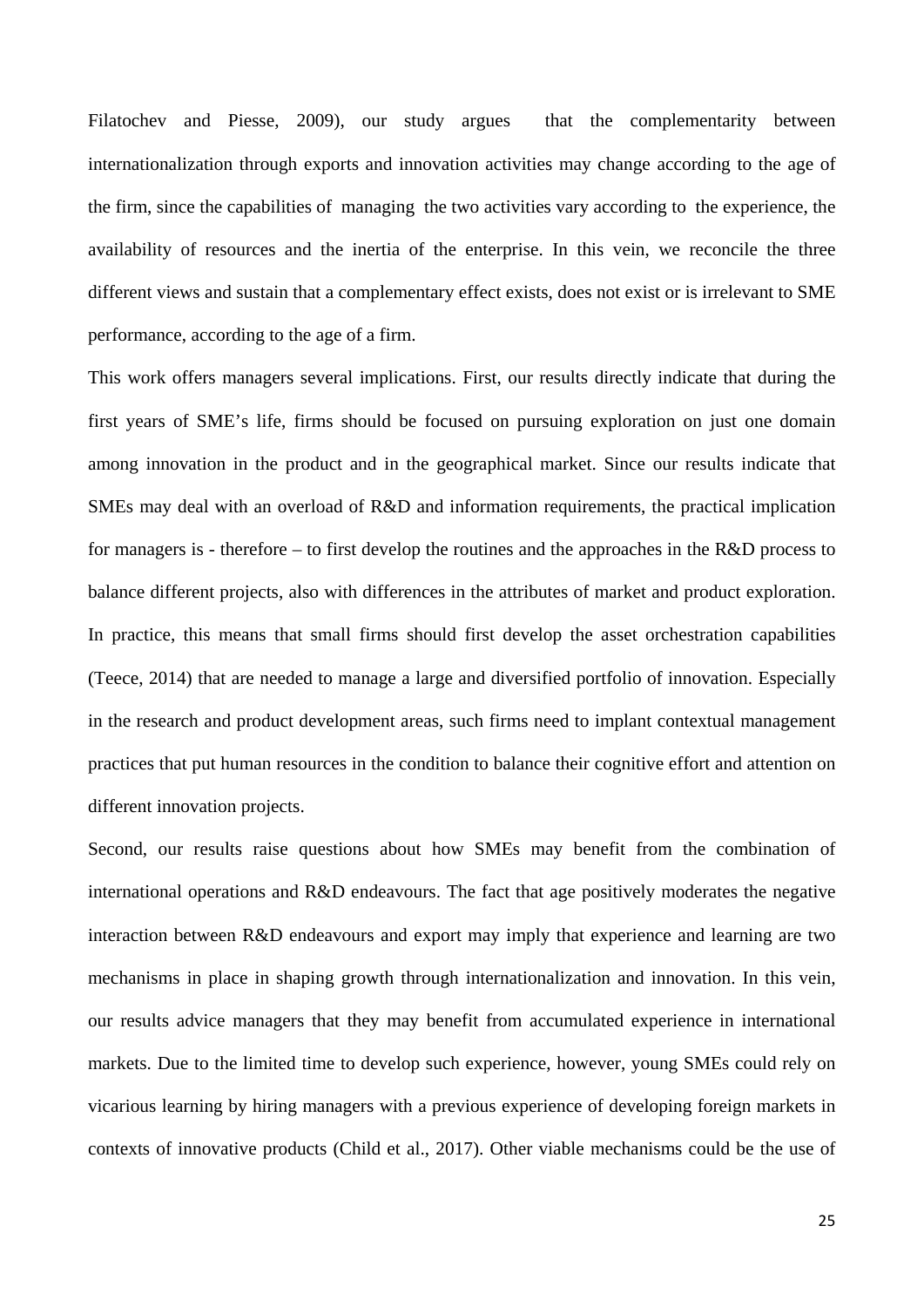Filatochev and Piesse, 2009), our study argues that the complementarity between internationalization through exports and innovation activities may change according to the age of the firm, since the capabilities of managing the two activities vary according to the experience, the availability of resources and the inertia of the enterprise. In this vein, we reconcile the three different views and sustain that a complementary effect exists, does not exist or is irrelevant to SME performance, according to the age of a firm.

This work offers managers several implications. First, our results directly indicate that during the first years of SME's life, firms should be focused on pursuing exploration on just one domain among innovation in the product and in the geographical market. Since our results indicate that SMEs may deal with an overload of R&D and information requirements, the practical implication for managers is - therefore – to first develop the routines and the approaches in the R&D process to balance different projects, also with differences in the attributes of market and product exploration. In practice, this means that small firms should first develop the asset orchestration capabilities (Teece, 2014) that are needed to manage a large and diversified portfolio of innovation. Especially in the research and product development areas, such firms need to implant contextual management practices that put human resources in the condition to balance their cognitive effort and attention on different innovation projects.

Second, our results raise questions about how SMEs may benefit from the combination of international operations and R&D endeavours. The fact that age positively moderates the negative interaction between R&D endeavours and export may imply that experience and learning are two mechanisms in place in shaping growth through internationalization and innovation. In this vein, our results advice managers that they may benefit from accumulated experience in international markets. Due to the limited time to develop such experience, however, young SMEs could rely on vicarious learning by hiring managers with a previous experience of developing foreign markets in contexts of innovative products (Child et al., 2017). Other viable mechanisms could be the use of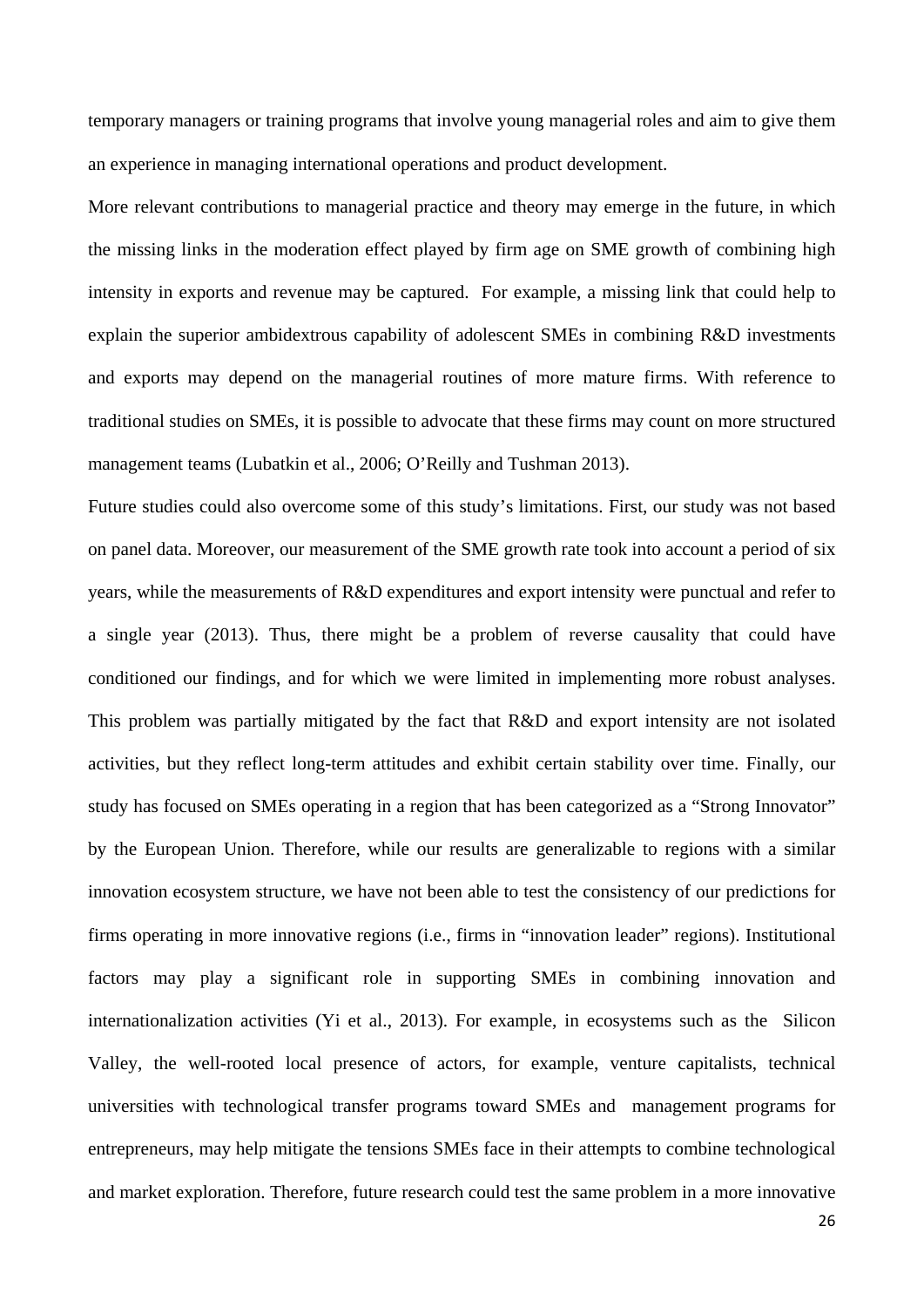temporary managers or training programs that involve young managerial roles and aim to give them an experience in managing international operations and product development.

More relevant contributions to managerial practice and theory may emerge in the future, in which the missing links in the moderation effect played by firm age on SME growth of combining high intensity in exports and revenue may be captured. For example, a missing link that could help to explain the superior ambidextrous capability of adolescent SMEs in combining R&D investments and exports may depend on the managerial routines of more mature firms. With reference to traditional studies on SMEs, it is possible to advocate that these firms may count on more structured management teams (Lubatkin et al., 2006; O'Reilly and Tushman 2013).

Future studies could also overcome some of this study's limitations. First, our study was not based on panel data. Moreover, our measurement of the SME growth rate took into account a period of six years, while the measurements of R&D expenditures and export intensity were punctual and refer to a single year (2013). Thus, there might be a problem of reverse causality that could have conditioned our findings, and for which we were limited in implementing more robust analyses. This problem was partially mitigated by the fact that R&D and export intensity are not isolated activities, but they reflect long-term attitudes and exhibit certain stability over time. Finally, our study has focused on SMEs operating in a region that has been categorized as a "Strong Innovator" by the European Union. Therefore, while our results are generalizable to regions with a similar innovation ecosystem structure, we have not been able to test the consistency of our predictions for firms operating in more innovative regions (i.e., firms in "innovation leader" regions). Institutional factors may play a significant role in supporting SMEs in combining innovation and internationalization activities (Yi et al., 2013). For example, in ecosystems such as the Silicon Valley, the well-rooted local presence of actors, for example, venture capitalists, technical universities with technological transfer programs toward SMEs and management programs for entrepreneurs, may help mitigate the tensions SMEs face in their attempts to combine technological and market exploration. Therefore, future research could test the same problem in a more innovative

26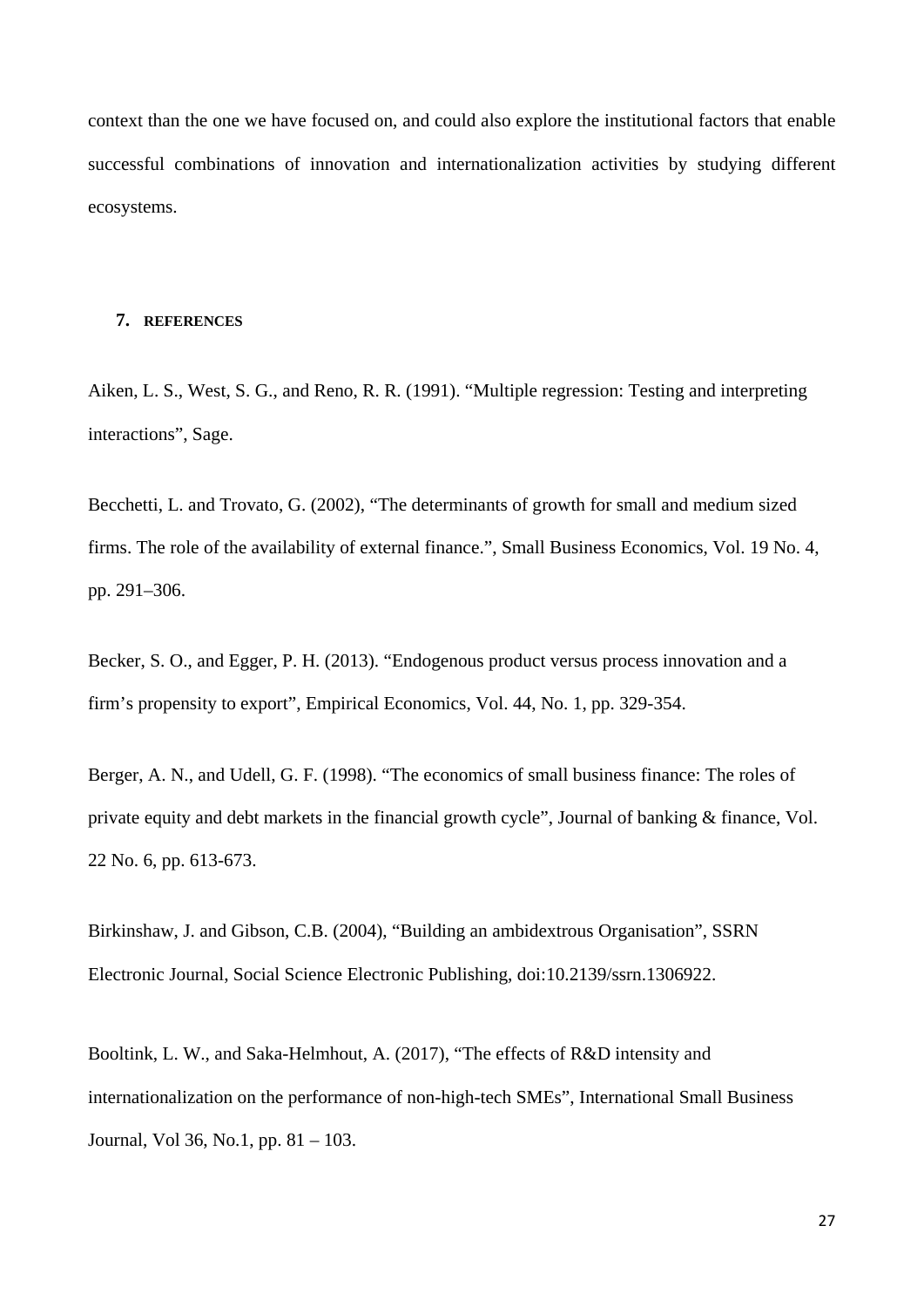context than the one we have focused on, and could also explore the institutional factors that enable successful combinations of innovation and internationalization activities by studying different ecosystems.

#### **7. REFERENCES**

Aiken, L. S., West, S. G., and Reno, R. R. (1991). "Multiple regression: Testing and interpreting interactions", Sage.

Becchetti, L. and Trovato, G. (2002), "The determinants of growth for small and medium sized firms. The role of the availability of external finance.", Small Business Economics, Vol. 19 No. 4, pp. 291–306.

Becker, S. O., and Egger, P. H. (2013). "Endogenous product versus process innovation and a firm's propensity to export", Empirical Economics, Vol. 44, No. 1, pp. 329-354.

Berger, A. N., and Udell, G. F. (1998). "The economics of small business finance: The roles of private equity and debt markets in the financial growth cycle", Journal of banking & finance, Vol. 22 No. 6, pp. 613-673.

Birkinshaw, J. and Gibson, C.B. (2004), "Building an ambidextrous Organisation", SSRN Electronic Journal, Social Science Electronic Publishing, doi:10.2139/ssrn.1306922.

Booltink, L. W., and Saka-Helmhout, A. (2017), "The effects of R&D intensity and internationalization on the performance of non-high-tech SMEs", International Small Business Journal, Vol 36, No.1, pp. 81 – 103.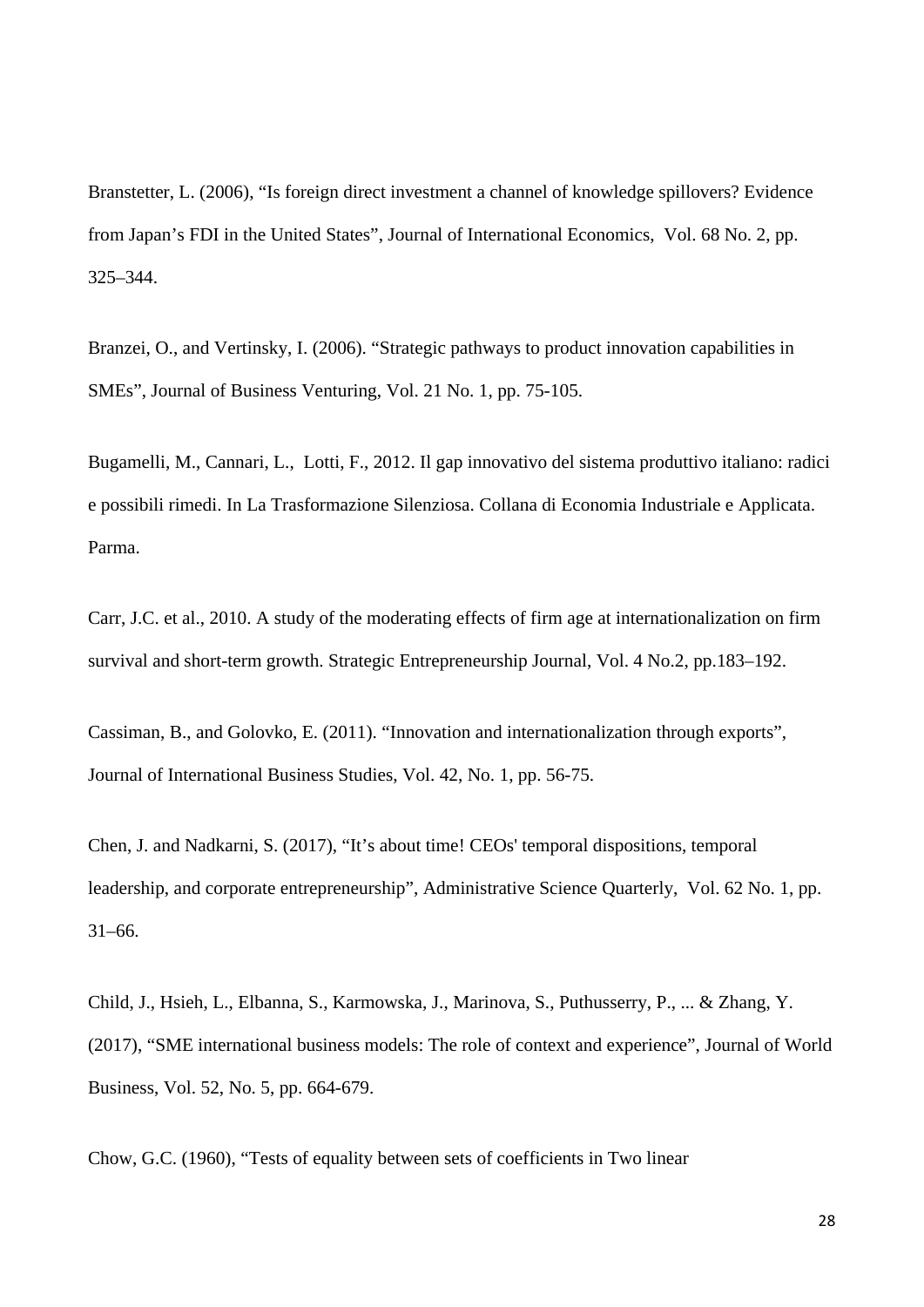Branstetter, L. (2006), "Is foreign direct investment a channel of knowledge spillovers? Evidence from Japan's FDI in the United States", Journal of International Economics, Vol. 68 No. 2, pp. 325–344.

Branzei, O., and Vertinsky, I. (2006). "Strategic pathways to product innovation capabilities in SMEs", Journal of Business Venturing, Vol. 21 No. 1, pp. 75-105.

Bugamelli, M., Cannari, L., Lotti, F., 2012. Il gap innovativo del sistema produttivo italiano: radici e possibili rimedi. In La Trasformazione Silenziosa. Collana di Economia Industriale e Applicata. Parma.

Carr, J.C. et al., 2010. A study of the moderating effects of firm age at internationalization on firm survival and short-term growth. Strategic Entrepreneurship Journal, Vol. 4 No.2, pp.183–192.

Cassiman, B., and Golovko, E. (2011). "Innovation and internationalization through exports", Journal of International Business Studies, Vol. 42, No. 1, pp. 56-75.

Chen, J. and Nadkarni, S. (2017), "It's about time! CEOs' temporal dispositions, temporal leadership, and corporate entrepreneurship", Administrative Science Quarterly, Vol. 62 No. 1, pp. 31–66.

Child, J., Hsieh, L., Elbanna, S., Karmowska, J., Marinova, S., Puthusserry, P., ... & Zhang, Y. (2017), "SME international business models: The role of context and experience", Journal of World Business, Vol. 52, No. 5, pp. 664-679.

Chow, G.C. (1960), "Tests of equality between sets of coefficients in Two linear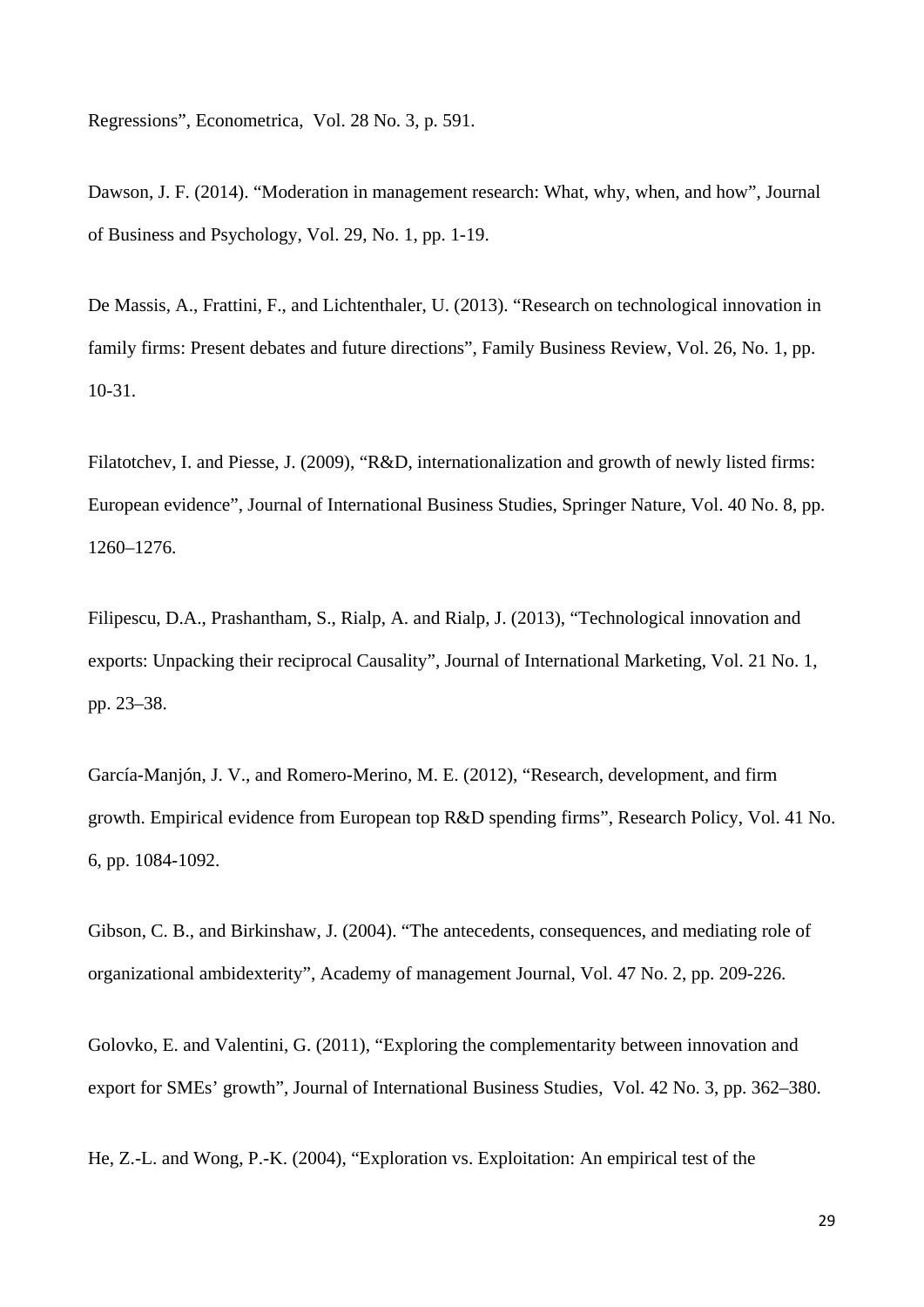Regressions", Econometrica, Vol. 28 No. 3, p. 591.

Dawson, J. F. (2014). "Moderation in management research: What, why, when, and how", Journal of Business and Psychology, Vol. 29, No. 1, pp. 1-19.

De Massis, A., Frattini, F., and Lichtenthaler, U. (2013). "Research on technological innovation in family firms: Present debates and future directions", Family Business Review, Vol. 26, No. 1, pp. 10-31.

Filatotchev, I. and Piesse, J. (2009), "R&D, internationalization and growth of newly listed firms: European evidence", Journal of International Business Studies, Springer Nature, Vol. 40 No. 8, pp. 1260–1276.

Filipescu, D.A., Prashantham, S., Rialp, A. and Rialp, J. (2013), "Technological innovation and exports: Unpacking their reciprocal Causality", Journal of International Marketing, Vol. 21 No. 1, pp. 23–38.

García-Manjón, J. V., and Romero-Merino, M. E. (2012), "Research, development, and firm growth. Empirical evidence from European top R&D spending firms", Research Policy, Vol. 41 No. 6, pp. 1084-1092.

Gibson, C. B., and Birkinshaw, J. (2004). "The antecedents, consequences, and mediating role of organizational ambidexterity", Academy of management Journal, Vol. 47 No. 2, pp. 209-226.

Golovko, E. and Valentini, G. (2011), "Exploring the complementarity between innovation and export for SMEs' growth", Journal of International Business Studies, Vol. 42 No. 3, pp. 362–380.

He, Z.-L. and Wong, P.-K. (2004), "Exploration vs. Exploitation: An empirical test of the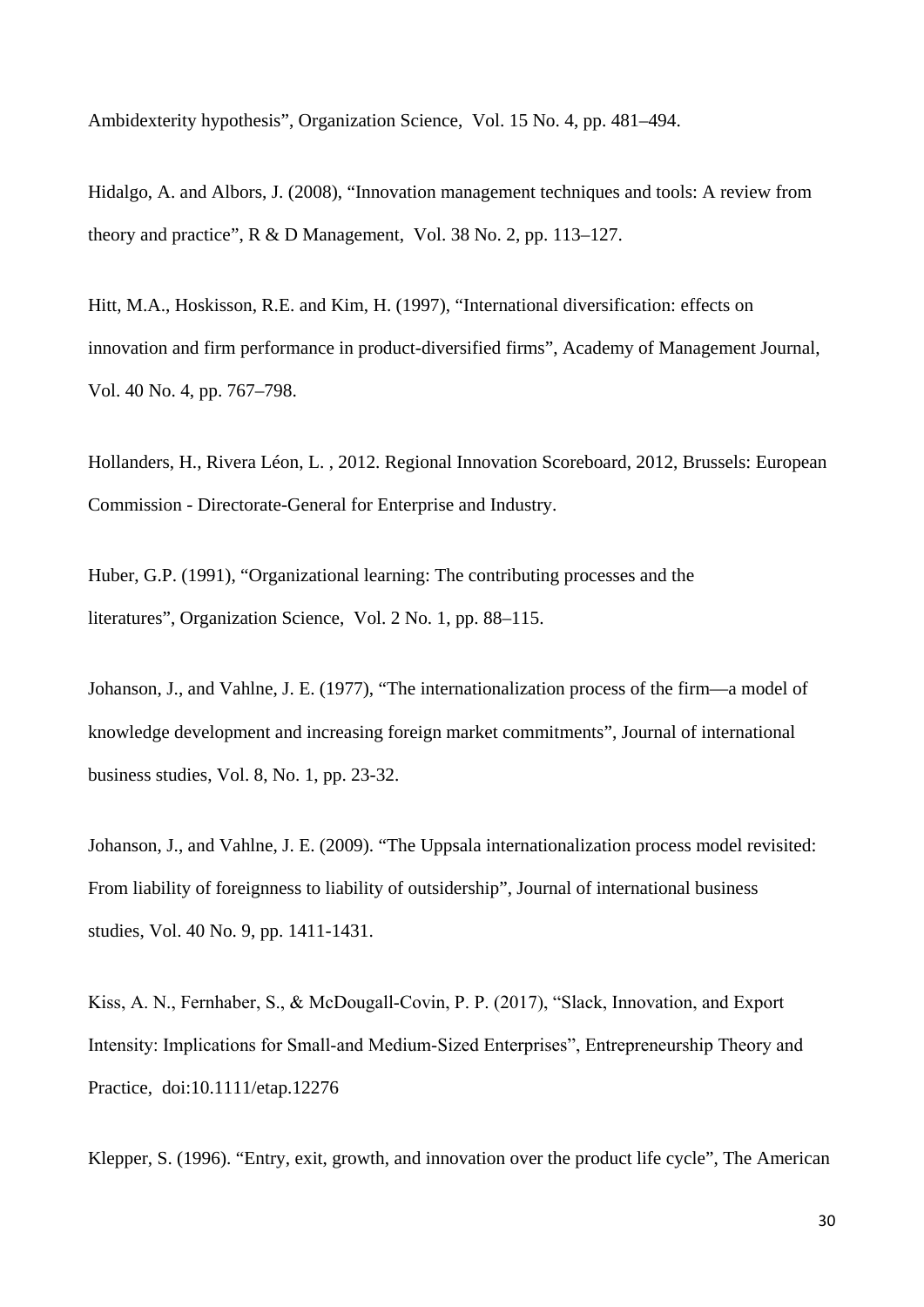Ambidexterity hypothesis", Organization Science, Vol. 15 No. 4, pp. 481–494.

Hidalgo, A. and Albors, J. (2008), "Innovation management techniques and tools: A review from theory and practice", R & D Management, Vol. 38 No. 2, pp. 113–127.

Hitt, M.A., Hoskisson, R.E. and Kim, H. (1997), "International diversification: effects on innovation and firm performance in product-diversified firms", Academy of Management Journal, Vol. 40 No. 4, pp. 767–798.

Hollanders, H., Rivera Léon, L. , 2012. Regional Innovation Scoreboard, 2012, Brussels: European Commission - Directorate-General for Enterprise and Industry.

Huber, G.P. (1991), "Organizational learning: The contributing processes and the literatures", Organization Science, Vol. 2 No. 1, pp. 88–115.

Johanson, J., and Vahlne, J. E. (1977), "The internationalization process of the firm—a model of knowledge development and increasing foreign market commitments", Journal of international business studies, Vol. 8, No. 1, pp. 23-32.

Johanson, J., and Vahlne, J. E. (2009). "The Uppsala internationalization process model revisited: From liability of foreignness to liability of outsidership", Journal of international business studies, Vol. 40 No. 9, pp. 1411-1431.

Kiss, A. N., Fernhaber, S., & McDougall‐Covin, P. P. (2017), "Slack, Innovation, and Export Intensity: Implications for Small‐and Medium‐Sized Enterprises", Entrepreneurship Theory and Practice, doi:10.1111/etap.12276

Klepper, S. (1996). "Entry, exit, growth, and innovation over the product life cycle", The American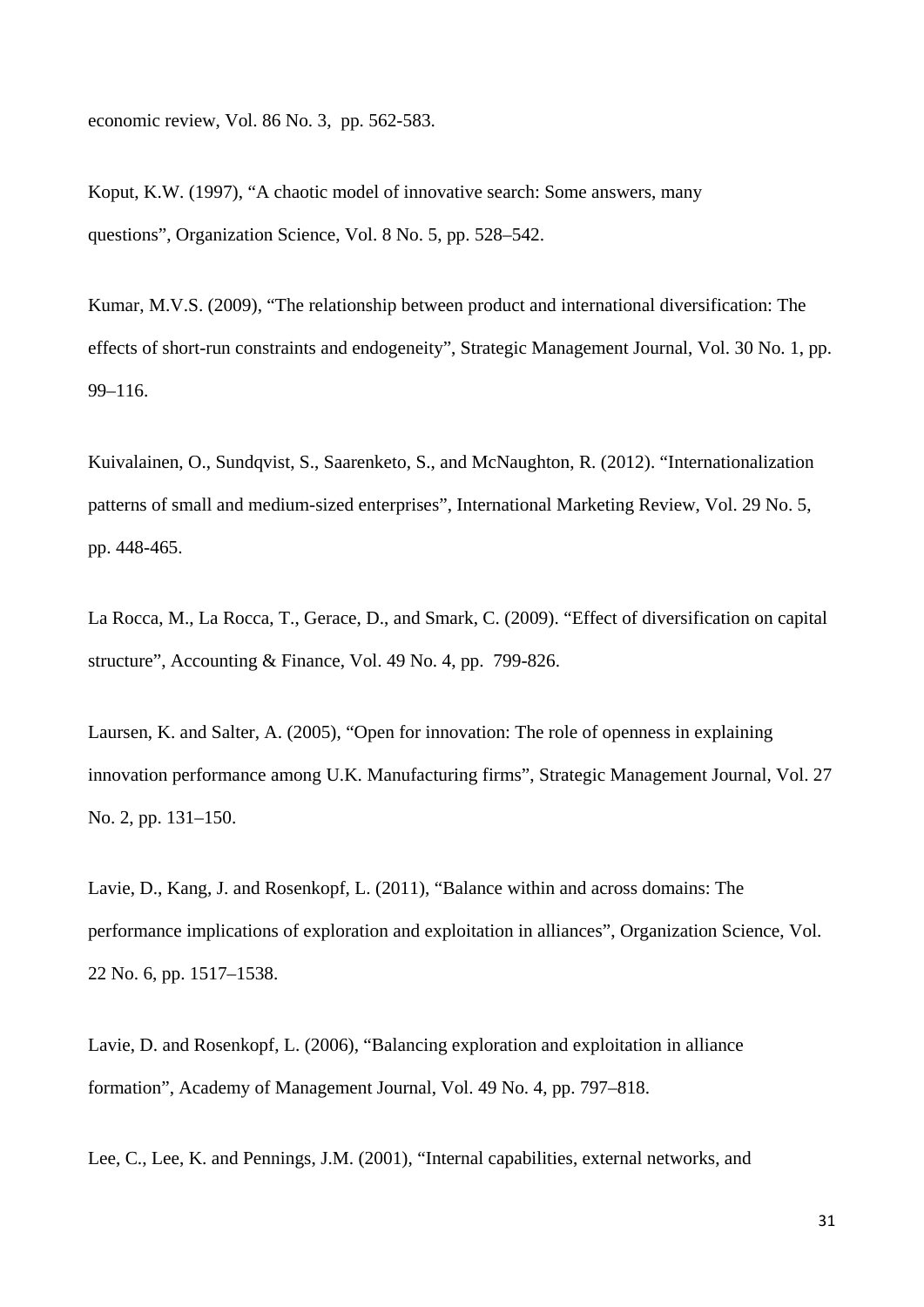economic review, Vol. 86 No. 3, pp. 562-583.

Koput, K.W. (1997), "A chaotic model of innovative search: Some answers, many questions", Organization Science, Vol. 8 No. 5, pp. 528–542.

Kumar, M.V.S. (2009), "The relationship between product and international diversification: The effects of short-run constraints and endogeneity", Strategic Management Journal, Vol. 30 No. 1, pp. 99–116.

Kuivalainen, O., Sundqvist, S., Saarenketo, S., and McNaughton, R. (2012). "Internationalization patterns of small and medium-sized enterprises", International Marketing Review, Vol. 29 No. 5, pp. 448-465.

La Rocca, M., La Rocca, T., Gerace, D., and Smark, C. (2009). "Effect of diversification on capital structure", Accounting & Finance, Vol. 49 No. 4, pp. 799-826.

Laursen, K. and Salter, A. (2005), "Open for innovation: The role of openness in explaining innovation performance among U.K. Manufacturing firms", Strategic Management Journal, Vol. 27 No. 2, pp. 131–150.

Lavie, D., Kang, J. and Rosenkopf, L. (2011), "Balance within and across domains: The performance implications of exploration and exploitation in alliances", Organization Science, Vol. 22 No. 6, pp. 1517–1538.

Lavie, D. and Rosenkopf, L. (2006), "Balancing exploration and exploitation in alliance formation", Academy of Management Journal, Vol. 49 No. 4, pp. 797–818.

Lee, C., Lee, K. and Pennings, J.M. (2001), "Internal capabilities, external networks, and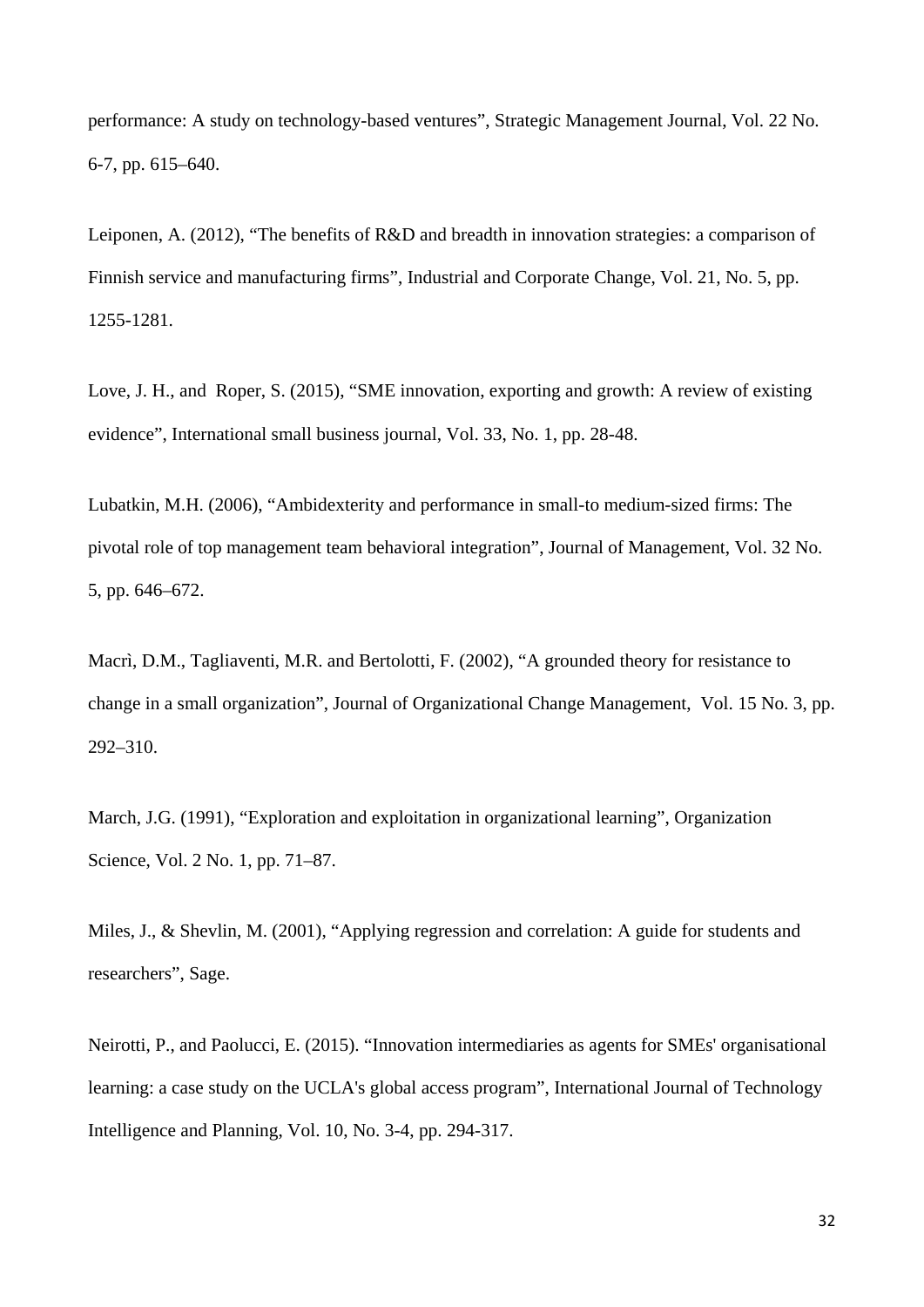performance: A study on technology-based ventures", Strategic Management Journal, Vol. 22 No. 6-7, pp. 615–640.

Leiponen, A. (2012), "The benefits of R&D and breadth in innovation strategies: a comparison of Finnish service and manufacturing firms", Industrial and Corporate Change, Vol. 21, No. 5, pp. 1255-1281.

Love, J. H., and Roper, S. (2015), "SME innovation, exporting and growth: A review of existing evidence", International small business journal, Vol. 33, No. 1, pp. 28-48.

Lubatkin, M.H. (2006), "Ambidexterity and performance in small-to medium-sized firms: The pivotal role of top management team behavioral integration", Journal of Management, Vol. 32 No. 5, pp. 646–672.

Macrì, D.M., Tagliaventi, M.R. and Bertolotti, F. (2002), "A grounded theory for resistance to change in a small organization", Journal of Organizational Change Management, Vol. 15 No. 3, pp. 292–310.

March, J.G. (1991), "Exploration and exploitation in organizational learning", Organization Science, Vol. 2 No. 1, pp. 71–87.

Miles, J., & Shevlin, M. (2001), "Applying regression and correlation: A guide for students and researchers", Sage.

Neirotti, P., and Paolucci, E. (2015). "Innovation intermediaries as agents for SMEs' organisational learning: a case study on the UCLA's global access program", International Journal of Technology Intelligence and Planning, Vol. 10, No. 3-4, pp. 294-317.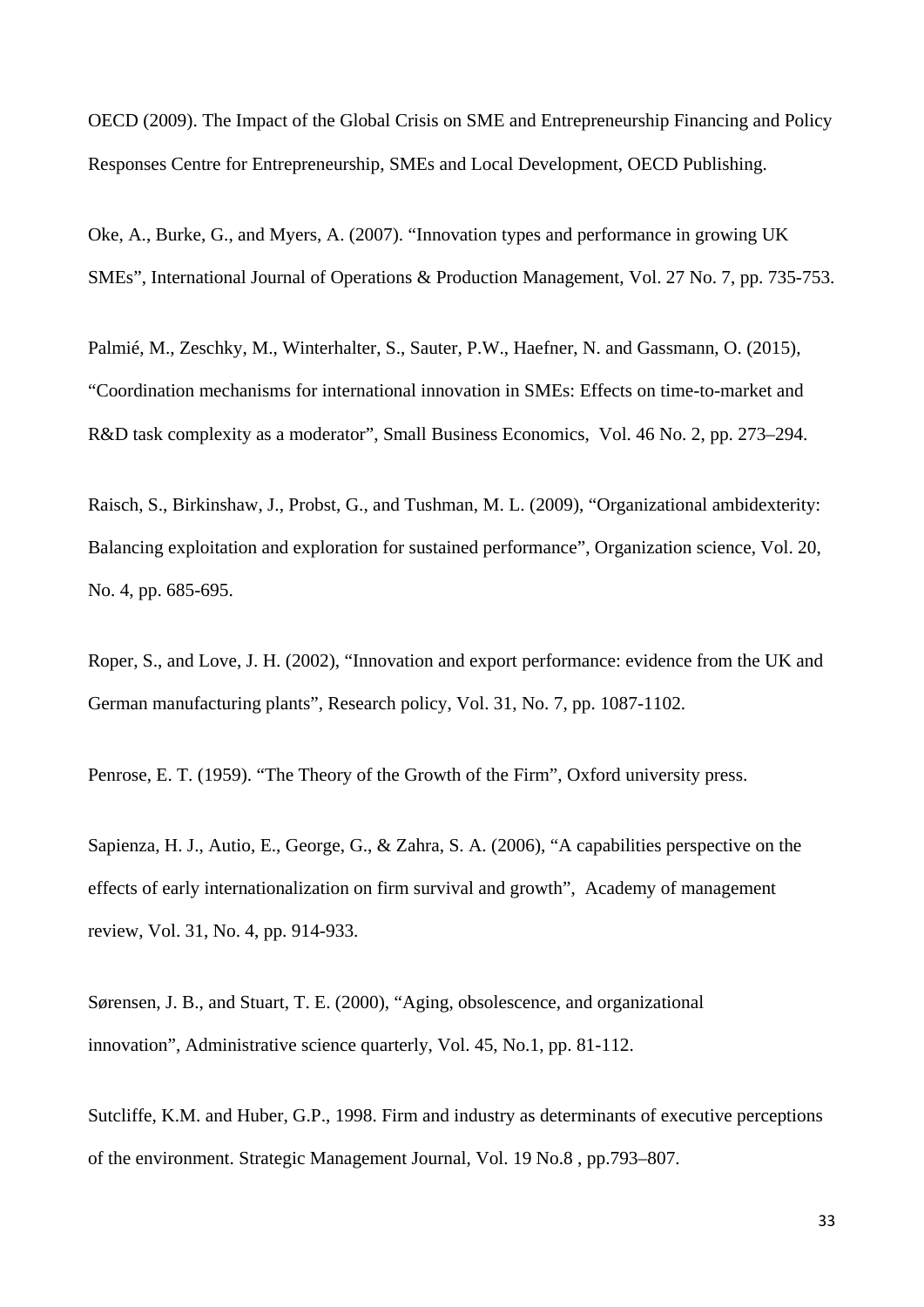OECD (2009). The Impact of the Global Crisis on SME and Entrepreneurship Financing and Policy Responses Centre for Entrepreneurship, SMEs and Local Development, OECD Publishing.

Oke, A., Burke, G., and Myers, A. (2007). "Innovation types and performance in growing UK SMEs", International Journal of Operations & Production Management, Vol. 27 No. 7, pp. 735-753.

Palmié, M., Zeschky, M., Winterhalter, S., Sauter, P.W., Haefner, N. and Gassmann, O. (2015), "Coordination mechanisms for international innovation in SMEs: Effects on time-to-market and R&D task complexity as a moderator", Small Business Economics, Vol. 46 No. 2, pp. 273–294.

Raisch, S., Birkinshaw, J., Probst, G., and Tushman, M. L. (2009), "Organizational ambidexterity: Balancing exploitation and exploration for sustained performance", Organization science, Vol. 20, No. 4, pp. 685-695.

Roper, S., and Love, J. H. (2002), "Innovation and export performance: evidence from the UK and German manufacturing plants", Research policy, Vol. 31, No. 7, pp. 1087-1102.

Penrose, E. T. (1959). "The Theory of the Growth of the Firm", Oxford university press.

Sapienza, H. J., Autio, E., George, G., & Zahra, S. A. (2006), "A capabilities perspective on the effects of early internationalization on firm survival and growth", Academy of management review, Vol. 31, No. 4, pp. 914-933.

Sørensen, J. B., and Stuart, T. E. (2000), "Aging, obsolescence, and organizational innovation", Administrative science quarterly, Vol. 45, No.1, pp. 81-112.

Sutcliffe, K.M. and Huber, G.P., 1998. Firm and industry as determinants of executive perceptions of the environment. Strategic Management Journal, Vol. 19 No.8 , pp.793–807.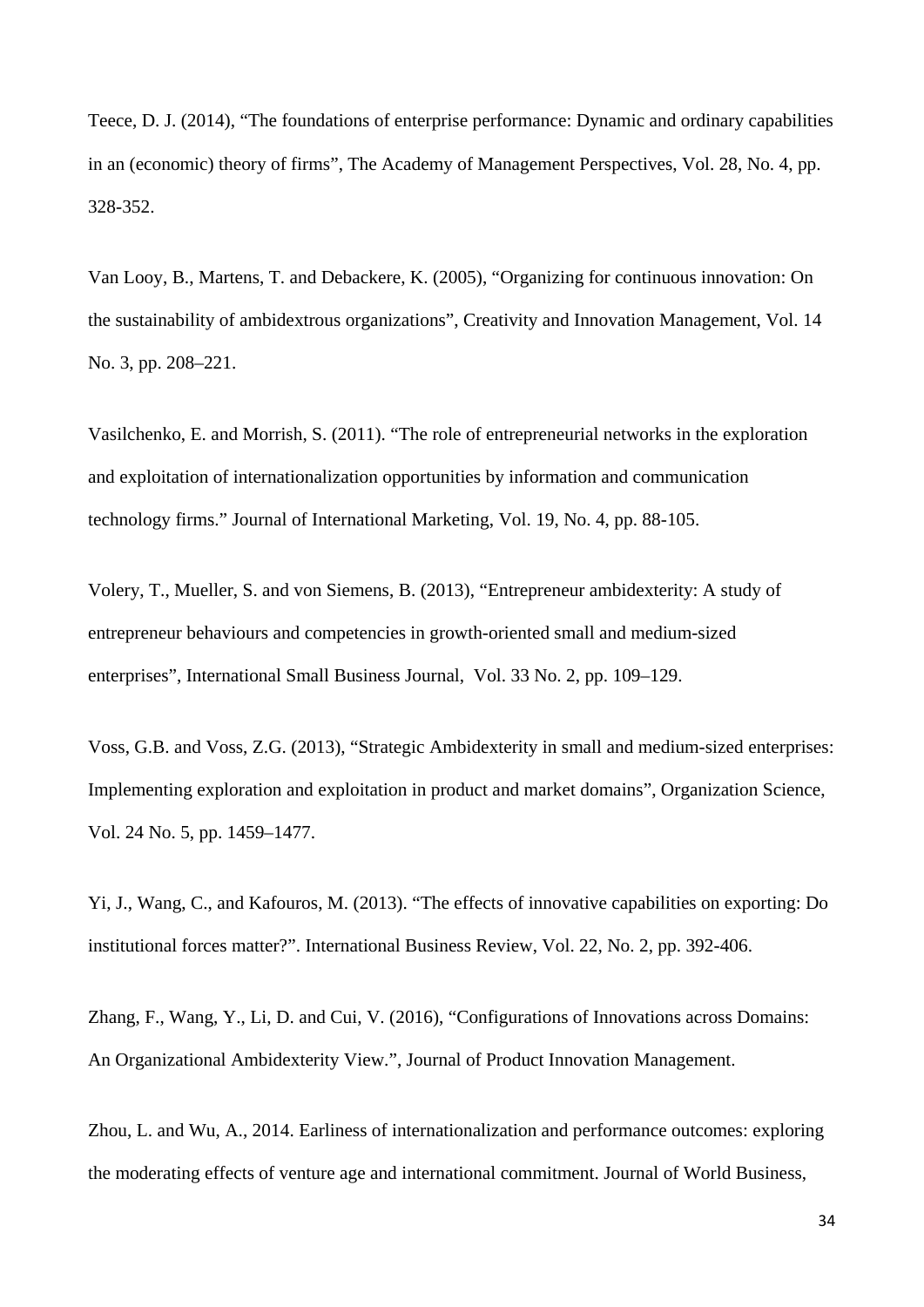Teece, D. J. (2014), "The foundations of enterprise performance: Dynamic and ordinary capabilities in an (economic) theory of firms", The Academy of Management Perspectives, Vol. 28, No. 4, pp. 328-352.

Van Looy, B., Martens, T. and Debackere, K. (2005), "Organizing for continuous innovation: On the sustainability of ambidextrous organizations", Creativity and Innovation Management, Vol. 14 No. 3, pp. 208–221.

Vasilchenko, E. and Morrish, S. (2011). "The role of entrepreneurial networks in the exploration and exploitation of internationalization opportunities by information and communication technology firms." Journal of International Marketing, Vol. 19, No. 4, pp. 88-105.

Volery, T., Mueller, S. and von Siemens, B. (2013), "Entrepreneur ambidexterity: A study of entrepreneur behaviours and competencies in growth-oriented small and medium-sized enterprises", International Small Business Journal, Vol. 33 No. 2, pp. 109–129.

Voss, G.B. and Voss, Z.G. (2013), "Strategic Ambidexterity in small and medium-sized enterprises: Implementing exploration and exploitation in product and market domains", Organization Science, Vol. 24 No. 5, pp. 1459–1477.

Yi, J., Wang, C., and Kafouros, M. (2013). "The effects of innovative capabilities on exporting: Do institutional forces matter?". International Business Review, Vol. 22, No. 2, pp. 392-406.

Zhang, F., Wang, Y., Li, D. and Cui, V. (2016), "Configurations of Innovations across Domains: An Organizational Ambidexterity View.", Journal of Product Innovation Management.

Zhou, L. and Wu, A., 2014. Earliness of internationalization and performance outcomes: exploring the moderating effects of venture age and international commitment. Journal of World Business,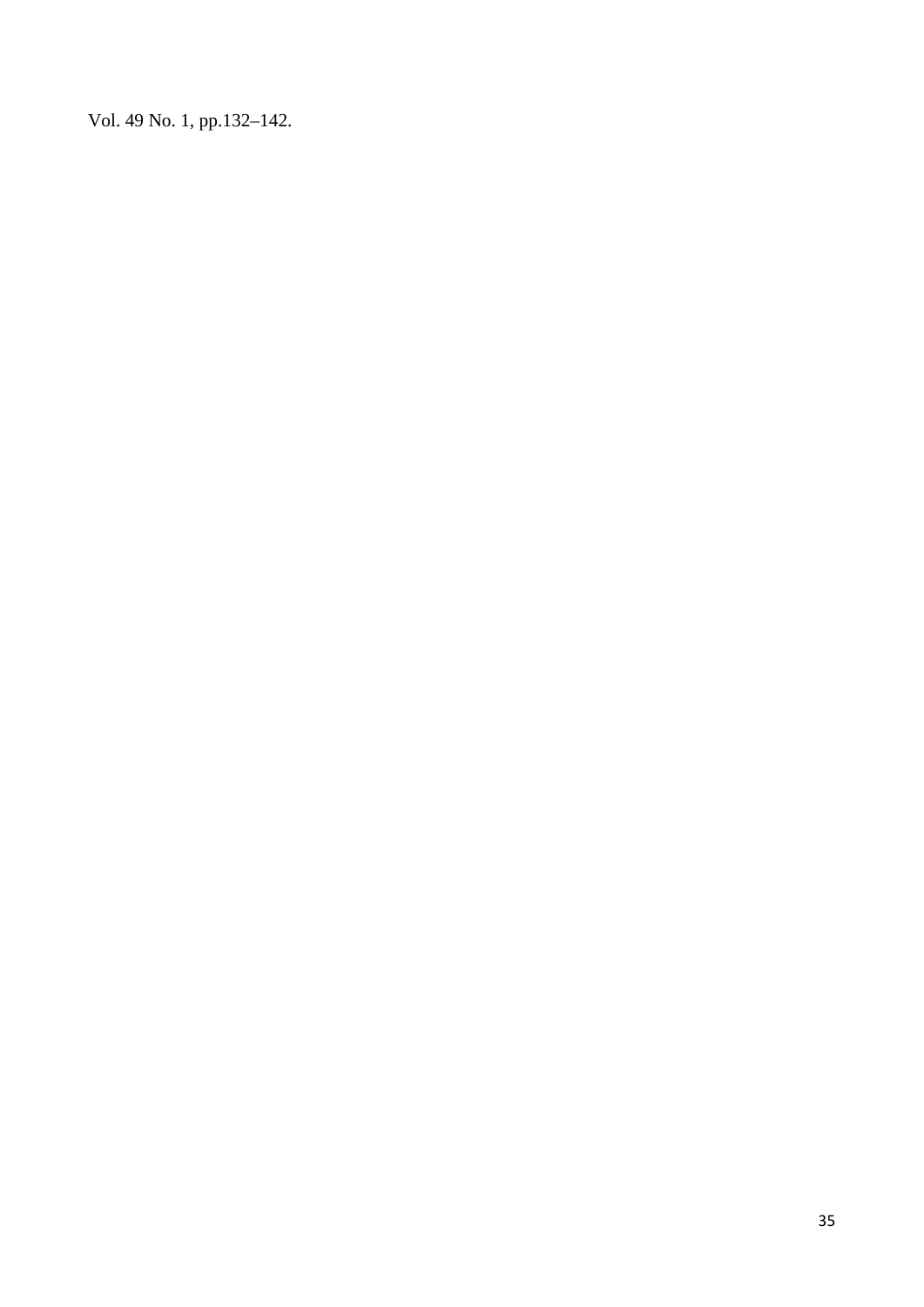Vol. 49 No. 1, pp.132–142.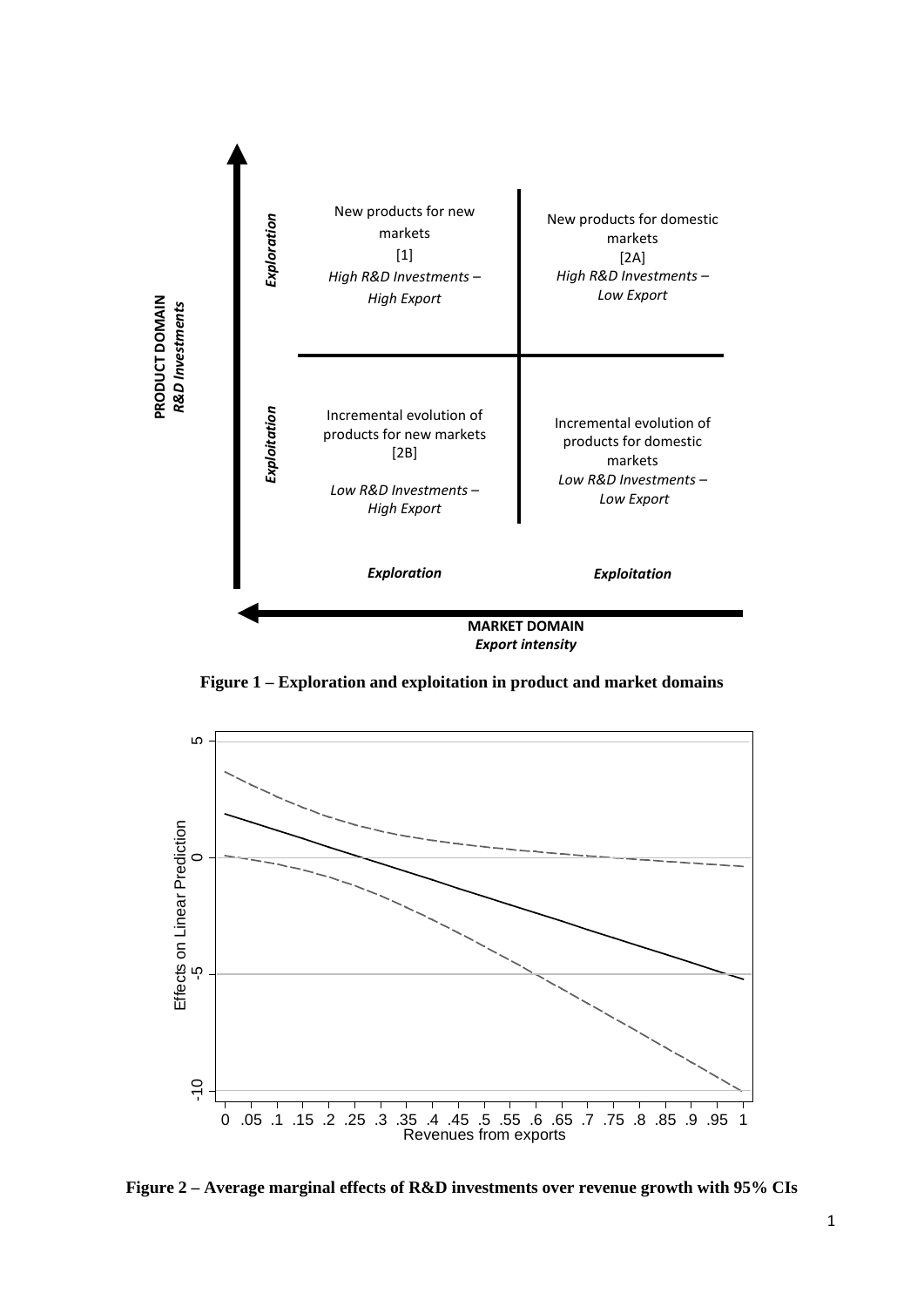

**Figure 1 – Exploration and exploitation in product and market domains**

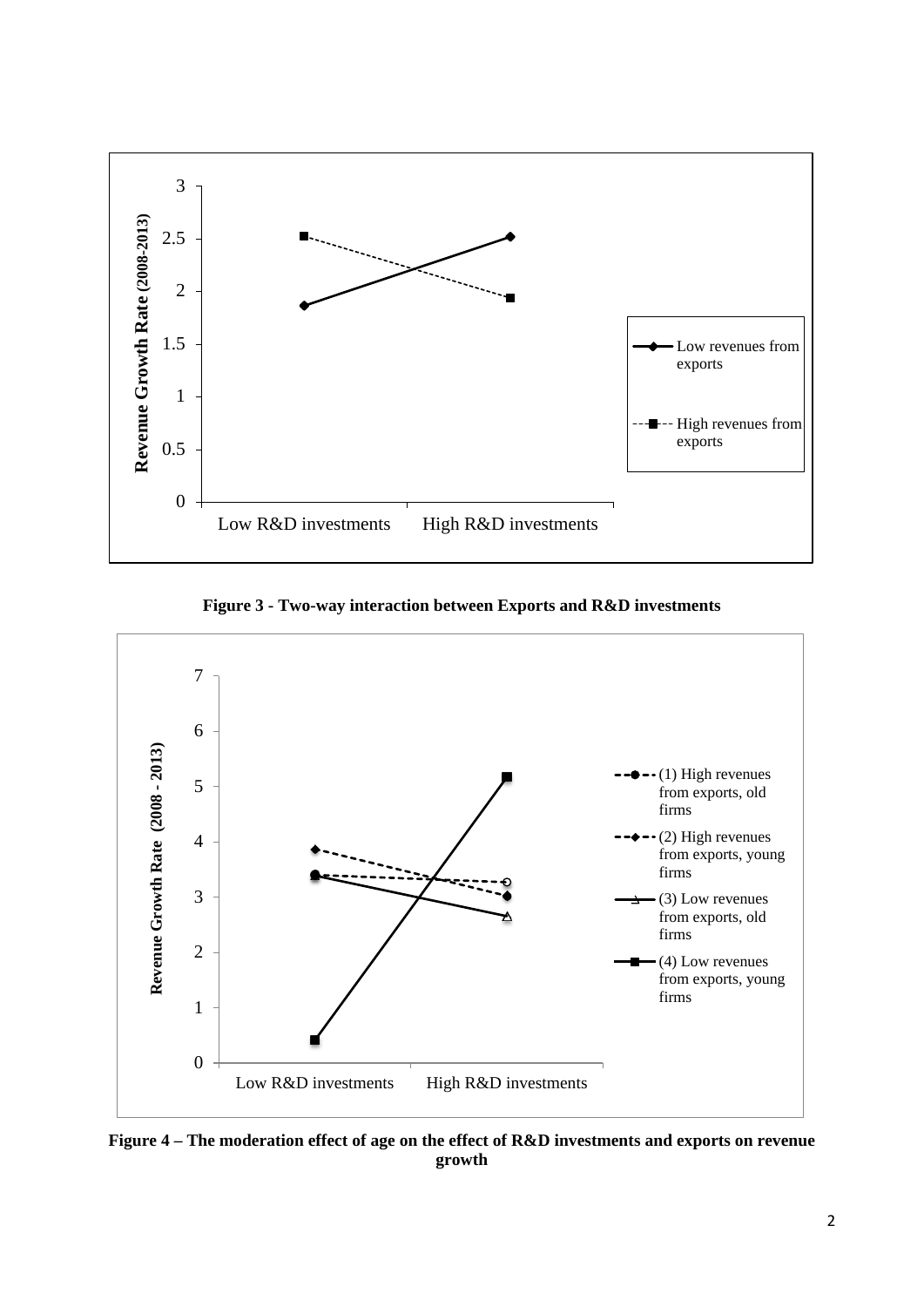

**Figure 3 - Two-way interaction between Exports and R&D investments** 



**Figure 4 – The moderation effect of age on the effect of R&D investments and exports on revenue growth**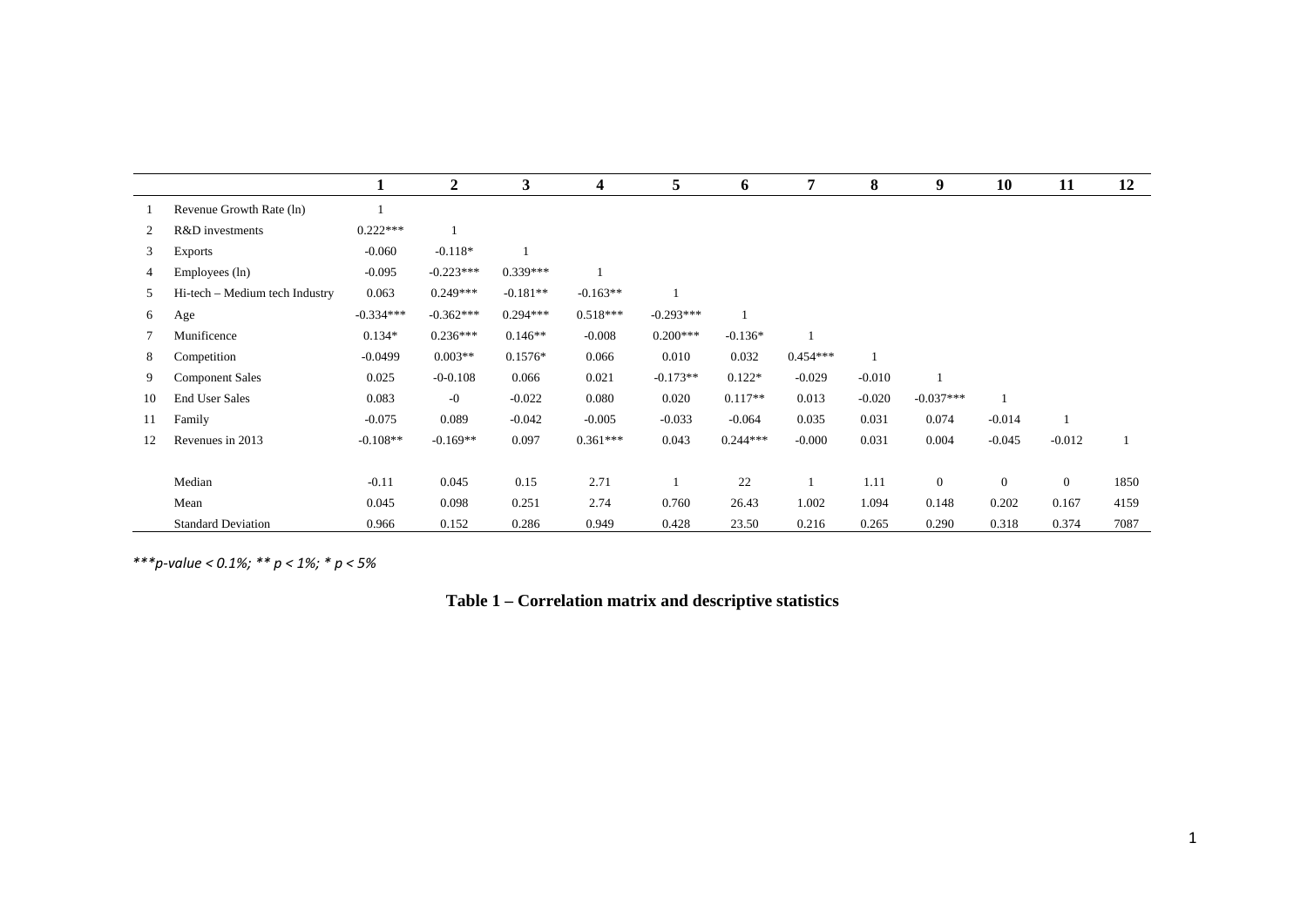|    |                                |             | $\mathbf{2}$ | 3          | 4          | 5           | 6          | 7          | 8        | 9              | 10             | 11             | 12   |
|----|--------------------------------|-------------|--------------|------------|------------|-------------|------------|------------|----------|----------------|----------------|----------------|------|
|    | Revenue Growth Rate (ln)       |             |              |            |            |             |            |            |          |                |                |                |      |
| 2  | R&D investments                | $0.222***$  |              |            |            |             |            |            |          |                |                |                |      |
| 3  | <b>Exports</b>                 | $-0.060$    | $-0.118*$    |            |            |             |            |            |          |                |                |                |      |
| 4  | Employees (ln)                 | $-0.095$    | $-0.223***$  | $0.339***$ |            |             |            |            |          |                |                |                |      |
| 5  | Hi-tech – Medium tech Industry | 0.063       | $0.249***$   | $-0.181**$ | $-0.163**$ |             |            |            |          |                |                |                |      |
| 6  | Age                            | $-0.334***$ | $-0.362***$  | $0.294***$ | $0.518***$ | $-0.293***$ |            |            |          |                |                |                |      |
|    | Munificence                    | $0.134*$    | $0.236***$   | $0.146**$  | $-0.008$   | $0.200***$  | $-0.136*$  |            |          |                |                |                |      |
| 8  | Competition                    | $-0.0499$   | $0.003**$    | $0.1576*$  | 0.066      | 0.010       | 0.032      | $0.454***$ |          |                |                |                |      |
| 9  | <b>Component Sales</b>         | 0.025       | $-0-0.108$   | 0.066      | 0.021      | $-0.173**$  | $0.122*$   | $-0.029$   | $-0.010$ |                |                |                |      |
| 10 | <b>End User Sales</b>          | 0.083       | $-0$         | $-0.022$   | 0.080      | 0.020       | $0.117**$  | 0.013      | $-0.020$ | $-0.037***$    |                |                |      |
| 11 | Family                         | $-0.075$    | 0.089        | $-0.042$   | $-0.005$   | $-0.033$    | $-0.064$   | 0.035      | 0.031    | 0.074          | $-0.014$       |                |      |
| 12 | Revenues in 2013               | $-0.108**$  | $-0.169**$   | 0.097      | $0.361***$ | 0.043       | $0.244***$ | $-0.000$   | 0.031    | 0.004          | $-0.045$       | $-0.012$       |      |
|    |                                |             |              |            |            |             |            |            |          |                |                |                |      |
|    | Median                         | $-0.11$     | 0.045        | 0.15       | 2.71       |             | 22         |            | 1.11     | $\overline{0}$ | $\overline{0}$ | $\overline{0}$ | 1850 |
|    | Mean                           | 0.045       | 0.098        | 0.251      | 2.74       | 0.760       | 26.43      | 1.002      | 1.094    | 0.148          | 0.202          | 0.167          | 4159 |
|    | <b>Standard Deviation</b>      | 0.966       | 0.152        | 0.286      | 0.949      | 0.428       | 23.50      | 0.216      | 0.265    | 0.290          | 0.318          | 0.374          | 7087 |

*\*\*\*p-value < 0.1%; \*\* p < 1%; \* p < 5%*

**Table 1 – Correlation matrix and descriptive statistics**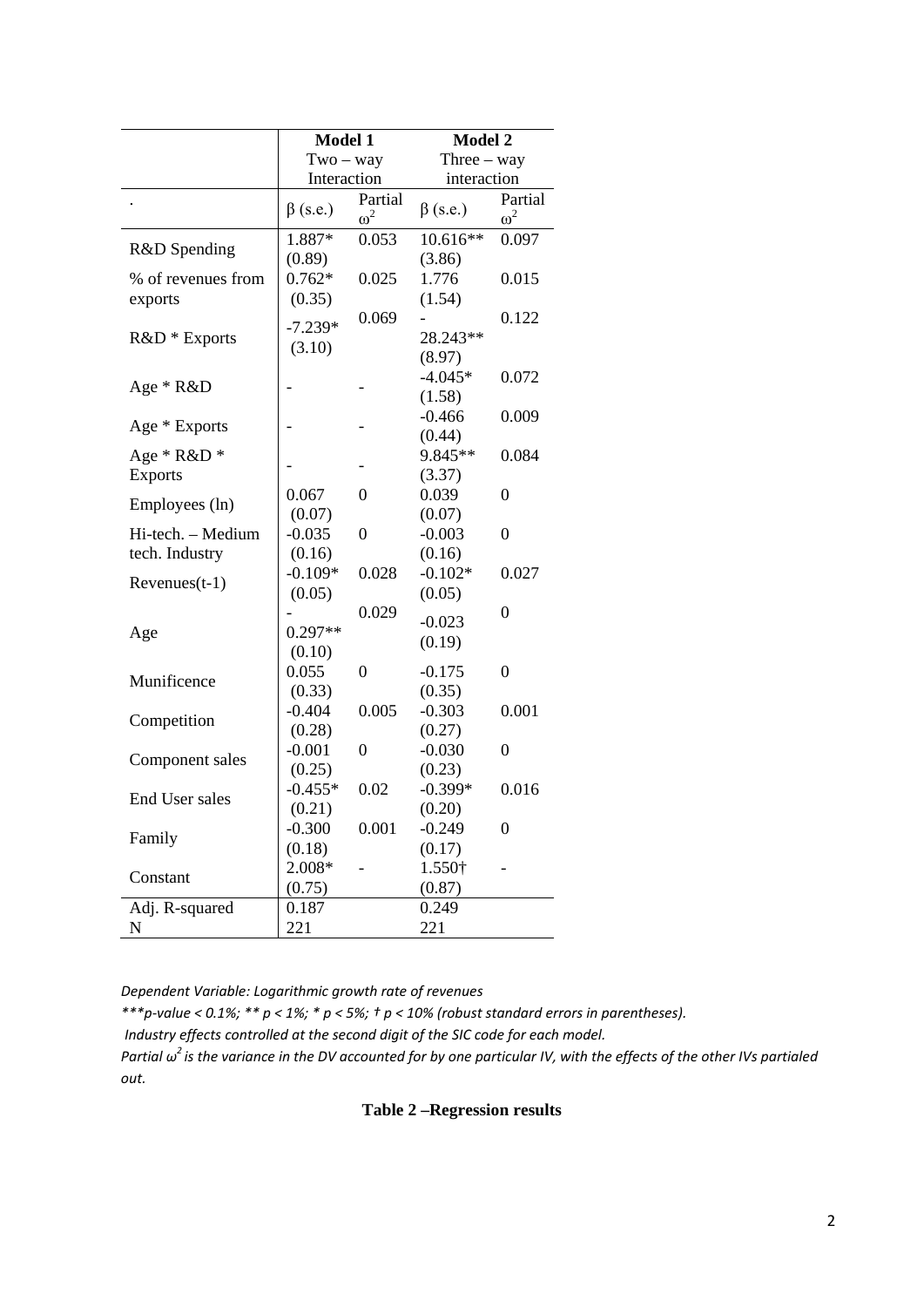|                    | <b>Model 1</b> |                       | <b>Model 2</b> |                       |  |  |
|--------------------|----------------|-----------------------|----------------|-----------------------|--|--|
|                    | $Two - way$    |                       | Three $-$ way  |                       |  |  |
|                    | Interaction    |                       | interaction    |                       |  |  |
|                    | $\beta$ (s.e.) | Partial<br>$\omega^2$ | $\beta$ (s.e.) | Partial<br>$\omega^2$ |  |  |
|                    | 1.887*         | 0.053                 | 10.616**       | 0.097                 |  |  |
| R&D Spending       | (0.89)         |                       | (3.86)         |                       |  |  |
| % of revenues from | $0.762*$       | 0.025                 | 1.776          | 0.015                 |  |  |
| exports            | (0.35)         |                       | (1.54)         |                       |  |  |
|                    | $-7.239*$      | 0.069                 |                | 0.122                 |  |  |
| R&D * Exports      | (3.10)         |                       | 28.243**       |                       |  |  |
|                    |                |                       | (8.97)         |                       |  |  |
| Age * R&D          |                |                       | $-4.045*$      | 0.072                 |  |  |
|                    |                |                       | (1.58)         |                       |  |  |
| Age * Exports      |                |                       | $-0.466$       | 0.009                 |  |  |
|                    |                |                       | (0.44)         |                       |  |  |
| Age * R&D *        |                |                       | 9.845**        | 0.084                 |  |  |
| <b>Exports</b>     |                |                       | (3.37)         |                       |  |  |
| Employees (ln)     | 0.067          | $\overline{0}$        | 0.039          | $\overline{0}$        |  |  |
|                    | (0.07)         |                       | (0.07)         |                       |  |  |
| Hi-tech. - Medium  | $-0.035$       | $\overline{0}$        | $-0.003$       | $\overline{0}$        |  |  |
| tech. Industry     | (0.16)         |                       | (0.16)         |                       |  |  |
| $Revenues(t-1)$    | $-0.109*$      | 0.028                 | $-0.102*$      | 0.027                 |  |  |
|                    | (0.05)         |                       | (0.05)         |                       |  |  |
|                    |                | 0.029                 | $-0.023$       | $\overline{0}$        |  |  |
| Age                | $0.297**$      |                       | (0.19)         |                       |  |  |
|                    | (0.10)         |                       |                |                       |  |  |
| Munificence        | 0.055          | $\overline{0}$        | $-0.175$       | $\overline{0}$        |  |  |
|                    | (0.33)         |                       | (0.35)         |                       |  |  |
| Competition        | $-0.404$       | 0.005                 | $-0.303$       | 0.001                 |  |  |
|                    | (0.28)         |                       | (0.27)         |                       |  |  |
| Component sales    | $-0.001$       | $\overline{0}$        | $-0.030$       | $\overline{0}$        |  |  |
|                    | (0.25)         |                       | (0.23)         |                       |  |  |
| End User sales     | $-0.455*$      | 0.02                  | $-0.399*$      | 0.016                 |  |  |
|                    | (0.21)         |                       | (0.20)         |                       |  |  |
| Family             | $-0.300$       | 0.001                 | $-0.249$       | 0                     |  |  |
|                    | (0.18)         |                       | (0.17)         |                       |  |  |
| Constant           | 2.008*         |                       | 1.550†         |                       |  |  |
|                    | (0.75)         |                       | (0.87)         |                       |  |  |
| Adj. R-squared     | 0.187          |                       | 0.249          |                       |  |  |
| N                  | 221            |                       | 221            |                       |  |  |

*Dependent Variable: Logarithmic growth rate of revenues*

*\*\*\*p-value < 0.1%; \*\* p < 1%; \* p < 5%; † p < 10% (robust standard errors in parentheses).*

*Industry effects controlled at the second digit of the SIC code for each model.*

*Partial ω2 is the variance in the DV accounted for by one particular IV, with the effects of the other IVs partialed out.*

## **Table 2 –Regression results**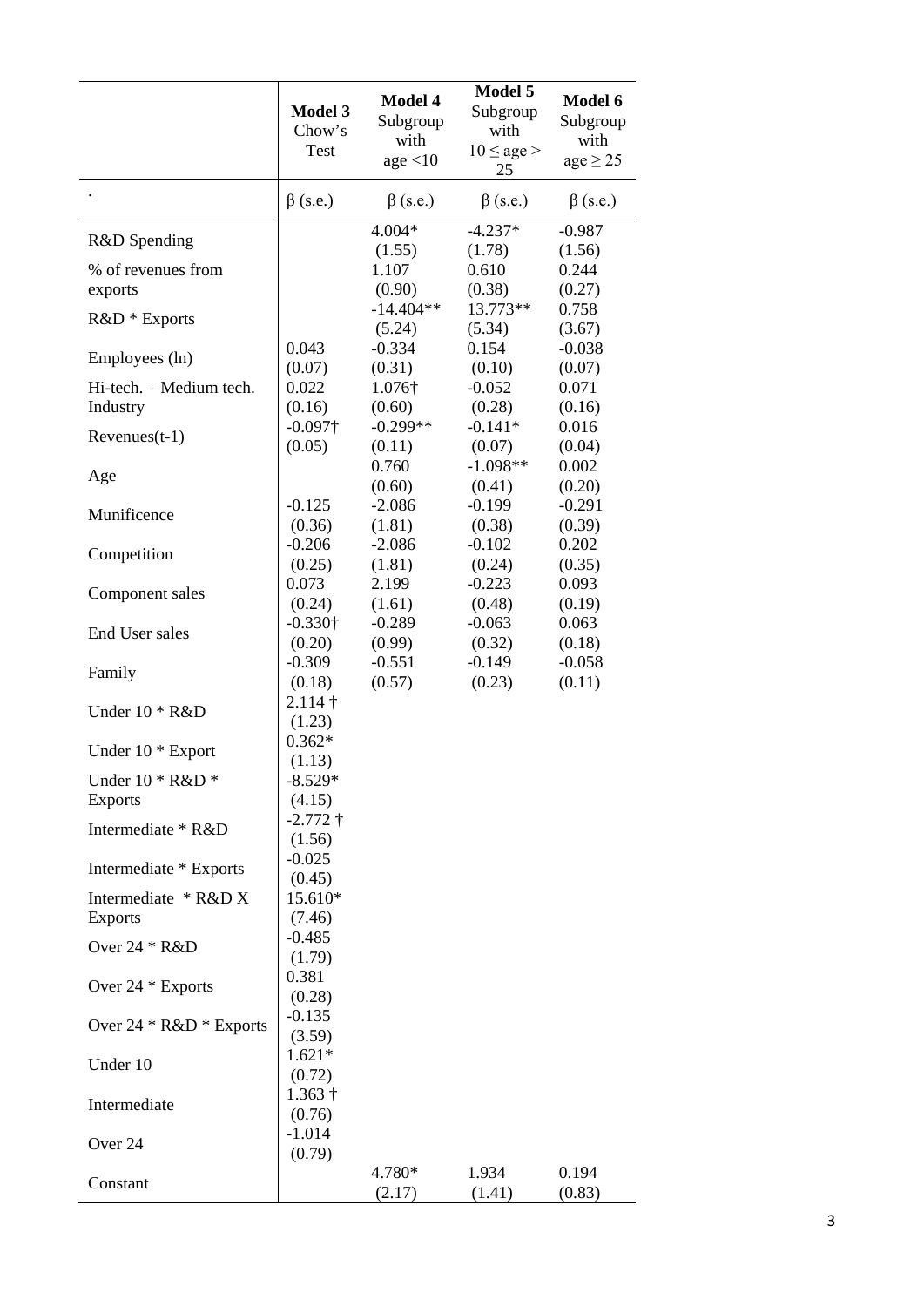|                           | <b>Model 3</b>            | <b>Model 4</b><br>Subgroup | Model 5<br>Subgroup           | Model 6<br>Subgroup   |
|---------------------------|---------------------------|----------------------------|-------------------------------|-----------------------|
|                           | Chow's<br>Test            | with<br>age < 10           | with<br>$10 \leq age >$<br>25 | with<br>$age \geq 25$ |
|                           | $\beta$ (s.e.)            | $\beta$ (s.e.)             | $\beta$ (s.e.)                | $\beta$ (s.e.)        |
| R&D Spending              |                           | 4.004*<br>(1.55)           | $-4.237*$<br>(1.78)           | $-0.987$<br>(1.56)    |
| % of revenues from        |                           | 1.107                      | 0.610                         | 0.244                 |
| exports                   |                           | (0.90)<br>$-14.404**$      | (0.38)<br>13.773**            | (0.27)<br>0.758       |
| $R&D*$ Exports            |                           | (5.24)                     | (5.34)                        | (3.67)                |
| Employees (ln)            | 0.043<br>(0.07)           | $-0.334$<br>(0.31)         | 0.154<br>(0.10)               | $-0.038$<br>(0.07)    |
| Hi-tech. - Medium tech.   | 0.022                     | 1.076†                     | $-0.052$                      | 0.071                 |
| Industry                  | (0.16)<br>$-0.097\dagger$ | (0.60)<br>$-0.299**$       | (0.28)<br>$-0.141*$           | (0.16)<br>0.016       |
| $Revenues(t-1)$           | (0.05)                    | (0.11)                     | (0.07)                        | (0.04)                |
| Age                       |                           | 0.760                      | $-1.098**$                    | 0.002                 |
|                           |                           | (0.60)                     | (0.41)                        | (0.20)                |
| Munificence               | $-0.125$<br>(0.36)        | $-2.086$<br>(1.81)         | $-0.199$<br>(0.38)            | $-0.291$<br>(0.39)    |
|                           | $-0.206$                  | $-2.086$                   | $-0.102$                      | 0.202                 |
| Competition               | (0.25)                    | (1.81)                     | (0.24)                        | (0.35)                |
| Component sales           | 0.073                     | 2.199                      | $-0.223$                      | 0.093                 |
|                           | (0.24)                    | (1.61)                     | (0.48)                        | (0.19)                |
| End User sales            | $-0.330\dagger$<br>(0.20) | $-0.289$<br>(0.99)         | $-0.063$<br>(0.32)            | 0.063<br>(0.18)       |
|                           | $-0.309$                  | $-0.551$                   | $-0.149$                      | $-0.058$              |
| Family                    | (0.18)                    | (0.57)                     | (0.23)                        | (0.11)                |
| Under 10 * R&D            | $2.114\dagger$<br>(1.23)  |                            |                               |                       |
| Under 10 * Export         | $0.362*$<br>(1.13)        |                            |                               |                       |
| Under $10 * R&D *$        | $-8.529*$                 |                            |                               |                       |
| <b>Exports</b>            | (4.15)                    |                            |                               |                       |
| Intermediate * R&D        | $-2.772\dagger$<br>(1.56) |                            |                               |                       |
| Intermediate * Exports    | $-0.025$<br>(0.45)        |                            |                               |                       |
| Intermediate * R&D X      | 15.610*                   |                            |                               |                       |
| <b>Exports</b>            | (7.46)                    |                            |                               |                       |
| Over 24 * R&D             | $-0.485$<br>(1.79)        |                            |                               |                       |
| Over $24 *$ Exports       | 0.381<br>(0.28)           |                            |                               |                       |
| Over $24 * R&D * Exports$ | $-0.135$<br>(3.59)        |                            |                               |                       |
| Under 10                  | $1.621*$<br>(0.72)        |                            |                               |                       |
| Intermediate              | $1.363\dagger$<br>(0.76)  |                            |                               |                       |
| Over 24                   | $-1.014$<br>(0.79)        |                            |                               |                       |
| Constant                  |                           | 4.780*<br>(2.17)           | 1.934<br>(1.41)               | 0.194<br>(0.83)       |